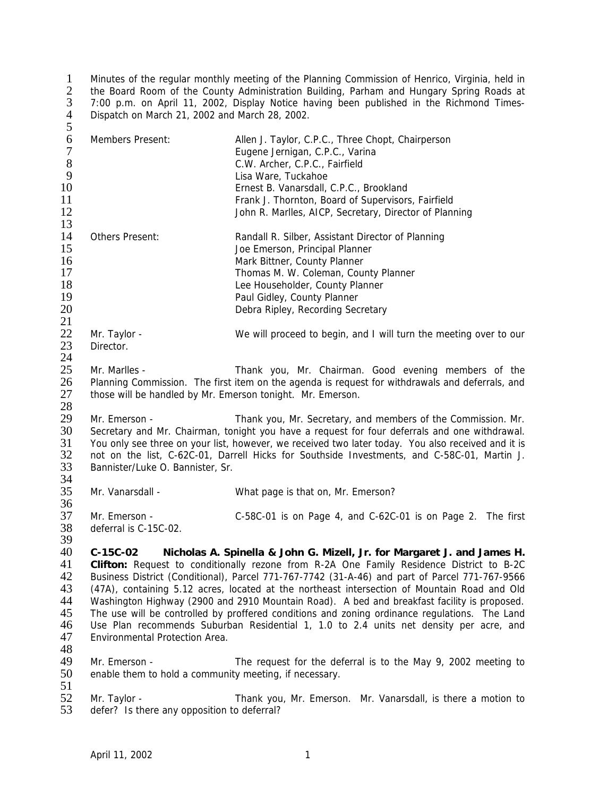Minutes of the regular monthly meeting of the Planning Commission of Henrico, Virginia, held in 2 the Board Room of the County Administration Building, Parham and Hungary Spring Roads at 7:00 p.m. on April 11, 2002, Display Notice having been published in the Richmond Times-Dispatch on March 21, 2002 and March 28, 2002.  $\frac{1}{2}$ <br> $\frac{3}{4}$ <br>5

| 6<br>$\boldsymbol{7}$<br>$\,8\,$<br>9              | Members Present:                                                                                                                                                                                                                                                                                                                                                                                                                                                                                                                                                                                                                                                                                                | Allen J. Taylor, C.P.C., Three Chopt, Chairperson<br>Eugene Jernigan, C.P.C., Varina<br>C.W. Archer, C.P.C., Fairfield<br>Lisa Ware, Tuckahoe                                                                                                                      |  |  |
|----------------------------------------------------|-----------------------------------------------------------------------------------------------------------------------------------------------------------------------------------------------------------------------------------------------------------------------------------------------------------------------------------------------------------------------------------------------------------------------------------------------------------------------------------------------------------------------------------------------------------------------------------------------------------------------------------------------------------------------------------------------------------------|--------------------------------------------------------------------------------------------------------------------------------------------------------------------------------------------------------------------------------------------------------------------|--|--|
| 10<br>11<br>12<br>13                               |                                                                                                                                                                                                                                                                                                                                                                                                                                                                                                                                                                                                                                                                                                                 | Ernest B. Vanarsdall, C.P.C., Brookland<br>Frank J. Thornton, Board of Supervisors, Fairfield<br>John R. Marlles, AICP, Secretary, Director of Planning                                                                                                            |  |  |
| 14<br>15<br>16<br>17<br>18<br>19<br>20<br>21       | Others Present:                                                                                                                                                                                                                                                                                                                                                                                                                                                                                                                                                                                                                                                                                                 | Randall R. Silber, Assistant Director of Planning<br>Joe Emerson, Principal Planner<br>Mark Bittner, County Planner<br>Thomas M. W. Coleman, County Planner<br>Lee Householder, County Planner<br>Paul Gidley, County Planner<br>Debra Ripley, Recording Secretary |  |  |
| 22<br>23<br>24                                     | Mr. Taylor -<br>Director.                                                                                                                                                                                                                                                                                                                                                                                                                                                                                                                                                                                                                                                                                       | We will proceed to begin, and I will turn the meeting over to our                                                                                                                                                                                                  |  |  |
| 25<br>26<br>27<br>28                               | Mr. Marlles -<br>Thank you, Mr. Chairman. Good evening members of the<br>Planning Commission. The first item on the agenda is request for withdrawals and deferrals, and<br>those will be handled by Mr. Emerson tonight. Mr. Emerson.                                                                                                                                                                                                                                                                                                                                                                                                                                                                          |                                                                                                                                                                                                                                                                    |  |  |
| 29<br>30<br>31<br>32<br>33<br>34                   | Mr. Emerson -<br>Thank you, Mr. Secretary, and members of the Commission. Mr.<br>Secretary and Mr. Chairman, tonight you have a request for four deferrals and one withdrawal.<br>You only see three on your list, however, we received two later today. You also received and it is<br>not on the list, C-62C-01, Darrell Hicks for Southside Investments, and C-58C-01, Martin J.<br>Bannister/Luke O. Bannister, Sr.                                                                                                                                                                                                                                                                                         |                                                                                                                                                                                                                                                                    |  |  |
| 35<br>36                                           | Mr. Vanarsdall -                                                                                                                                                                                                                                                                                                                                                                                                                                                                                                                                                                                                                                                                                                | What page is that on, Mr. Emerson?                                                                                                                                                                                                                                 |  |  |
| 37<br>38<br>39                                     | Mr. Emerson -<br>deferral is C-15C-02.                                                                                                                                                                                                                                                                                                                                                                                                                                                                                                                                                                                                                                                                          | C-58C-01 is on Page 4, and C-62C-01 is on Page 2. The first                                                                                                                                                                                                        |  |  |
| 40<br>41<br>42<br>43<br>44<br>45<br>46<br>47<br>48 | $C-15C-02$<br>Nicholas A. Spinella & John G. Mizell, Jr. for Margaret J. and James H.<br>Clifton: Request to conditionally rezone from R-2A One Family Residence District to B-2C<br>Business District (Conditional), Parcel 771-767-7742 (31-A-46) and part of Parcel 771-767-9566<br>(47A), containing 5.12 acres, located at the northeast intersection of Mountain Road and Old<br>Washington Highway (2900 and 2910 Mountain Road). A bed and breakfast facility is proposed.<br>The use will be controlled by proffered conditions and zoning ordinance regulations. The Land<br>Use Plan recommends Suburban Residential 1, 1.0 to 2.4 units net density per acre, and<br>Environmental Protection Area. |                                                                                                                                                                                                                                                                    |  |  |
| 49<br>50<br>51                                     | Mr. Emerson -<br>enable them to hold a community meeting, if necessary.                                                                                                                                                                                                                                                                                                                                                                                                                                                                                                                                                                                                                                         | The request for the deferral is to the May 9, 2002 meeting to                                                                                                                                                                                                      |  |  |
| 52<br>53                                           | Mr. Taylor -<br>defer? Is there any opposition to deferral?                                                                                                                                                                                                                                                                                                                                                                                                                                                                                                                                                                                                                                                     | Thank you, Mr. Emerson. Mr. Vanarsdall, is there a motion to                                                                                                                                                                                                       |  |  |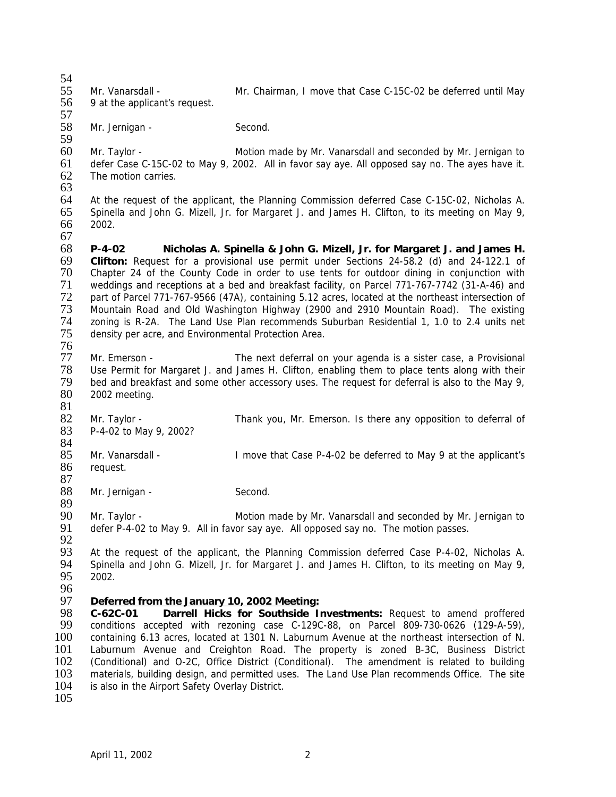54<br>55 55 Mr. Vanarsdall - Mr. Chairman, I move that Case C-15C-02 be deferred until May<br>56 9 at the applicant's request. 9 at the applicant's request. 57<br>58 Mr. Jernigan - Second. 59 60 Mr. Taylor - Motion made by Mr. Vanarsdall and seconded by Mr. Jernigan to<br>61 defer Case C-15C-02 to May 9, 2002. All in favor say aye. All opposed say no. The ayes haye it. defer Case C-15C-02 to May 9, 2002. All in favor say aye. All opposed say no. The ayes have it. 62 The motion carries. 63 64 At the request of the applicant, the Planning Commission deferred Case C-15C-02, Nicholas A. 65 Spinella and John G. Mizell, Jr. for Margaret J. and James H. Clifton, to its meeting on May 9, 2002. 67<br>68 68 **P-4-02 Nicholas A. Spinella & John G. Mizell, Jr. for Margaret J. and James H.** 69 **Clifton:** Request for a provisional use permit under Sections 24-58.2 (d) and 24-122.1 of 70 Chapter 24 of the County Code in order to use tents for outdoor dining in conjunction with 71 weddings and receptions at a bed and breakfast facility, on Parcel 771-767-7742 (31-A-46) and 72 part of Parcel 771-767-9566 (47A), containing 5.12 acres, located at the northeast intersection of 73 Mountain Road and Old Washington Highway (2900 and 2910 Mountain Road). The existing 73 Mountain Road and Old Washington Highway (2900 and 2910 Mountain Road). The existing<br>74 Traning is R-2A. The Land Use Plan recommends Suburban Residential 1, 1.0 to 2.4 units net 74 zoning is R-2A. The Land Use Plan recommends Suburban Residential 1, 1.0 to 2.4 units net 75 density per acre. and Environmental Protection Area. density per acre, and Environmental Protection Area. 76<br>77 77 Mr. Emerson - The next deferral on your agenda is a sister case, a Provisional 78 Use Permit for Margaret J. and James H. Clifton, enabling them to place tents along with their<br>79 bed and breakfast and some other accessory uses. The request for deferral is also to the May 9, 79 bed and breakfast and some other accessory uses. The request for deferral is also to the May 9,<br>80 2002 meeting. 2002 meeting. 81 82 Mr. Taylor - Thank you, Mr. Emerson. Is there any opposition to deferral of 83 P-4-02 to May 9, 2002? 84<br>85 85 Mr. Vanarsdall - I move that Case P-4-02 be deferred to May 9 at the applicant's 86 request. request.  $\frac{87}{88}$ Mr. Jernigan - Second. 89<br>90 90 Mr. Taylor - State Motion made by Mr. Vanarsdall and seconded by Mr. Jernigan to 91 defer P-4-02 to May 9. All in favor say ave. All opposed say no. The motion passes. defer P-4-02 to May 9. All in favor say aye. All opposed say no. The motion passes. 92<br>93 93 At the request of the applicant, the Planning Commission deferred Case P-4-02, Nicholas A.<br>94 Spinella and John G. Mizell, Jr. for Margaret J. and James H. Clifton, to its meeting on May 9, 94 Spinella and John G. Mizell, Jr. for Margaret J. and James H. Clifton, to its meeting on May 9, 95 2002. 2002. 96<br>97 97 *Deferred from the January 10, 2002 Meeting:* 98 **C-62C-01 Darrell Hicks for Southside Investments:** Request to amend proffered 99 conditions accepted with rezoning case C-129C-88, on Parcel 809-730-0626 (129-A-59),<br>100 containing 6.13 acres, located at 1301 N. Laburnum Avenue at the northeast intersection of N. containing 6.13 acres, located at 1301 N. Laburnum Avenue at the northeast intersection of N. 101 Laburnum Avenue and Creighton Road. The property is zoned B-3C, Business District 102 (Conditional) and O-2C, Office District (Conditional). The amendment is related to building 103 materials, building design, and permitted uses. The Land Use Plan recommends Office. The site 104 is also in the Airport Safety Overlay District. is also in the Airport Safety Overlay District.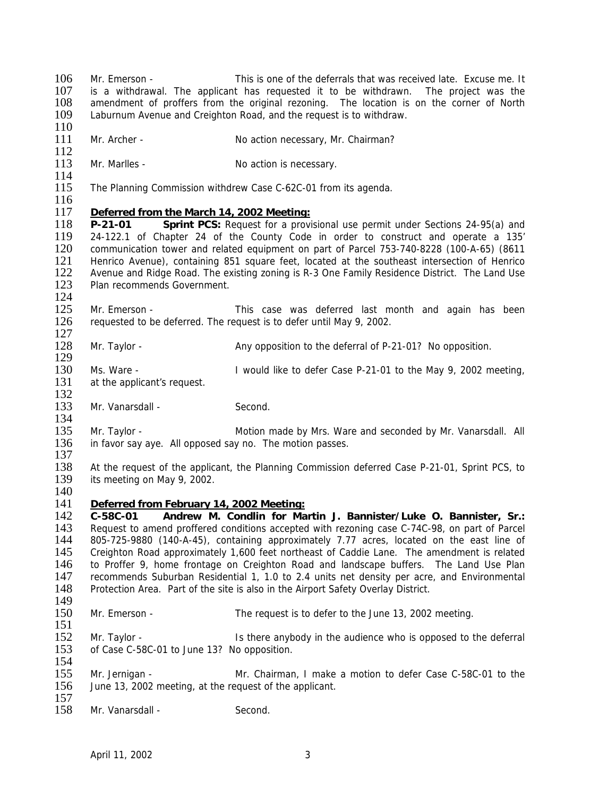106 Mr. Emerson - This is one of the deferrals that was received late. Excuse me. It 107 is a withdrawal The applicant has requested it to be withdrawn. The project was the 107 is a withdrawal. The applicant has requested it to be withdrawn. The project was the 108 amendment of proffers from the original rezoning. The location is on the corner of North amendment of proffers from the original rezoning. The location is on the corner of North 109 Laburnum Avenue and Creighton Road, and the request is to withdraw. 110 111 Mr. Archer - No action necessary, Mr. Chairman?  $\frac{112}{113}$ Mr. Marlles - No action is necessary.  $\frac{114}{115}$ The Planning Commission withdrew Case C-62C-01 from its agenda.  $\frac{116}{117}$ 117 *Deferred from the March 14, 2002 Meeting:* **P-21-01 Sprint PCS:** Request for a provisional use permit under Sections 24-95(a) and 119 24-122.1 of Chapter 24 of the County Code in order to construct and operate a 135' 120 communication tower and related equipment on part of Parcel 753-740-8228 (100-A-65) (8611 121 Henrico Avenue), containing 851 square feet, located at the southeast intersection of Henrico 122 Avenue and Ridge Road. The existing zoning is R-3 One Family Residence District. The Land Use 123 Plan recommends Government.  $\frac{124}{125}$ 125 Mr. Emerson - This case was deferred last month and again has been<br>126 requested to be deferred. The request is to defer until May 9, 2002. requested to be deferred. The request is to defer until May 9, 2002.  $\frac{127}{128}$ Mr. Taylor - Any opposition to the deferral of P-21-01? No opposition. 129 130 Ms. Ware - I would like to defer Case P-21-01 to the May 9, 2002 meeting, 131 at the applicant's request. at the applicant's request. 132 133 Mr. Vanarsdall - Second. 134 135 Mr. Taylor - **Motion made by Mrs. Ware and seconded by Mr. Vanarsdall.** All 136 in favor say ave. All opposed say no. The motion passes. in favor say aye. All opposed say no. The motion passes.  $\frac{137}{138}$ 138 At the request of the applicant, the Planning Commission deferred Case P-21-01, Sprint PCS, to 139 its meeting on May 9, 2002. its meeting on May 9, 2002.  $\frac{140}{141}$ **Deferred from February 14, 2002 Meeting:** 142 **C-58C-01 Andrew M. Condlin for Martin J. Bannister/Luke O. Bannister, Sr.:** 143 Request to amend proffered conditions accepted with rezoning case C-74C-98, on part of Parcel 144 805-725-9880 (140-A-45), containing approximately 7.77 acres, located on the east line of 145 Creighton Road approximately 1,600 feet northeast of Caddie Lane. The amendment is related 146 to Proffer 9, home frontage on Creighton Road and landscape buffers. The Land Use Plan 146 to Proffer 9, home frontage on Creighton Road and landscape buffers. The Land Use Plan<br>147 recommends Suburban Residential 1, 1.0 to 2.4 units net density per acre, and Environmental 147 recommends Suburban Residential 1, 1.0 to 2.4 units net density per acre, and Environmental 148 Protection Area. Part of the site is also in the Airport Safety Overlay District. Protection Area. Part of the site is also in the Airport Safety Overlay District.  $\frac{149}{150}$ Mr. Emerson - The request is to defer to the June 13, 2002 meeting.  $\frac{151}{152}$ Mr. Taylor - **IS there anybody in the audience who is opposed to the deferral** 153 of Case C-58C-01 to June 13? No opposition. 154 155 Mr. Jernigan - Mr. Chairman, I make a motion to defer Case C-58C-01 to the 156 June 13. 2002 meeting. at the request of the applicant. June 13, 2002 meeting, at the request of the applicant.  $\frac{157}{158}$ Mr. Vanarsdall - Second.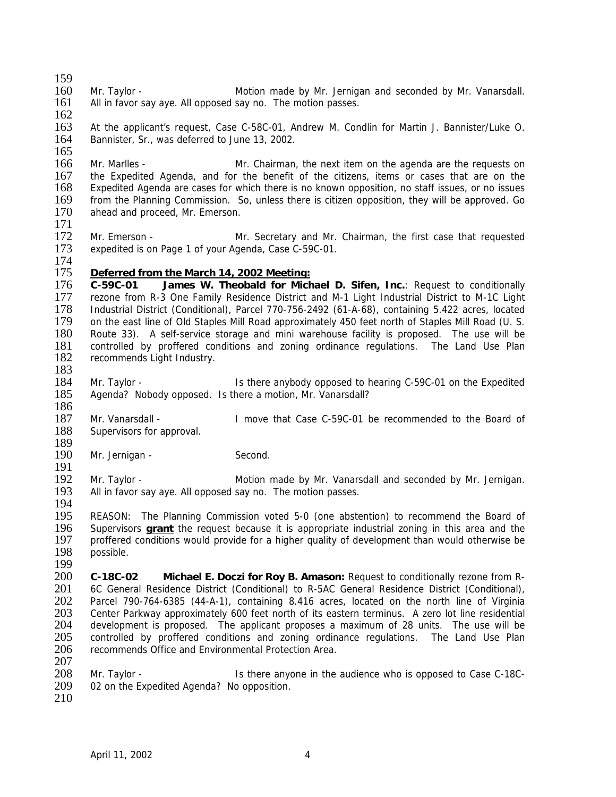- $\frac{159}{160}$ 160 Mr. Taylor - Motion made by Mr. Jernigan and seconded by Mr. Vanarsdall.<br>161 All in favor say ave. All opposed say no. The motion passes. All in favor say aye. All opposed say no. The motion passes.
- $\frac{162}{163}$

At the applicant's request, Case C-58C-01, Andrew M. Condlin for Martin J. Bannister/Luke O. 164 Bannister, Sr., was deferred to June 13, 2002.

 $\frac{165}{166}$ 166 Mr. Marlles - Mr. Chairman, the next item on the agenda are the requests on 167 the Expedited Agenda, and for the benefit of the citizens, items or cases that are on the 168 Expedited Agenda are cases for which there is no known opposition, no staff issues, or no issues 168 Expedited Agenda are cases for which there is no known opposition, no staff issues, or no issues 169 from the Planning Commission. So, unless there is citizen opposition, they will be approved. Go 170 ahead and proceed. Mr. Emerson. ahead and proceed, Mr. Emerson.

171

172 Mr. Emerson - Mr. Secretary and Mr. Chairman, the first case that requested expedited is on Page 1 of your Agenda, Case C-59C-01. expedited is on Page 1 of your Agenda, Case C-59C-01.

 $\frac{174}{175}$ Deferred from the March 14, 2002 Meeting:

176 **C-59C-01 James W. Theobald for Michael D. Sifen, Inc.**: Request to conditionally 177 rezone from R-3 One Family Residence District and M-1 Light Industrial District to M-1C Light<br>178 Industrial District (Conditional), Parcel 770-756-2492 (61-A-68), containing 5.422 acres, located 178 Industrial District (Conditional), Parcel 770-756-2492 (61-A-68), containing 5.422 acres, located 179 on the east line of Old Staples Mill Road approximately 450 feet north of Staples Mill Road (U.S. 179 on the east line of Old Staples Mill Road approximately 450 feet north of Staples Mill Road (U. S. 180) Route 33). A self-service storage and mini warehouse facility is proposed. The use will be 180 Route 33). A self-service storage and mini warehouse facility is proposed. The use will be 181 controlled by proffered conditions and zoning ordinance regulations. The Land Use Plan 181 controlled by proffered conditions and zoning ordinance regulations. The Land Use Plan 182 recommends Light Industry. recommends Light Industry.

183<br>184

Mr. Taylor - **Is there anybody opposed to hearing C-59C-01 on the Expedited** 185 Agenda? Nobody opposed. Is there a motion, Mr. Vanarsdall? 186

187 Mr. Vanarsdall - I move that Case C-59C-01 be recommended to the Board of 188 Supervisors for approval.

- 189<br>190 Mr. Jernigan - Second.
- 191<br>192

192 Mr. Taylor - Motion made by Mr. Vanarsdall and seconded by Mr. Jernigan.<br>193 All in favor say ave. All opposed say no. The motion passes. All in favor say aye. All opposed say no. The motion passes.

194<br>195 REASON: The Planning Commission voted 5-0 (one abstention) to recommend the Board of 196 Supervisors **grant** the request because it is appropriate industrial zoning in this area and the 197 proffered conditions would provide for a higher quality of development than would otherwise be 198 possible. possible.

199 200 **C-18C-02 Michael E. Doczi for Roy B. Amason:** Request to conditionally rezone from R-201 6C General Residence District (Conditional) to R-5AC General Residence District (Conditional),<br>202 Parcel 790-764-6385 (44-A-1), containing 8.416 acres, located on the north line of Virginia 202 Parcel 790-764-6385 (44-A-1), containing 8.416 acres, located on the north line of Virginia 203 Center Parkway approximately 600 feet north of its eastern terminus. A zero lot line residential 204 development is proposed. The applicant proposes a maximum of 28 units. The use will be 204 development is proposed. The applicant proposes a maximum of 28 units. The use will be 205 controlled by proffered conditions and zoning ordinance regulations. The Land Use Plan controlled by proffered conditions and zoning ordinance regulations. The Land Use Plan 206 recommends Office and Environmental Protection Area. 207

208 Mr. Taylor - Is there anyone in the audience who is opposed to Case C-18C-<br>209 02 on the Expedited Agenda? No opposition. 02 on the Expedited Agenda? No opposition.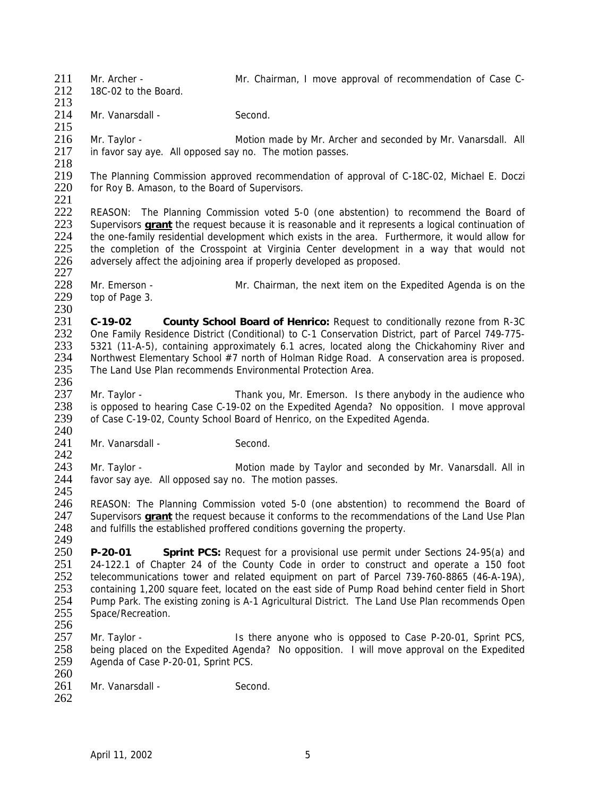211 Mr. Archer - Mr. Chairman, I move approval of recommendation of Case C-<br>212 18C-02 to the Board

18C-02 to the Board. 213

214 Mr. Vanarsdall - Second. 215

216 Mr. Taylor - Motion made by Mr. Archer and seconded by Mr. Vanarsdall. All 217 in favor say aye. All opposed say no. The motion passes.

218<br>219 219 The Planning Commission approved recommendation of approval of C-18C-02, Michael E. Doczi<br>220 for Rov B. Amason, to the Board of Supervisors. for Roy B. Amason, to the Board of Supervisors.

 $\frac{221}{222}$ 

222 REASON: The Planning Commission voted 5-0 (one abstention) to recommend the Board of 223 Supervisors **grant** the request because it is reasonable and it represents a logical continuation of Supervisors **grant** the request because it is reasonable and it represents a logical continuation of 224 the one-family residential development which exists in the area. Furthermore, it would allow for<br>225 the completion of the Crosspoint at Virginia Center development in a way that would not 225 the completion of the Crosspoint at Virginia Center development in a way that would not adversely affect the adjoining area if properly developed as proposed. adversely affect the adjoining area if properly developed as proposed. 227

228 Mr. Emerson - Mr. Chairman, the next item on the Expedited Agenda is on the 229 top of Page 3. top of Page 3.

 $\frac{230}{231}$ 231 **C-19-02 County School Board of Henrico:** Request to conditionally rezone from R-3C 232 One Family Residence District (Conditional) to C-1 Conservation District, part of Parcel 749-775-<br>233 5321 (11-A-5), containing approximately 6.1 acres, located along the Chickahominy River and 233 5321 (11-A-5), containing approximately 6.1 acres, located along the Chickahominy River and 234 Northwest Elementary School #7 north of Holman Ridge Road. A conservation area is proposed. Northwest Elementary School #7 north of Holman Ridge Road. A conservation area is proposed. 235 The Land Use Plan recommends Environmental Protection Area. 236

237 Mr. Taylor - Thank you, Mr. Emerson. Is there anybody in the audience who 238 is opposed to hearing Case C-19-02 on the Expedited Agenda? No opposition. I move approval 239 of Case C-19-02. County School Board of Henrico, on the Expedited Agenda. of Case C-19-02, County School Board of Henrico, on the Expedited Agenda.

 $\frac{240}{241}$ Mr. Vanarsdall - Second.

 $\frac{242}{243}$ 243 Mr. Taylor - **Motion made by Taylor and seconded by Mr. Vanarsdall. All in**<br>244 favor say ave. All opposed say no. The motion passes. favor say aye. All opposed say no. The motion passes.

245<br>246 REASON: The Planning Commission voted 5-0 (one abstention) to recommend the Board of 247 Supervisors **grant** the request because it conforms to the recommendations of the Land Use Plan<br>248 and fulfills the established proffered conditions governing the property. and fulfills the established proffered conditions governing the property.

249<br>250 250 **P-20-01 Sprint PCS:** Request for a provisional use permit under Sections 24-95(a) and 251 24-122.1 of Chapter 24 of the County Code in order to construct and operate a 150 foot<br>252 telecommunications tower and related equipment on part of Parcel 739-760-8865 (46-A-19A), 252 telecommunications tower and related equipment on part of Parcel 739-760-8865 (46-A-19A), 253 containing 1,200 square feet, located on the east side of Pump Road behind center field in Short<br>254 Pump Park. The existing zoning is A-1 Agricultural District. The Land Use Plan recommends Open 254 Pump Park. The existing zoning is A-1 Agricultural District. The Land Use Plan recommends Open 255 Space/Recreation. Space/Recreation.

256<br>257 Mr. Taylor - **IS there anyone who is opposed to Case P-20-01, Sprint PCS,** 258 being placed on the Expedited Agenda? No opposition. I will move approval on the Expedited 259 Agenda of Case P-20-01, Sprint PCS.

 $\frac{260}{261}$ Mr. Vanarsdall - Second.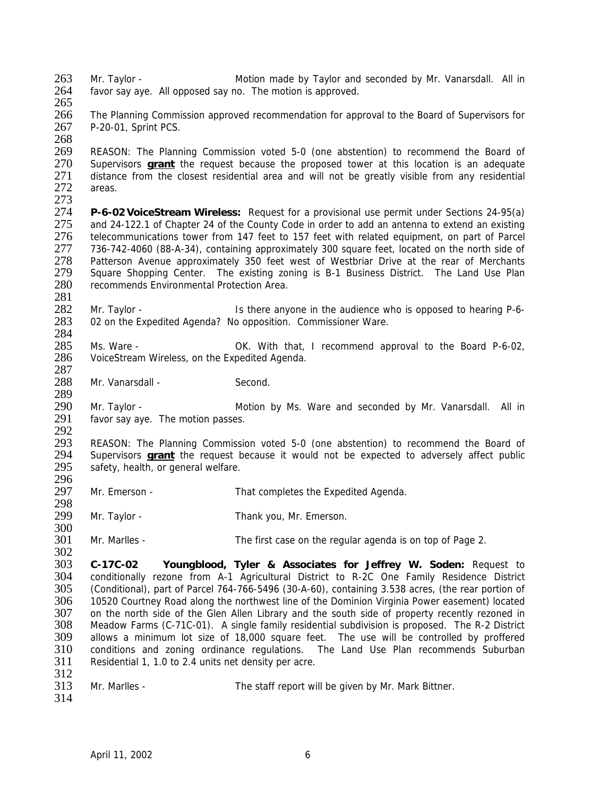- 263 Mr. Taylor Motion made by Taylor and seconded by Mr. Vanarsdall. All in 264 favor say ave All opposed say no The motion is approved favor say aye. All opposed say no. The motion is approved.
- 265

266 The Planning Commission approved recommendation for approval to the Board of Supervisors for 267 P-20-01, Sprint PCS.

268

269 REASON: The Planning Commission voted 5-0 (one abstention) to recommend the Board of 270 Supervisors **arant** the request because the proposed tower at this location is an adequate 270 Supervisors **grant** the request because the proposed tower at this location is an adequate 271 distance from the closest residential area and will not be greatly visible from any residential 272 areas. areas.

273<br>274

289

274 **P-6-02 VoiceStream Wireless:** Request for a provisional use permit under Sections 24-95(a) and 24-122.1 of Chapter 24 of the County Code in order to add an antenna to extend an existing 276 telecommunications tower from 147 feet to 157 feet with related equipment, on part of Parcel<br>277 736-742-4060 (88-A-34), containing approximately 300 square feet, located on the north side of 277 736-742-4060 (88-A-34), containing approximately 300 square feet, located on the north side of 278 Patterson Avenue approximately 350 feet west of Westbriar Drive at the rear of Merchants 278 Patterson Avenue approximately 350 feet west of Westbriar Drive at the rear of Merchants<br>279 Square Shopping Center. The existing zoning is B-1 Business District. The Land Use Plan Square Shopping Center. The existing zoning is B-1 Business District. The Land Use Plan 280 recommends Environmental Protection Area.

281 282 Mr. Taylor - Is there anyone in the audience who is opposed to hearing P-6-<br>283 02 on the Expedited Agenda? No opposition. Commissioner Ware. 02 on the Expedited Agenda? No opposition. Commissioner Ware.

 $\frac{284}{285}$ 285 Ms. Ware - OK. With that, I recommend approval to the Board P-6-02, 286 VoiceStream Wireless on the Expedited Agenda. VoiceStream Wireless, on the Expedited Agenda.

 $\frac{287}{288}$ Mr. Vanarsdall - Second.

290 Mr. Taylor - The Motion by Ms. Ware and seconded by Mr. Vanarsdall. All in 291 favor say aye. The motion passes.

292<br>293 293 REASON: The Planning Commission voted 5-0 (one abstention) to recommend the Board of 294 Supervisors **grant** the request because it would not be expected to adversely affect public 294 Supervisors **grant** the request because it would not be expected to adversely affect public 295 safety health or general welfare. safety, health, or general welfare.

296<br>297 Mr. Emerson - That completes the Expedited Agenda.

298<br>299 Mr. Taylor - Thank you, Mr. Emerson. 300

301 Mr. Marlles - The first case on the regular agenda is on top of Page 2.

302<br>303 303 **C-17C-02 Youngblood, Tyler & Associates for Jeffrey W. Soden:** Request to 304 conditionally rezone from A-1 Agricultural District to R-2C One Family Residence District<br>305 (Conditional) part of Parcel 764-766-5496 (30-A-60) containing 3.538 acres, (the rear portion of 305 (Conditional), part of Parcel 764-766-5496 (30-A-60), containing 3.538 acres, (the rear portion of 306 10520 Courtney Road along the northwest line of the Dominion Virginia Power easement) located 307 on the north side of the Glen Allen Library and the south side of property recently rezoned in 308 Meadow Farms (C-71C-01). A single family residential subdivision is proposed. The R-2 District 308 Meadow Farms (C-71C-01). A single family residential subdivision is proposed. The R-2 District allows a minimum lot size of 18,000 square feet. The use will be controlled by proffered 310 conditions and zoning ordinance regulations. The Land Use Plan recommends Suburban 311 Residential 1, 1.0 to 2.4 units net density per acre.

 $\frac{312}{313}$ Mr. Marlles - The staff report will be given by Mr. Mark Bittner.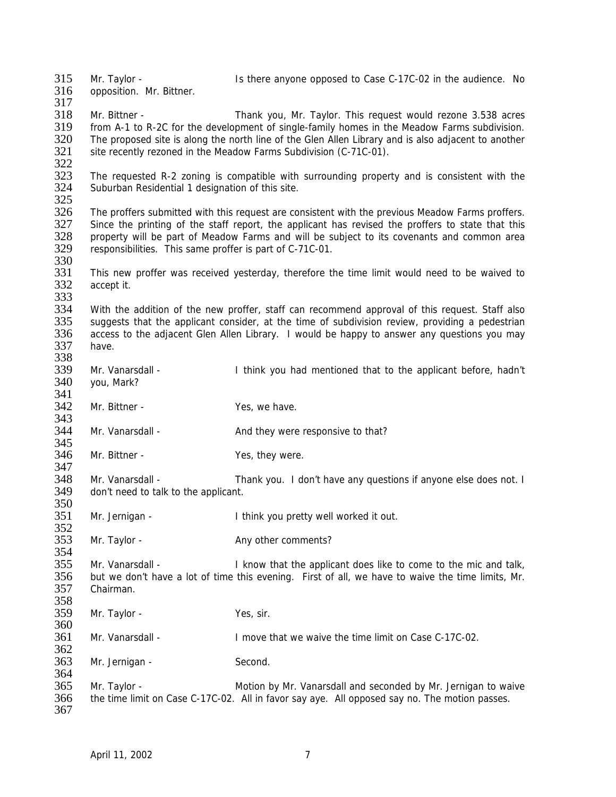315 Mr. Taylor - Is there anyone opposed to Case C-17C-02 in the audience. No<br>316 opposition Mr Bittner opposition. Mr. Bittner. 317 318 Mr. Bittner - Thank you, Mr. Taylor. This request would rezone 3.538 acres<br>319 from A-1 to R-2C for the development of single-family homes in the Meadow Farms subdivision. from A-1 to R-2C for the development of single-family homes in the Meadow Farms subdivision. 320 The proposed site is along the north line of the Glen Allen Library and is also adjacent to another 321 site recently rezoned in the Meadow Farms Subdivision (C-71C-01). 322<br>323 323 The requested R-2 zoning is compatible with surrounding property and is consistent with the 324 Suburban Residential 1 designation of this site. Suburban Residential 1 designation of this site. 325<br>326 326 The proffers submitted with this request are consistent with the previous Meadow Farms proffers.<br>327 Since the printing of the staff report, the applicant has revised the proffers to state that this Since the printing of the staff report, the applicant has revised the proffers to state that this 328 property will be part of Meadow Farms and will be subject to its covenants and common area<br>329 responsibilities. This same proffer is part of C-71C-01. responsibilities. This same proffer is part of C-71C-01. 330<br>331 This new proffer was received yesterday, therefore the time limit would need to be waived to 332 accept it. 333<br>334 334 With the addition of the new proffer, staff can recommend approval of this request. Staff also<br>335 suggests that the applicant consider, at the time of subdivision review, providing a pedestrian 335 suggests that the applicant consider, at the time of subdivision review, providing a pedestrian<br>336 access to the adiacent Glen Allen Library. I would be happy to answer any questions you may 336 access to the adjacent Glen Allen Library. I would be happy to answer any questions you may<br>337 have. have 338 339 Mr. Vanarsdall - I think you had mentioned that to the applicant before, hadn't 340 vou, Mark? you, Mark? 341 342 Mr. Bittner - Yes, we have. 343 344 Mr. Vanarsdall - And they were responsive to that? 345<br>346 Mr. Bittner - Yes, they were. 347<br>348 348 Mr. Vanarsdall - Thank you. I don't have any questions if anyone else does not. I<br>349 don't need to talk to the applicant. don't need to talk to the applicant. 350 351 Mr. Jernigan - I think you pretty well worked it out. 352 353 Mr. Taylor - Any other comments? 354<br>355 355 Mr. Vanarsdall - I know that the applicant does like to come to the mic and talk,<br>356 but we don't have a lot of time this evening. First of all, we have to waive the time limits, Mr. 356 but we don't have a lot of time this evening. First of all, we have to waive the time limits, Mr.<br>357 Chairman. Chairman. 358<br>359 Mr. Taylor - Yes, sir. 360<br>361 361 Mr. Vanarsdall - I move that we waive the time limit on Case C-17C-02. 362 363 Mr. Jernigan - Second. 364<br>365 365 Mr. Taylor - Motion by Mr. Vanarsdall and seconded by Mr. Jernigan to waive<br>366 the time limit on Case C-17C-02. All in favor say ave. All opposed say no. The motion passes. the time limit on Case C-17C-02. All in favor say aye. All opposed say no. The motion passes. 367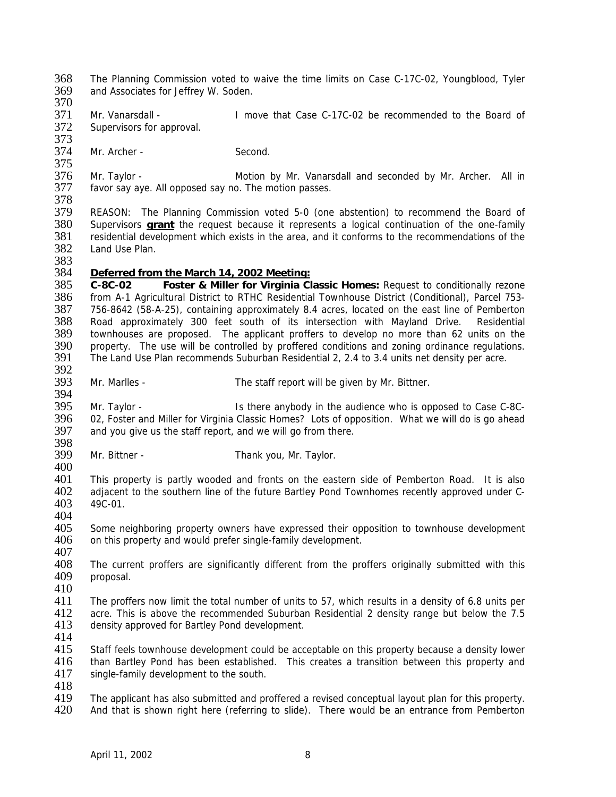368 The Planning Commission voted to waive the time limits on Case C-17C-02, Youngblood, Tyler<br>369 and Associates for Jeffrey W. Soden and Associates for Jeffrey W. Soden. 370 371 Mr. Vanarsdall - I move that Case C-17C-02 be recommended to the Board of S72 Supervisors for approval. Supervisors for approval. 373 374 Mr. Archer - Second. 375<br>376 376 Mr. Taylor - **Motion by Mr. Vanarsdall and seconded by Mr. Archer.** All in 377 favor sav ave. All opposed sav no. The motion passes. favor say aye. All opposed say no. The motion passes. 378<br>379 379 REASON: The Planning Commission voted 5-0 (one abstention) to recommend the Board of 380 Supervisors **grant** the request because it represents a logical continuation of the one-family Supervisors **grant** the request because it represents a logical continuation of the one-family 381 residential development which exists in the area, and it conforms to the recommendations of the 382 Land Use Plan. Land Use Plan. 383 384 *Deferred from the March 14, 2002 Meeting:* 385 **C-8C-02 Foster & Miller for Virginia Classic Homes:** Request to conditionally rezone 386 from A-1 Agricultural District to RTHC Residential Townhouse District (Conditional), Parcel 753-<br>387 756-8642 (58-A-25), containing approximately 8.4 acres, located on the east line of Pemberton 387 756-8642 (58-A-25), containing approximately 8.4 acres, located on the east line of Pemberton<br>388 Road approximately 300 feet south of its intersection with Mayland Drive. Residential 388 Road approximately 300 feet south of its intersection with Mayland Drive. Residential 389 townhouses are proposed. The applicant proffers to develop no more than 62 units on the 390 property. The use will be controlled by proffered conditions and zoning ordinance regulations 390 property. The use will be controlled by proffered conditions and zoning ordinance regulations.<br>391 The Land Use Plan recommends Suburban Residential 2, 2,4 to 3,4 units net density per acre. The Land Use Plan recommends Suburban Residential 2, 2.4 to 3.4 units net density per acre. 392<br>393 Mr. Marlles - The staff report will be given by Mr. Bittner. 394 395 Mr. Taylor - Is there anybody in the audience who is opposed to Case C-8C-396 02, Foster and Miller for Virginia Classic Homes? Lots of opposition. What we will do is go ahead 397 and you give us the staff report, and we will go from there. 398<br>399 Mr. Bittner - Thank you, Mr. Taylor.  $\frac{400}{401}$ 401 This property is partly wooded and fronts on the eastern side of Pemberton Road. It is also<br>402 adiacent to the southern line of the future Bartley Pond Townhomes recently approved under C-402 adjacent to the southern line of the future Bartley Pond Townhomes recently approved under C-<br>403 49C-01. 49C-01. 404<br>405 Some neighboring property owners have expressed their opposition to townhouse development 406 on this property and would prefer single-family development. 407<br>408 408 The current proffers are significantly different from the proffers originally submitted with this 409 proposal. proposal.  $\frac{410}{411}$ 411 The proffers now limit the total number of units to 57, which results in a density of 6.8 units per 412 acre. This is above the recommended Suburban Residential 2 density range but below the 7.5 412 acre. This is above the recommended Suburban Residential 2 density range but below the 7.5<br>413 density approved for Bartley Pond development. density approved for Bartley Pond development. 414 415 Staff feels townhouse development could be acceptable on this property because a density lower 416 than Bartley Pond has been established. This creates a transition between this property and 417 single-family development to the south. 418<br>419 419 The applicant has also submitted and proffered a revised conceptual layout plan for this property.<br>420 And that is shown right here (referring to slide). There would be an entrance from Pemberton And that is shown right here (referring to slide). There would be an entrance from Pemberton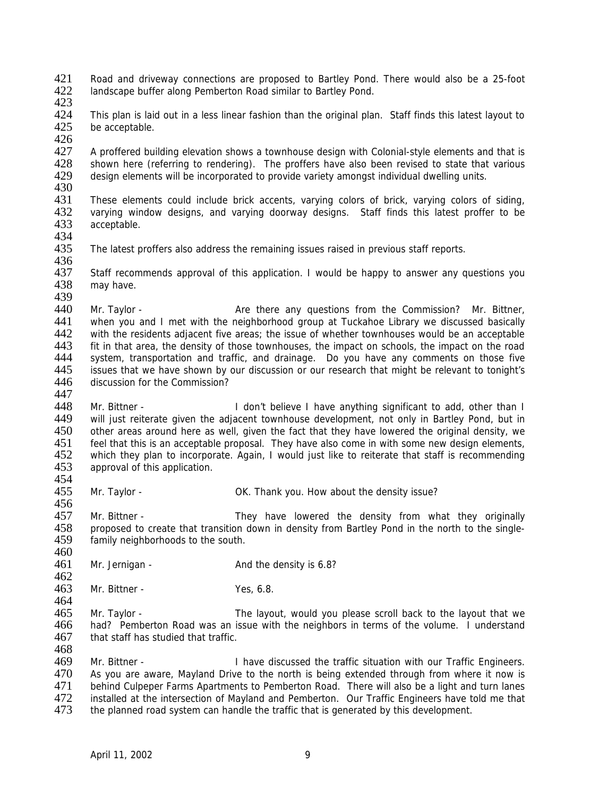421 Road and driveway connections are proposed to Bartley Pond. There would also be a 25-foot 422 landscape buffer along Pemberton Road similar to Bartley Pond landscape buffer along Pemberton Road similar to Bartley Pond.

423

424 This plan is laid out in a less linear fashion than the original plan. Staff finds this latest layout to 425 be acceptable. be acceptable. 426

427 A proffered building elevation shows a townhouse design with Colonial-style elements and that is<br>428 Shown here (referring to rendering). The proffers have also been revised to state that various 428 shown here (referring to rendering). The proffers have also been revised to state that various 429 design elements will be incorporated to provide variety amongst individual dwelling units. design elements will be incorporated to provide variety amongst individual dwelling units.

430<br>431 431 These elements could include brick accents, varying colors of brick, varying colors of siding,<br>432 varving window designs, and varving doorway designs. Staff finds this latest proffer to be 432 varying window designs, and varying doorway designs. Staff finds this latest proffer to be 433 acceptable. acceptable.

434<br>435

456

468

The latest proffers also address the remaining issues raised in previous staff reports.

436<br>437 Staff recommends approval of this application. I would be happy to answer any questions you 438 may have.

439<br>440 440 Mr. Taylor - **Are there any questions from the Commission?** Mr. Bittner, 441 when you and I met with the neighborhood group at Tuckahoe Library we discussed basically 441 when you and I met with the neighborhood group at Tuckahoe Library we discussed basically<br>442 with the residents adiacent five areas: the issue of whether townhouses would be an acceptable with the residents adjacent five areas; the issue of whether townhouses would be an acceptable 443 fit in that area the density of those townhouses the impact on schools the impact on the road 443 fit in that area, the density of those townhouses, the impact on schools, the impact on the road 444 system, transportation and traffic, and drainage. Do you have any comments on those five system, transportation and traffic, and drainage. Do you have any comments on those five 445 issues that we have shown by our discussion or our research that might be relevant to tonight's 446 discussion for the Commission? discussion for the Commission? 447

448 Mr. Bittner - I don't believe I have anything significant to add, other than I 449 will just reiterate given the adjacent townhouse development, not only in Bartley Pond, but in 450 other areas around here as well, given the fact that they have lowered the original density, we<br>451 feel that this is an acceptable proposal. They have also come in with some new design elements. 451 feel that this is an acceptable proposal. They have also come in with some new design elements,<br>452 which they plan to incorporate. Again, I would just like to reiterate that staff is recommending 452 which they plan to incorporate. Again, I would just like to reiterate that staff is recommending 453 approval of this application. approval of this application.

454<br>455 Mr. Taylor - **OK. Thank you. How about the density issue?** 

457 Mr. Bittner - They have lowered the density from what they originally<br>458 aroposed to create that transition down in density from Bartley Pond in the north to the singleproposed to create that transition down in density from Bartley Pond in the north to the single-459 family neighborhoods to the south.

460<br>461 Mr. Jernigan - And the density is 6.8?

 $\frac{462}{463}$ Mr. Bittner - Yes, 6.8.

464<br>465 465 Mr. Taylor - The layout, would you please scroll back to the layout that we<br>466 had? Pemberton Road was an issue with the neighbors in terms of the volume. I understand 466 had? Pemberton Road was an issue with the neighbors in terms of the volume. I understand that staff has studied that traffic. that staff has studied that traffic.

469 Mr. Bittner - I have discussed the traffic situation with our Traffic Engineers. 470 As you are aware, Mayland Drive to the north is being extended through from where it now is 471 behind Culpeper Farms Apartments to Pemberton Road. There will also be a light and turn lanes 471 behind Culpeper Farms Apartments to Pemberton Road. There will also be a light and turn lanes<br>472 installed at the intersection of Mayland and Pemberton. Our Traffic Engineers have told me that 472 installed at the intersection of Mayland and Pemberton. Our Traffic Engineers have told me that 473 the planned road system can handle the traffic that is generated by this development. the planned road system can handle the traffic that is generated by this development.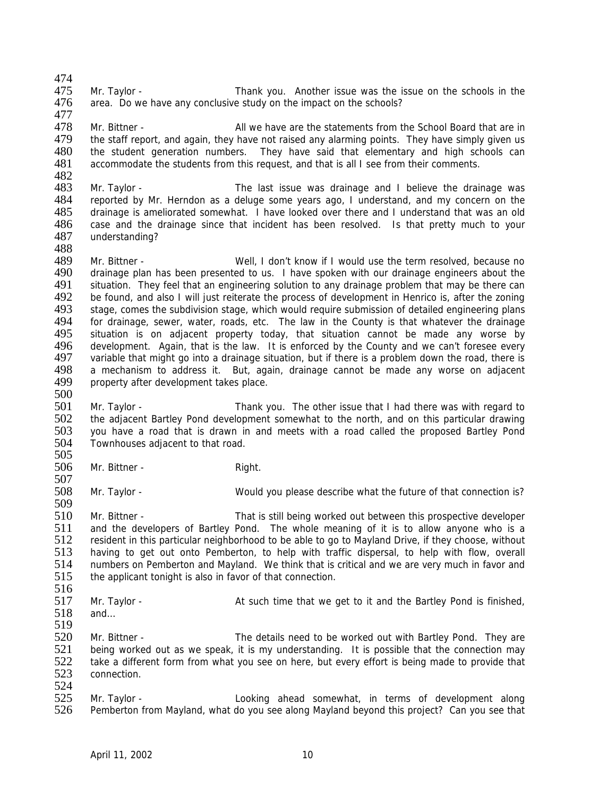474<br>475 475 Mr. Taylor - Thank you. Another issue was the issue on the schools in the 476 area. Do we have any conclusive study on the impact on the schools? area. Do we have any conclusive study on the impact on the schools?

477<br>478 478 Mr. Bittner - All we have are the statements from the School Board that are in<br>479 the staff report, and again, they have not raised any alarming points. They have simply given us the staff report, and again, they have not raised any alarming points. They have simply given us 480 the student generation numbers. They have said that elementary and high schools can<br>481 accommodate the students from this request, and that is all I see from their comments. accommodate the students from this request, and that is all I see from their comments.

482<br>483 483 Mr. Taylor - The last issue was drainage and I believe the drainage was<br>484 Freported by Mr. Herndon as a deluge some years ago. I understand, and my concern on the 484 reported by Mr. Herndon as a deluge some years ago, I understand, and my concern on the 485 drainage is ameliorated somewhat. I have looked over there and I understand that was an old 485 drainage is ameliorated somewhat. I have looked over there and I understand that was an old 486 case and the drainage since that incident has been resolved. Is that pretty much to your case and the drainage since that incident has been resolved. Is that pretty much to your 487 understanding?

488<br>489 489 Mr. Bittner - Well, I don't know if I would use the term resolved, because no<br>490 drainage plan has been presented to us. I have spoken with our drainage engineers about the drainage plan has been presented to us. I have spoken with our drainage engineers about the 491 situation. They feel that an engineering solution to any drainage problem that may be there can<br>492 be found, and also I will just reiterate the process of development in Henrico is, after the zoning 492 be found, and also I will just reiterate the process of development in Henrico is, after the zoning<br>493 stage, comes the subdivision stage, which would require submission of detailed engineering plans 493 stage, comes the subdivision stage, which would require submission of detailed engineering plans<br>494 for drainage, sewer, water, roads, etc. The law in the County is that whatever the drainage 494 for drainage, sewer, water, roads, etc. The law in the County is that whatever the drainage<br>495 situation is on adiacent property today, that situation cannot be made any worse by 495 situation is on adjacent property today, that situation cannot be made any worse by<br>496 development Again that is the law It is enforced by the County and we can't foresee every 496 development. Again, that is the law. It is enforced by the County and we can't foresee every<br>497 variable that might go into a drainage situation, but if there is a problem down the road, there is variable that might go into a drainage situation, but if there is a problem down the road, there is 498 a mechanism to address it. But, again, drainage cannot be made any worse on adjacent 499 property after development takes place. property after development takes place. 500

- 501 Mr. Taylor Thank you. The other issue that I had there was with regard to 502 the adjacent Bartley Pond development somewhat to the north, and on this particular drawing<br>503 vou have a road that is drawn in and meets with a road called the proposed Bartley Pond 503 you have a road that is drawn in and meets with a road called the proposed Bartley Pond<br>504 Townhouses adiacent to that road. Townhouses adjacent to that road.
- $\frac{505}{506}$ Mr. Bittner - Right.

507<br>508 Mr. Taylor - Would you please describe what the future of that connection is? 509

510 Mr. Bittner - That is still being worked out between this prospective developer 511 and the developers of Bartley Pond. The whole meaning of it is to allow anyone who is a 512 resident in this particular neighborhood to be able to go to Mayland Drive, if they choose, without 513 having to get out onto Pemberton, to help with traffic dispersal, to help with flow, overall 514 numbers on Pemberton and Mavland. We think that is critical and we are very much in favor and 514 numbers on Pemberton and Mayland. We think that is critical and we are very much in favor and 515 the applicant tonight is also in favor of that connection. the applicant tonight is also in favor of that connection.

516<br>517

517 Mr. Taylor - At such time that we get to it and the Bartley Pond is finished,<br>518 and... and $\ldots$ 

519<br>520 Mr. Bittner - The details need to be worked out with Bartley Pond. They are being worked out as we speak, it is my understanding. It is possible that the connection may take a different form from what you see on here, but every effort is being made to provide that connection.

524<br>525 525 Mr. Taylor - Looking ahead somewhat, in terms of development along<br>526 Pemberton from Mayland, what do you see along Mayland beyond this project? Can you see that Pemberton from Mayland, what do you see along Mayland beyond this project? Can you see that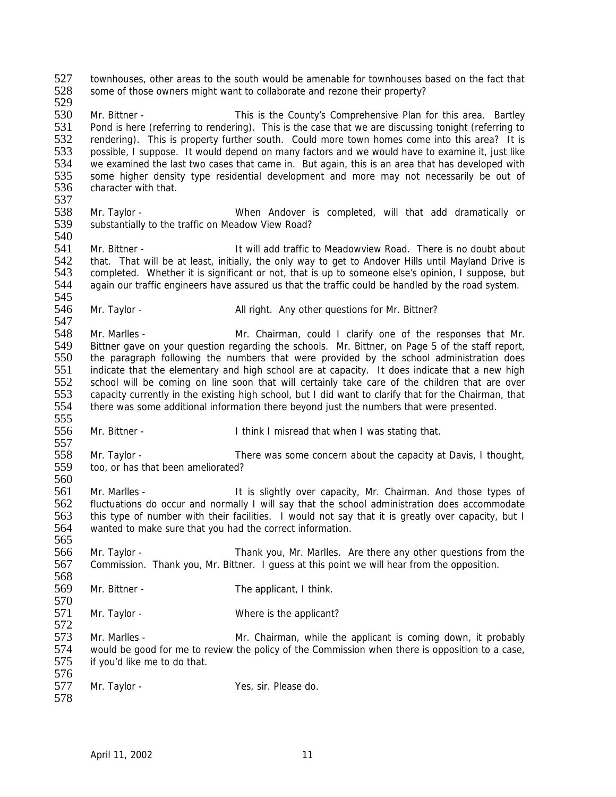527 townhouses, other areas to the south would be amenable for townhouses based on the fact that 528 some of those owners might want to collaborate and rezone their property? some of those owners might want to collaborate and rezone their property? 529

530 Mr. Bittner - This is the County's Comprehensive Plan for this area. Bartley<br>531 Pond is here (referring to rendering). This is the case that we are discussing tonight (referring to Pond is here (referring to rendering). This is the case that we are discussing tonight (referring to 532 rendering). This is property further south. Could more town homes come into this area? It is 533 possible, I suppose. It would depend on many factors and we would have to examine it, just like<br>534 we examined the last two cases that came in. But again, this is an area that has developed with 534 we examined the last two cases that came in. But again, this is an area that has developed with<br>535 some higher density type residential development and more may not necessarily be out of 535 some higher density type residential development and more may not necessarily be out of 536 character with that. character with that.

537<br>538 538 Mr. Taylor - When Andover is completed, will that add dramatically or substantially to the traffic on Meadow View Road? substantially to the traffic on Meadow View Road?

540<br>541 Mr. Bittner - The State of the U.S. It will add traffic to Meadowview Road. There is no doubt about 542 that. That will be at least, initially, the only way to get to Andover Hills until Mayland Drive is 543 completed. Whether it is significant or not, that is up to someone else's opinion, I suppose, but completed. Whether it is significant or not, that is up to someone else's opinion, I suppose, but 544 again our traffic engineers have assured us that the traffic could be handled by the road system.

545<br>546 Mr. Taylor - The Solid Mull right. Any other questions for Mr. Bittner?

547<br>548 548 Mr. Marlles - Mr. Chairman, could I clarify one of the responses that Mr.<br>549 Bittner gave on your question regarding the schools. Mr. Bittner, on Page 5 of the staff report 549 Bittner gave on your question regarding the schools. Mr. Bittner, on Page 5 of the staff report,<br>550 the paragraph following the numbers that were provided by the school administration does the paragraph following the numbers that were provided by the school administration does 551 indicate that the elementary and high school are at capacity. It does indicate that a new high<br>552 school will be coming on line soon that will certainly take care of the children that are over school will be coming on line soon that will certainly take care of the children that are over 553 capacity currently in the existing high school, but I did want to clarify that for the Chairman, that 554 there was some additional information there beyond just the numbers that were presented.

556 Mr. Bittner - I think I misread that when I was stating that.

557<br>558 558 Mr. Taylor - There was some concern about the capacity at Davis, I thought,<br>559 too, or has that been ameliorated? too, or has that been ameliorated?

560<br>561 561 Mr. Marlles - It is slightly over capacity, Mr. Chairman. And those types of 562 fluctuations do occur and normally I will say that the school administration does accommodate fluctuations do occur and normally I will say that the school administration does accommodate 563 this type of number with their facilities. I would not say that it is greatly over capacity, but I 564 wanted to make sure that you had the correct information.

566 Mr. Taylor - Thank you, Mr. Marlles. Are there any other questions from the 567 Commission. Thank you, Mr. Bittner. I quess at this point we will hear from the opposition. 567 Commission. Thank you, Mr. Bittner. I guess at this point we will hear from the opposition.

- 568<br>569 Mr. Bittner - The applicant, I think.
- 570<br>571 Mr. Taylor - Where is the applicant?

572<br>573 Mr. Marlles - The Mr. Chairman, while the applicant is coming down, it probably 574 would be good for me to review the policy of the Commission when there is opposition to a case, 575 if you'd like me to do that.

576<br>577 Mr. Taylor - Yes, sir. Please do. 578

April 11, 2002 11

555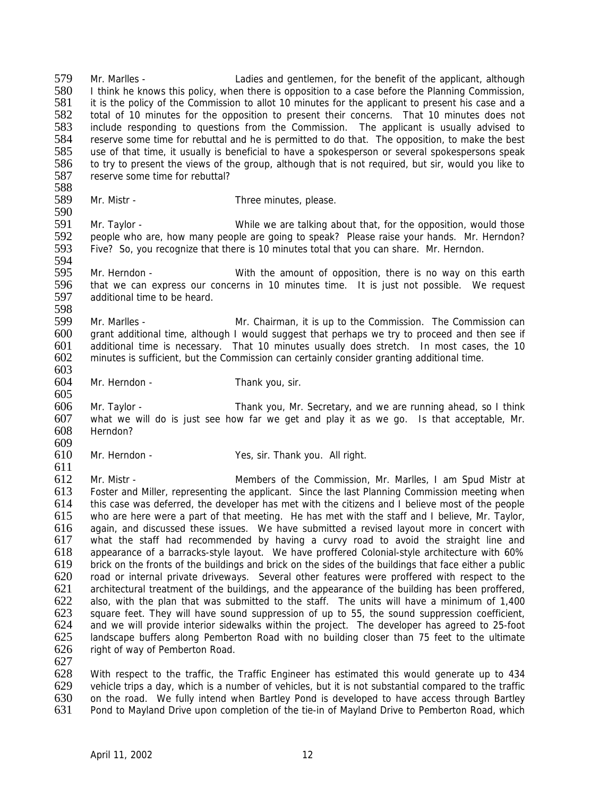579 Mr. Marlles - Ladies and gentlemen, for the benefit of the applicant, although<br>580 I think he knows this policy when there is opposition to a case before the Planning Commission 580 I think he knows this policy, when there is opposition to a case before the Planning Commission,<br>581 it is the policy of the Commission to allot 10 minutes for the applicant to present his case and a it is the policy of the Commission to allot 10 minutes for the applicant to present his case and a 582 total of 10 minutes for the opposition to present their concerns. That 10 minutes does not 583 include responding to questions from the Commission. The applicant is usually advised to include responding to questions from the Commission. The applicant is usually advised to 584 reserve some time for rebuttal and he is permitted to do that. The opposition, to make the best 585 use of that time, it usually is beneficial to have a spokesperson or several spokespersons speak<br>586 to try to present the views of the group, although that is not required, but sir, would you like to 586 to try to present the views of the group, although that is not required, but sir, would you like to 587 reserve some time for rebuttal? reserve some time for rebuttal?

588 Mr. Mistr - Three minutes, please.

590<br>591 Mr. Taylor - The State of the While we are talking about that, for the opposition, would those 592 people who are, how many people are going to speak? Please raise your hands. Mr. Herndon?<br>593 Five? So, you recognize that there is 10 minutes total that you can share. Mr. Herndon. Five? So, you recognize that there is 10 minutes total that you can share. Mr. Herndon.

594<br>595 595 Mr. Herndon - With the amount of opposition, there is no way on this earth 596 that we can express our concerns in 10 minutes time. It is just not possible. We request 597 additional time to be heard. additional time to be heard.

598<br>599 599 Mr. Marlles - Mr. Chairman, it is up to the Commission. The Commission can<br>600 arant additional time, although I would suggest that perhaps we try to proceed and then see if 600 grant additional time, although I would suggest that perhaps we try to proceed and then see if 601 additional time is necessary. That 10 minutes usually does stretch. In most cases, the 10 601 additional time is necessary. That 10 minutes usually does stretch. In most cases, the 10  $602$  minutes is sufficient, but the Commission can certainly consider granting additional time. minutes is sufficient, but the Commission can certainly consider granting additional time.

603<br>604 Mr. Herndon - Thank you, sir.

606 Mr. Taylor - Thank you, Mr. Secretary, and we are running ahead, so I think 607 what we will do is just see how far we get and play it as we go. Is that acceptable, Mr. 608 Herndon?

609<br>610 Mr. Herndon - Yes, sir. Thank you. All right.

 $611$ <br> $612$ 612 Mr. Mistr - Members of the Commission, Mr. Marlles, I am Spud Mistr at 613 Foster and Miller, representing the applicant. Since the last Planning Commission meeting when<br>614 this case was deferred, the developer has met with the citizens and I believe most of the people this case was deferred, the developer has met with the citizens and I believe most of the people 615 who are here were a part of that meeting. He has met with the staff and I believe, Mr. Taylor, 616 again, and discussed these issues. We have submitted a revised layout more in concert with 617 what the staff had recommended by having a curvy road to avoid the straight line and 618 appearance of a barracks-style layout. We have proffered Colonial-style architecture with 60% 619 brick on the fronts of the buildings and brick on the sides of the buildings that face either a public<br>620 coad or internal private driveways. Several other features were proffered with respect to the 620 road or internal private driveways. Several other features were proffered with respect to the 621 architectural treatment of the buildings, and the appearance of the building has been proffered. 621 architectural treatment of the buildings, and the appearance of the building has been proffered,<br>622 also, with the plan that was submitted to the staff. The units will have a minimum of 1.400 622 also, with the plan that was submitted to the staff. The units will have a minimum of 1,400 square feet. They will have sound suppression of up to 55, the sound suppression coefficient. 623 square feet. They will have sound suppression of up to 55, the sound suppression coefficient,<br>624 and we will provide interior sidewalks within the project. The developer has agreed to 25-foot 624 and we will provide interior sidewalks within the project. The developer has agreed to 25-foot 625 landscape buffers along Pemberton Road with no building closer than 75 feet to the ultimate landscape buffers along Pemberton Road with no building closer than 75 feet to the ultimate 626 right of way of Pemberton Road.

627

605

628 With respect to the traffic, the Traffic Engineer has estimated this would generate up to 434<br>629 vehicle trips a day, which is a number of vehicles, but it is not substantial compared to the traffic 629 vehicle trips a day, which is a number of vehicles, but it is not substantial compared to the traffic<br>630 on the road. We fully intend when Bartley Pond is developed to have access through Bartley 630 on the road. We fully intend when Bartley Pond is developed to have access through Bartley<br>631 Pond to Mavland Drive upon completion of the tie-in of Mavland Drive to Pemberton Road, which Pond to Mayland Drive upon completion of the tie-in of Mayland Drive to Pemberton Road, which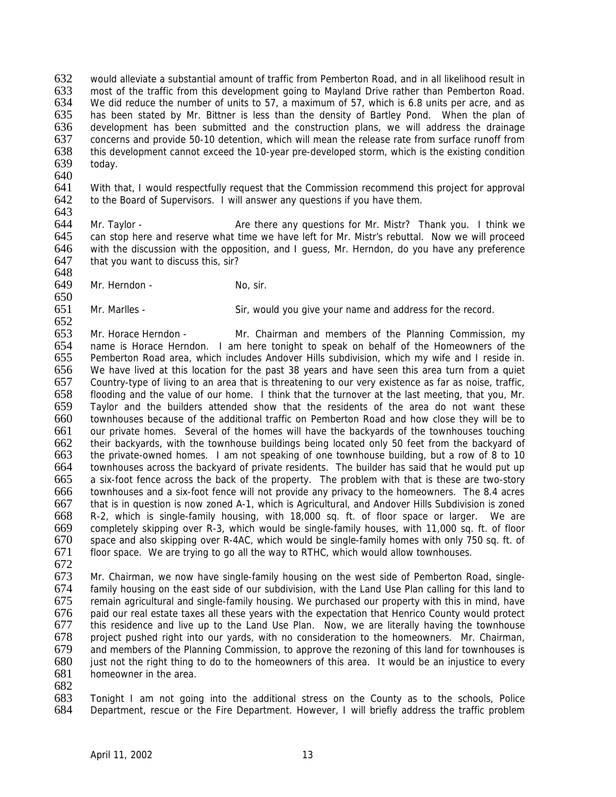632 would alleviate a substantial amount of traffic from Pemberton Road, and in all likelihood result in<br>633 most of the traffic from this development going to Mayland Drive rather than Pemberton Road. 633 most of the traffic from this development going to Mayland Drive rather than Pemberton Road.<br>634 We did reduce the number of units to 57, a maximum of 57, which is 6.8 units per acre, and as We did reduce the number of units to 57, a maximum of 57, which is 6.8 units per acre, and as 635 has been stated by Mr. Bittner is less than the density of Bartley Pond. When the plan of 636 development has been submitted and the construction plans, we will address the drainage 637 concerns and provide 50-10 detention, which will mean the release rate from surface runoff from 638 this development cannot exceed the 10-year pre-developed storm, which is the existing condition today.

640<br>641 641 With that, I would respectfully request that the Commission recommend this project for approval 642 to the Board of Supervisors. I will answer any questions if you have them. to the Board of Supervisors. I will answer any questions if you have them.

643<br>644 Mr. Taylor - **Are there any questions for Mr. Mistr?** Thank you. I think we 645 can stop here and reserve what time we have left for Mr. Mistr's rebuttal. Now we will proceed 646 with the discussion with the opposition, and I guess, Mr. Herndon, do you have any preference 647 that you want to discuss this, sir? 648

649 Mr. Herndon - No, sir.

650<br>651 Mr. Marlles - Sir, would you give your name and address for the record.

652<br>653 653 Mr. Horace Herndon - Mr. Chairman and members of the Planning Commission, my<br>654 name is Horace Herndon. I am here tonight to speak on behalf of the Homeowners of the name is Horace Herndon. I am here tonight to speak on behalf of the Homeowners of the 655 Pemberton Road area, which includes Andover Hills subdivision, which my wife and I reside in. 656 We have lived at this location for the past 38 years and have seen this area turn from a quiet 657 Country-type of living to an area that is threatening to our very existence as far as noise, traffic, 658 flooding and the value of our home. I think that the turnover at the last meeting, that you, Mr. 659 Taylor and the builders attended show that the residents of the area do not want these 660 townhouses because of the additional traffic on Pemberton Road and how close they will be to 661 our private homes. Several of the homes will have the backyards of the townhouses touching<br>662 their backyards, with the townhouse buildings being located only 50 feet from the backyard of 662 their backyards, with the townhouse buildings being located only 50 feet from the backyard of 663 the private-owned homes. I am not speaking of one townhouse building, but a row of 8 to 10 663 the private-owned homes. I am not speaking of one townhouse building, but a row of 8 to 10<br>664 townhouses across the backvard of private residents. The builder has said that he would put up townhouses across the backyard of private residents. The builder has said that he would put up 665 a six-foot fence across the back of the property. The problem with that is these are two-story 666 townhouses and a six-foot fence will not provide any privacy to the homeowners. The 8.4 acres that is in question is now zoned A-1, which is Agricultural, and Andover Hills Subdivision is zoned 668 R-2, which is single-family housing, with 18,000 sq. ft. of floor space or larger. We are 669 completely skipping over R-3, which would be single-family houses, with 11,000 sq. ft. of floor 670 space and also skipping over R-4AC, which would be single-family homes with only 750 sq. ft. of 671 floor space. We are trying to go all the way to RTHC, which would allow townhouses.

672<br>673

673 Mr. Chairman, we now have single-family housing on the west side of Pemberton Road, single-<br>674 family housing on the east side of our subdivision, with the Land Use Plan calling for this land to 674 family housing on the east side of our subdivision, with the Land Use Plan calling for this land to remain agricultural and single-family housing. We purchased our property with this in mind, have 676 paid our real estate taxes all these years with the expectation that Henrico County would protect 677 this residence and live up to the Land Use Plan. Now, we are literally having the townhouse this residence and live up to the Land Use Plan. Now, we are literally having the townhouse 678 project pushed right into our yards, with no consideration to the homeowners. Mr. Chairman, 679 and members of the Planning Commission, to approve the rezoning of this land for townhouses is 680 just not the right thing to do to the homeowners of this area. It would be an injustice to every 681 homeowner in the area.

682<br>683 683 Tonight I am not going into the additional stress on the County as to the schools, Police 684 Department, rescue or the Fire Department, However, I will briefly address the traffic problem Department, rescue or the Fire Department. However, I will briefly address the traffic problem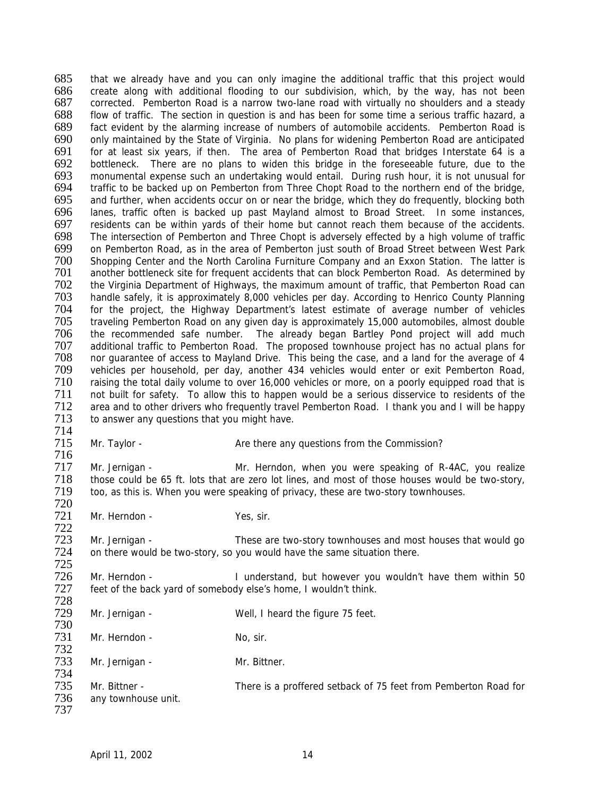685 that we already have and you can only imagine the additional traffic that this project would<br>686 create along with additional flooding to our subdivision, which by the way has not been 686 create along with additional flooding to our subdivision, which, by the way, has not been<br>687 corrected. Pemberton Road is a narrow two-lane road with virtually no shoulders and a steady corrected. Pemberton Road is a narrow two-lane road with virtually no shoulders and a steady 688 flow of traffic. The section in question is and has been for some time a serious traffic hazard, a fact evident by the alarming increase of numbers of automobile accidents. Pemberton Road is 690 only maintained by the State of Virginia. No plans for widening Pemberton Road are anticipated 691 for at least six years, if then. The area of Pemberton Road that bridges Interstate 64 is a 692 bottleneck. There are no plans to widen this bridge in the foreseeable future, due to the 693 monumental expense such an undertaking would entail. During rush hour, it is not unusual for 693 monumental expense such an undertaking would entail. During rush hour, it is not unusual for 694 traffic to be backed up on Pemberton from Three Chopt Road to the northern end of the bridge,<br>695 and further, when accidents occur on or near the bridge, which they do frequently, blocking both 695 and further, when accidents occur on or near the bridge, which they do frequently, blocking both 696 lanes, traffic often is backed up past Mayland almost to Broad Street. In some instances, 696 lanes, traffic often is backed up past Mayland almost to Broad Street. In some instances,<br>697 residents can be within yards of their home but cannot reach them because of the accidents. residents can be within yards of their home but cannot reach them because of the accidents. 698 The intersection of Pemberton and Three Chopt is adversely effected by a high volume of traffic<br>699 on Pemberton Road, as in the area of Pemberton just south of Broad Street between West Park 699 on Pemberton Road, as in the area of Pemberton just south of Broad Street between West Park<br>700 Shopping Center and the North Carolina Furniture Company and an Exxon Station. The latter is Shopping Center and the North Carolina Furniture Company and an Exxon Station. The latter is 701 another bottleneck site for frequent accidents that can block Pemberton Road. As determined by 702 the Virginia Department of Highways, the maximum amount of traffic, that Pemberton Road can<br>703 handle safely, it is approximately 8,000 vehicles per day. According to Henrico County Planning 703 handle safely, it is approximately 8,000 vehicles per day. According to Henrico County Planning<br>704 for the project, the Highway Department's latest estimate of average number of vehicles 704 for the project, the Highway Department's latest estimate of average number of vehicles<br>705 traveling Pemberton Road on any given day is approximately 15,000 automobiles, almost double 705 traveling Pemberton Road on any given day is approximately 15,000 automobiles, almost double 706 the recommended safe number. The already began Bartley Pond project will add much<br>707 additional traffic to Pemberton Road. The proposed townhouse project has no actual plans for 707 additional traffic to Pemberton Road. The proposed townhouse project has no actual plans for<br>708 nor quarantee of access to Mayland Drive. This being the case, and a land for the average of 4 nor guarantee of access to Mayland Drive. This being the case, and a land for the average of 4 709 vehicles per household, per day, another 434 vehicles would enter or exit Pemberton Road,<br>710 raising the total daily volume to over 16,000 vehicles or more, on a poorly equipped road that is raising the total daily volume to over 16,000 vehicles or more, on a poorly equipped road that is 711 not built for safety. To allow this to happen would be a serious disservice to residents of the<br>712 area and to other drivers who frequently travel Pemberton Road. I thank you and I will be happy 712 area and to other drivers who frequently travel Pemberton Road. I thank you and I will be happy 713 to answer any questions that you might have. to answer any questions that you might have.

714

722

Mr. Taylor - The There any questions from the Commission?

716<br>717 717 Mr. Jernigan - Mr. Herndon, when you were speaking of R-4AC, you realize<br>718 those could be 65 ft. lots that are zero lot lines, and most of those houses would be two-story. The those could be 65 ft. lots that are zero lot lines, and most of those houses would be two-story,<br>
719 too, as this is. When you were speaking of privacy, these are two-story townhouses. too, as this is. When you were speaking of privacy, these are two-story townhouses. 720

721 Mr. Herndon - Yes, sir.

723 Mr. Jernigan - These are two-story townhouses and most houses that would go 724 on there would be two-story, so you would have the same situation there.

725 726 Mr. Herndon - I understand, but however you wouldn't have them within 50<br>727 feet of the back vard of somebody else's home. I wouldn't think. feet of the back yard of somebody else's home, I wouldn't think. 728

| $1 \angle 0$<br>729<br>730 | Mr. Jernigan -                       | Well, I heard the figure 75 feet.                               |
|----------------------------|--------------------------------------|-----------------------------------------------------------------|
| 731<br>732                 | Mr. Herndon -                        | No, sir.                                                        |
| 733<br>734                 | Mr. Jernigan -                       | Mr. Bittner.                                                    |
| 735<br>736<br>737          | Mr. Bittner -<br>any townhouse unit. | There is a proffered setback of 75 feet from Pemberton Road for |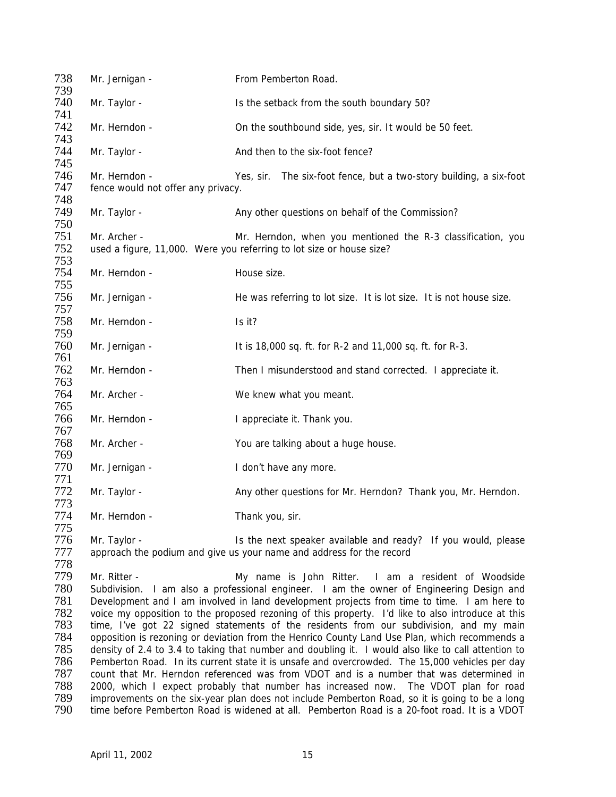738 Mr. Jernigan - From Pemberton Road. 739<br>740 Mr. Taylor - The Setback from the south boundary 50? 741 Mr. Herndon - Con the southbound side, yes, sir. It would be 50 feet. 743 744 Mr. Taylor - And then to the six-foot fence? 745 746 Mr. Herndon - Yes, sir. The six-foot fence, but a two-story building, a six-foot 747 fence would not offer any privacy. fence would not offer any privacy. 748 Mr. Taylor - The Any other questions on behalf of the Commission? 750 751 Mr. Archer - Mr. Mr. Herndon, when you mentioned the R-3 classification, you<br>752 used a figure, 11,000. Were you referring to lot size or house size? used a figure, 11,000. Were you referring to lot size or house size? 753 754 Mr. Herndon - House size. 755 Mr. Jernigan - The was referring to lot size. It is lot size. It is not house size. 757 Mr. Herndon - Is it? 759 760 Mr. Jernigan - It is 18,000 sq. ft. for R-2 and 11,000 sq. ft. for R-3. 761 762 Mr. Herndon - Then I misunderstood and stand corrected. I appreciate it. 763 764 Mr. Archer - We knew what you meant. 765 766 Mr. Herndon - I appreciate it. Thank you. 767<br>768 Mr. Archer - You are talking about a huge house. 769<br>770 Mr. Jernigan - The Muslim Contract of Have any more. 771 Mr. Taylor - Any other questions for Mr. Herndon? Thank you, Mr. Herndon. 773 774 Mr. Herndon - Thank you, sir. 775 776 Mr. Taylor - Is the next speaker available and ready? If you would, please 777 approach the podium and give us your name and address for the record 778 779 Mr. Ritter - 179 Mr. Ritter - 179 My name is John Ritter. I am a resident of Woodside<br>780 Subdivision. I am also a professional engineer. I am the owner of Engineering Design and 780 Subdivision. I am also a professional engineer. I am the owner of Engineering Design and 781 Development and Lam involved in land development projects from time to time. Lam here to 781 Development and I am involved in land development projects from time to time. I am here to<br>782 voice my opposition to the proposed rezoning of this property. I'd like to also introduce at this 782 voice my opposition to the proposed rezoning of this property. I'd like to also introduce at this<br>783 time. I've got 22 signed statements of the residents from our subdivision, and my main 783 time, I've got 22 signed statements of the residents from our subdivision, and my main 784 opposition is rezoning or deviation from the Henrico County Land Use Plan, which recommends a 784 opposition is rezoning or deviation from the Henrico County Land Use Plan, which recommends a 785 density of 2.4 to 3.4 to taking that number and doubling it. I would also like to call attention to 786 Pemberton Road. In its current state it is unsafe and overcrowded. The 15,000 vehicles per day 787 count that Mr. Herndon referenced was from VDOT and is a number that was determined in<br>788 2000, which I expect probably that number has increased now. The VDOT plan for road 788 2000, which I expect probably that number has increased now. The VDOT plan for road<br>789 improvements on the six-year plan does not include Pemberton Road, so it is going to be a long 789 improvements on the six-year plan does not include Pemberton Road, so it is going to be a long<br>790 time before Pemberton Road is widened at all. Pemberton Road is a 20-foot road. It is a VDOT time before Pemberton Road is widened at all. Pemberton Road is a 20-foot road. It is a VDOT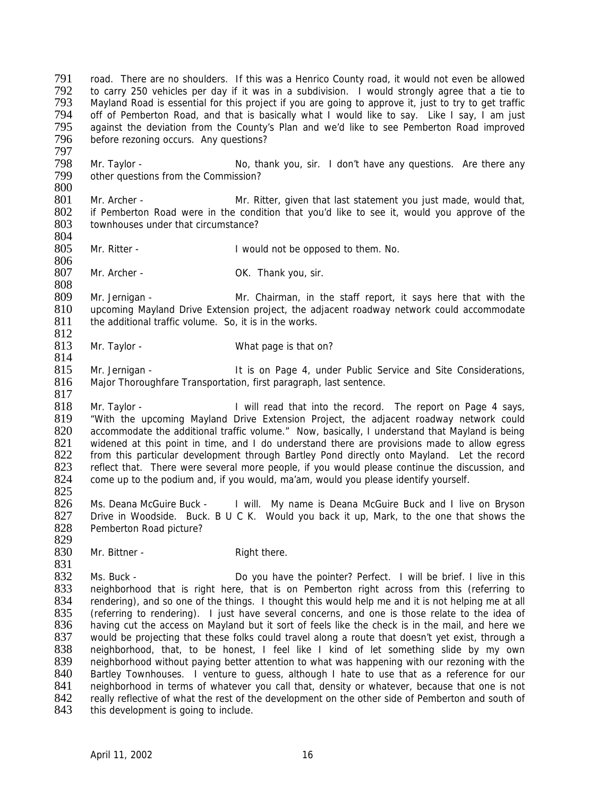791 road. There are no shoulders. If this was a Henrico County road, it would not even be allowed<br>792 to carry 250 vehicles per day if it was in a subdivision. I would strongly agree that a tie to 792 to carry 250 vehicles per day if it was in a subdivision. I would strongly agree that a tie to<br>793 Mayland Road is essential for this project if you are going to approve it, just to try to get traffic Mayland Road is essential for this project if you are going to approve it, just to try to get traffic 794 off of Pemberton Road, and that is basically what I would like to say. Like I say, I am just 795 against the deviation from the County's Plan and we'd like to see Pemberton Road improved 795 against the deviation from the County's Plan and we'd like to see Pemberton Road improved<br>796 before rezoning occurs. Any questions? before rezoning occurs. Any questions?

797 798 Mr. Taylor - No, thank you, sir. I don't have any questions. Are there any metally cother questions from the Commission? other questions from the Commission?

- $\frac{800}{801}$ 801 Mr. Archer - Mr. Ritter, given that last statement you just made, would that, 802 if Pemberton Road were in the condition that you'd like to see it. would you approve of the 802 if Pemberton Road were in the condition that you'd like to see it, would you approve of the 803 townhouses under that circumstance? townhouses under that circumstance?
- 804 Mr. Ritter - The State of Twould not be opposed to them. No.
- 807 Mr. Archer OK. Thank you, sir.

806

814

817

808 809 Mr. Jernigan - Mr. Chairman, in the staff report, it says here that with the 810 upcoming Mayland Drive Extension project, the adiacent roadway network could accommodate 810 upcoming Mayland Drive Extension project, the adjacent roadway network could accommodate 811 the additional traffic volume. So, it is in the works. the additional traffic volume. So, it is in the works.

 $\frac{812}{813}$ Mr. Taylor - What page is that on?

815 Mr. Jernigan - It is on Page 4, under Public Service and Site Considerations,<br>816 Major Thoroughfare Transportation, first paragraph, last sentence. Major Thoroughfare Transportation, first paragraph, last sentence.

818 Mr. Taylor - I will read that into the record. The report on Page 4 says, 819 "With the upcoming Mayland Drive Extension Project, the adjacent roadway network could 820 accommodate the additional traffic volume." Now, basically, I understand that Mayland is being<br>821 widened at this point in time, and I do understand there are provisions made to allow egress 821 widened at this point in time, and I do understand there are provisions made to allow egress<br>822 from this particular development through Bartley Pond directly onto Mayland. Let the record 822 from this particular development through Bartley Pond directly onto Mayland. Let the record 823 reflect that. There were several more people, if you would please continue the discussion, and 823 reflect that. There were several more people, if you would please continue the discussion, and 824 come up to the podium and, if you would, ma'am, would you please identify yourself. come up to the podium and, if you would, ma'am, would you please identify yourself.

825<br>826 Ms. Deana McGuire Buck - I will. My name is Deana McGuire Buck and I live on Bryson 827 Drive in Woodside. Buck. B U C K. Would you back it up, Mark, to the one that shows the 828 Pemberton Road picture? Pemberton Road picture?

829<br>830 Mr. Bittner - Right there.

831<br>832 832 Ms. Buck - Do you have the pointer? Perfect. I will be brief. I live in this<br>833 neighborhood that is right here, that is on Pemberton right across from this (referring to 833 neighborhood that is right here, that is on Pemberton right across from this (referring to 834 rendering) and so one of the things I thought this would help me and it is not helping me at all 834 rendering), and so one of the things. I thought this would help me and it is not helping me at all 835 (referring to rendering). I just have several concerns, and one is those relate to the idea of 835 (referring to rendering). I just have several concerns, and one is those relate to the idea of 836 having cut the access on Mayland but it sort of feels like the check is in the mail, and here we 836 having cut the access on Mayland but it sort of feels like the check is in the mail, and here we<br>837 would be projecting that these folks could travel along a route that doesn't yet exist, through a would be projecting that these folks could travel along a route that doesn't yet exist, through a 838 neighborhood, that, to be honest, I feel like I kind of let something slide by my own 839 neighborhood without paying better attention to what was happening with our rezoning with the 840 Bartley Townhouses. I venture to guess, although I hate to use that as a reference for our 841 neighborhood in terms of whatever you call that, density or whatever, because that one is not 841 neighborhood in terms of whatever you call that, density or whatever, because that one is not<br>842 really reflective of what the rest of the development on the other side of Pemberton and south of 842 really reflective of what the rest of the development on the other side of Pemberton and south of 843 this development is going to include. this development is going to include.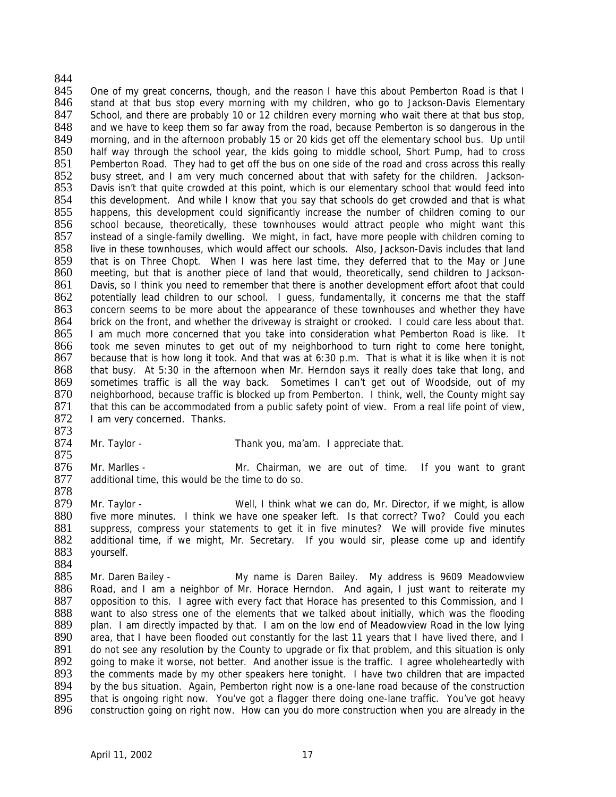## 844<br>845 845 One of my great concerns, though, and the reason I have this about Pemberton Road is that I<br>846 stand at that bus stop every morning with my children, who go to Jackson-Davis Elementary stand at that bus stop every morning with my children, who go to Jackson-Davis Elementary 847 School, and there are probably 10 or 12 children every morning who wait there at that bus stop,<br>848 and we have to keep them so far away from the road, because Pemberton is so dangerous in the 848 and we have to keep them so far away from the road, because Pemberton is so dangerous in the 849 morning, and in the afternoon probably 15 or 20 kids get off the elementary school bus. Up until morning, and in the afternoon probably 15 or 20 kids get off the elementary school bus. Up until 850 half way through the school year, the kids going to middle school, Short Pump, had to cross<br>851 Pemberton Road. They had to get off the bus on one side of the road and cross across this really 851 Pemberton Road. They had to get off the bus on one side of the road and cross across this really 852 busy street, and I am very much concerned about that with safety for the children. Jackson-852 busy street, and I am very much concerned about that with safety for the children. Jackson-<br>853 Davis isn't that quite crowded at this point, which is our elementary school that would feed into 853 Davis isn't that quite crowded at this point, which is our elementary school that would feed into 854 this development. And while I know that you say that schools do get crowded and that is what 854 this development. And while I know that you say that schools do get crowded and that is what 855 happens, this development could significantly increase the number of children coming to our happens, this development could significantly increase the number of children coming to our 856 school because, theoretically, these townhouses would attract people who might want this 857 instead of a single-family dwelling. We might, in fact, have more people with children coming to 858 live in these townhouses, which would affect our schools. Also, Jackson-Davis includes that land live in these townhouses, which would affect our schools. Also, Jackson-Davis includes that land 859 that is on Three Chopt. When I was here last time, they deferred that to the May or June 860 meeting, but that is another piece of land that would, theoretically, send children to Jackson-861 Davis, so I think you need to remember that there is another development effort afoot that could 862 potentially lead children to our school. I guess, fundamentally, it concerns me that the staff 863 concern seems to be more about the appearance of these townhouses and whether they have 863 concern seems to be more about the appearance of these townhouses and whether they have<br>864 brick on the front, and whether the driveway is straight or crooked. I could care less about that. 864 brick on the front, and whether the driveway is straight or crooked. I could care less about that.<br>865 I am much more concerned that you take into consideration what Pemberton Road is like. It I am much more concerned that you take into consideration what Pemberton Road is like. It 866 took me seven minutes to get out of my neighborhood to turn right to come here tonight, 867 because that is how long it took. And that was at 6:30 p.m. That is what it is like when it is not 868 that busy. At 5:30 in the afternoon when Mr. Herndon says it really does take that long, and 869 sometimes traffic is all the way back. Sometimes I can't get out of Woodside, out of my 870 neighborhood, because traffic is blocked up from Pemberton. I think, well, the County might say 871 that this can be accommodated from a public safety point of view. From a real life point of view,<br>872 lam very concerned. Thanks. I am very concerned. Thanks.

- 873<br>874
	- Mr. Taylor Thank you, ma'am. I appreciate that.
- 875<br>876 876 Mr. Marlles - Mr. Chairman, we are out of time. If you want to grant 877 additional time, this would be the time to do so. additional time, this would be the time to do so.
- 878 Mr. Taylor - Well, I think what we can do, Mr. Director, if we might, is allow 880 five more minutes. I think we have one speaker left. Is that correct? Two? Could you each 881 suppress, compress your statements to get it in five minutes? We will provide five minutes 882 additional time, if we might, Mr. Secretary. If you would sir, please come up and identify 883 yourself.
- 884<br>885 885 Mr. Daren Bailey - My name is Daren Bailey. My address is 9609 Meadowview 886 Road, and I am a neighbor of Mr. Horace Herndon. And again, I just want to reiterate my 887 opposition to this. I agree with every fact that Horace has presented to this Commission, and I 887 opposition to this. I agree with every fact that Horace has presented to this Commission, and I<br>888 want to also stress one of the elements that we talked about initially, which was the flooding 888 want to also stress one of the elements that we talked about initially, which was the flooding<br>889 plan. I am directly impacted by that. I am on the low end of Meadowview Road in the low lying 889 plan. I am directly impacted by that. I am on the low end of Meadowview Road in the low lying<br>890 area, that I have been flooded out constantly for the last 11 years that I have lived there, and I area, that I have been flooded out constantly for the last 11 years that I have lived there, and I 891 do not see any resolution by the County to upgrade or fix that problem, and this situation is only 892 going to make it worse, not better. And another issue is the traffic. I agree wholeheartedly with 893 the comments made by my other speakers here tonight. I have two children that are impacted<br>894 by the bus situation. Again. Pemberton right now is a one-lane road because of the construction 894 by the bus situation. Again, Pemberton right now is a one-lane road because of the construction<br>895 that is ongoing right now. You've got a flagger there doing one-lane traffic. You've got heavy 895 that is ongoing right now. You've got a flagger there doing one-lane traffic. You've got heavy<br>896 construction going on right now. How can you do more construction when you are already in the construction going on right now. How can you do more construction when you are already in the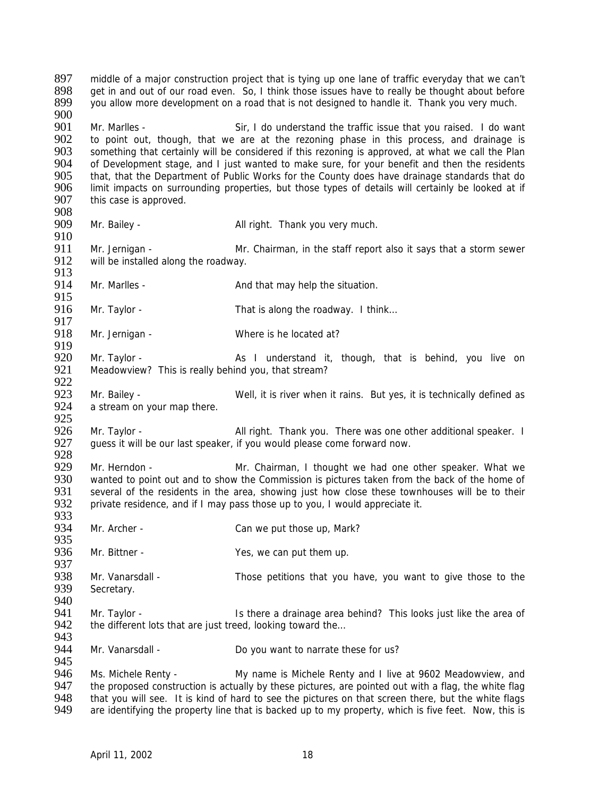897 middle of a major construction project that is tying up one lane of traffic everyday that we can't<br>898 are in and out of our road even. So I think those issues have to really be thought about before 898 get in and out of our road even. So, I think those issues have to really be thought about before 899 vou allow more development on a road that is not designed to handle it. Thank you very much. you allow more development on a road that is not designed to handle it. Thank you very much. 900<br>901 901 Mr. Marlles - Sir, I do understand the traffic issue that you raised. I do want 902 to point out, though, that we are at the rezoning phase in this process, and drainage is 902 to point out, though, that we are at the rezoning phase in this process, and drainage is 903 something that certainly will be considered if this rezoning is approved, at what we call the Plan 903 something that certainly will be considered if this rezoning is approved, at what we call the Plan<br>904 of Development stage, and I just wanted to make sure, for your benefit and then the residents 904 of Development stage, and I just wanted to make sure, for your benefit and then the residents<br>905 that that the Department of Public Works for the County does have drainage standards that do 905 that, that the Department of Public Works for the County does have drainage standards that do<br>906 limit impacts on surrounding properties, but those types of details will certainly be looked at if 906 limit impacts on surrounding properties, but those types of details will certainly be looked at if 907 this case is approved. this case is approved. 908<br>909 Mr. Bailey - All right. Thank you very much. 910<br>911 911 Mr. Jernigan - Mr. Chairman, in the staff report also it says that a storm sewer<br>912 will be installed along the roadway. will be installed along the roadway. 913 914 Mr. Marlles - And that may help the situation. 915<br>916 Mr. Taylor - That is along the roadway. I think... 917<br>918 Mr. Jernigan - Where is he located at? 919<br>920 Mr. Taylor - As I understand it, though, that is behind, you live on 921 Meadowview? This is really behind you, that stream? 922<br>923 Mr. Bailey - Well, it is river when it rains. But yes, it is technically defined as 924 a stream on your map there. 925 926 Mr. Taylor - All right. Thank you. There was one other additional speaker. I<br>927 guess it will be our last speaker, if you would please come forward now. guess it will be our last speaker, if you would please come forward now. 928<br>929 929 Mr. Herndon - Mr. Chairman, I thought we had one other speaker. What we 930 wanted to point out and to show the Commission is pictures taken from the back of the home of 930 wanted to point out and to show the Commission is pictures taken from the back of the home of 931 several of the residents in the area, showing just how close these townhouses will be to their 931 several of the residents in the area, showing just how close these townhouses will be to their<br>932 private residence, and if I may pass those up to you, I would appreciate it. private residence, and if I may pass those up to you, I would appreciate it. 933<br>934 Mr. Archer - Can we put those up, Mark? 935 936 Mr. Bittner - Yes, we can put them up. 937<br>938 938 Mr. Vanarsdall - Those petitions that you have, you want to give those to the 939 Secretary. Secretary. 940<br>941 941 Mr. Taylor - Is there a drainage area behind? This looks just like the area of the different lots that are just treed. looking toward the... the different lots that are just treed, looking toward the... 943<br>944 Mr. Vanarsdall - Do you want to narrate these for us? 945 946 Ms. Michele Renty - My name is Michele Renty and I live at 9602 Meadowview, and 947 the proposed construction is actually by these pictures, are pointed out with a flag, the white flag 947 the proposed construction is actually by these pictures, are pointed out with a flag, the white flag<br>948 that you will see. It is kind of hard to see the pictures on that screen there, but the white flags 948 that you will see. It is kind of hard to see the pictures on that screen there, but the white flags<br>949 are identifying the property line that is backed up to my property, which is five feet. Now, this is are identifying the property line that is backed up to my property, which is five feet. Now, this is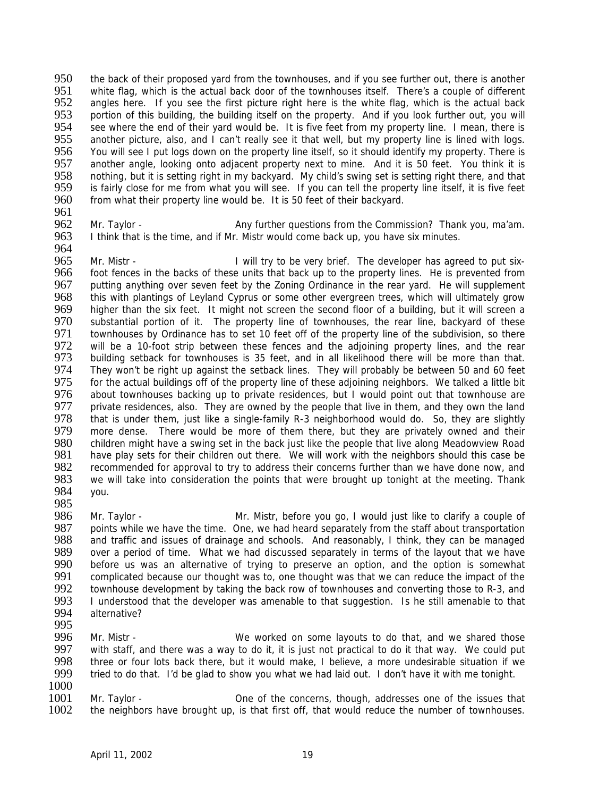950 the back of their proposed yard from the townhouses, and if you see further out, there is another<br>951 white flag which is the actual back door of the townhouses itself. There's a couple of different 951 white flag, which is the actual back door of the townhouses itself. There's a couple of different 952 angles here. If you see the first picture right here is the white flag, which is the actual back angles here. If you see the first picture right here is the white flag, which is the actual back 953 portion of this building, the building itself on the property. And if you look further out, you will 954 see where the end of their yard would be. It is five feet from my property line. I mean, there is 954 see where the end of their yard would be. It is five feet from my property line. I mean, there is <br>955 another picture, also, and I can't really see it that well, but my property line is lined with logs. another picture, also, and I can't really see it that well, but my property line is lined with logs. 956 You will see I put logs down on the property line itself, so it should identify my property. There is 957 another angle, looking onto adiacent property next to mine. And it is 50 feet. You think it is 957 another angle, looking onto adjacent property next to mine. And it is 50 feet. You think it is 958 nothing but it is setting right in my backvard. My child's swing set is setting right there, and that 958 nothing, but it is setting right in my backyard. My child's swing set is setting right there, and that 959 is fairly close for me from what you will see. If you can tell the property line itself, it is five feet 959 is fairly close for me from what you will see. If you can tell the property line itself, it is five feet 960 from what their property line would be. It is 50 feet of their backyard. from what their property line would be. It is 50 feet of their backyard.

961<br>962 962 Mr. Taylor - Any further questions from the Commission? Thank you, ma'am.<br>963 I think that is the time, and if Mr. Mistr would come back up, you have six minutes. I think that is the time, and if Mr. Mistr would come back up, you have six minutes.

964<br>965 965 Mr. Mistr - I will try to be very brief. The developer has agreed to put six-<br>966 foot fences in the backs of these units that back up to the property lines. He is prevented from foot fences in the backs of these units that back up to the property lines. He is prevented from 967 putting anything over seven feet by the Zoning Ordinance in the rear yard. He will supplement 968 this with plantings of Levland Cyprus or some other evergreen trees, which will ultimately grow 968 this with plantings of Leyland Cyprus or some other evergreen trees, which will ultimately grow<br>969 bigher than the six feet. It might not screen the second floor of a building, but it will screen a 969 higher than the six feet. It might not screen the second floor of a building, but it will screen a<br>970 substantial portion of it. The property line of townhouses, the rear line, backvard of these 970 substantial portion of it. The property line of townhouses, the rear line, backyard of these<br>971 townhouses by Ordinance has to set 10 feet off of the property line of the subdivision, so there 971 townhouses by Ordinance has to set 10 feet off of the property line of the subdivision, so there<br>972 will be a 10-foot strip between these fences and the adioining property lines, and the rear 972 will be a 10-foot strip between these fences and the adjoining property lines, and the rear<br>973 building setback for townhouses is 35 feet, and in all likelihood there will be more than that. building setback for townhouses is 35 feet, and in all likelihood there will be more than that. 974 They won't be right up against the setback lines. They will probably be between 50 and 60 feet<br>975 for the actual buildings off of the property line of these adjoining neighbors. We talked a little bit 975 for the actual buildings off of the property line of these adjoining neighbors. We talked a little bit 976 about townhouses backing up to private residences, but I would point out that townhouse are about townhouses backing up to private residences, but I would point out that townhouse are 977 private residences, also. They are owned by the people that live in them, and they own the land<br>978 that is under them, just like a single-family R-3 neighborhood would do. So, they are slightly 978 that is under them, just like a single-family R-3 neighborhood would do. So, they are slightly 979 more dense. There would be more of them there, but they are privately owned and their 979 more dense. There would be more of them there, but they are privately owned and their<br>980 children might have a swing set in the back just like the people that live along Meadowyjew Road 980 children might have a swing set in the back just like the people that live along Meadowview Road<br>981 bave play sets for their children out there. We will work with the neighbors should this case be 981 have play sets for their children out there. We will work with the neighbors should this case be<br>982 recommended for approval to try to address their concerns further than we have done now, and 982 recommended for approval to try to address their concerns further than we have done now, and 983 we will take into consideration the points that were brought up tonight at the meeting. Thank we will take into consideration the points that were brought up tonight at the meeting. Thank 984 you.

- 
- 985<br>986 986 Mr. Taylor - Mr. Mistr, before you go, I would just like to clarify a couple of 987 points while we have the time. One, we had heard separately from the staff about transportation points while we have the time. One, we had heard separately from the staff about transportation 988 and traffic and issues of drainage and schools. And reasonably, I think, they can be managed<br>989 over a period of time. What we had discussed separately in terms of the lavout that we have 989 over a period of time. What we had discussed separately in terms of the layout that we have 990 before us was an alternative of trying to preserve an option, and the option is somewhat 990 before us was an alternative of trying to preserve an option, and the option is somewhat 991 complicated because our thought was to, one thought was that we can reduce the impact of the 991 complicated because our thought was to, one thought was that we can reduce the impact of the 992 townhouse development by taking the back row of townhouses and converting those to R-3 and 992 townhouse development by taking the back row of townhouses and converting those to R-3, and<br>993 Lunderstood that the developer was amenable to that suggestion. Is be still amenable to that 993 I understood that the developer was amenable to that suggestion. Is he still amenable to that 994 alternative? alternative?
- 995<br>996
- 996 Mr. Mistr We worked on some layouts to do that, and we shared those<br>997 with staff, and there was a way to do it, it is just not practical to do it that way. We could put with staff, and there was a way to do it, it is just not practical to do it that way. We could put 998 three or four lots back there, but it would make, I believe, a more undesirable situation if we<br>999 tried to do that. I'd be alad to show you what we had laid out. I don't have it with me tonight. tried to do that. I'd be glad to show you what we had laid out. I don't have it with me tonight.
- 

 $\frac{1000}{1001}$ 1001 Mr. Taylor - One of the concerns, though, addresses one of the issues that 1002 the neighbors have brought up, is that first off, that would reduce the number of townhouses. the neighbors have brought up, is that first off, that would reduce the number of townhouses.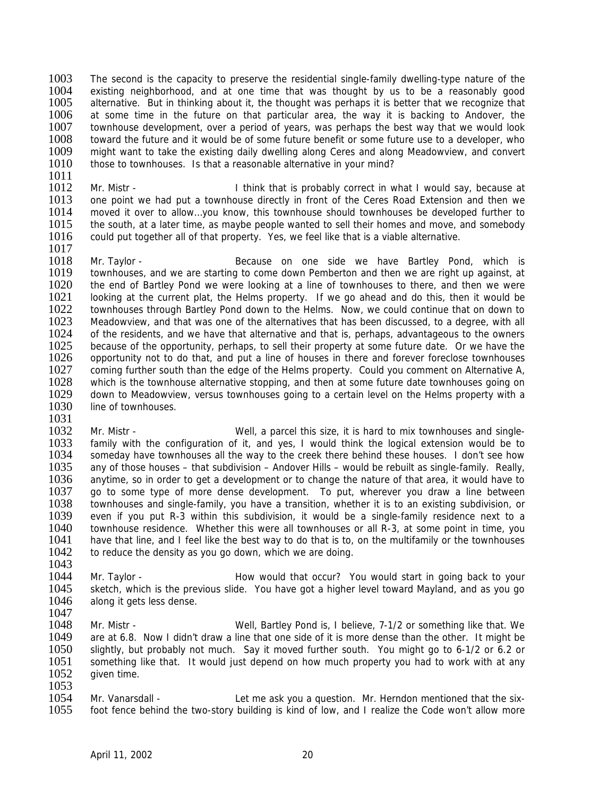1003 The second is the capacity to preserve the residential single-family dwelling-type nature of the 1004 existing neighborhood and at one time that was thought by us to be a reasonably good 1004 existing neighborhood, and at one time that was thought by us to be a reasonably good 1005 alternative. But in thinking about it, the thought was perhaps it is better that we recognize that alternative. But in thinking about it, the thought was perhaps it is better that we recognize that 1006 at some time in the future on that particular area, the way it is backing to Andover, the 1007 townhouse development, over a period of years, was perhaps the best way that we would look 1007 townhouse development, over a period of years, was perhaps the best way that we would look<br>1008 toward the future and it would be of some future benefit or some future use to a developer, who 1008 toward the future and it would be of some future benefit or some future use to a developer, who 1009 might want to take the existing daily dwelling along Ceres and along Meadowyiew, and convert 1009 might want to take the existing daily dwelling along Ceres and along Meadowview, and convert 1010 those to townhouses. Is that a reasonable alternative in your mind? those to townhouses. Is that a reasonable alternative in your mind?

 $\frac{1011}{1012}$ 1012 Mr. Mistr - I think that is probably correct in what I would say, because at 1013 one point we had put a townhouse directly in front of the Ceres Road Extension and then we 1013 one point we had put a townhouse directly in front of the Ceres Road Extension and then we<br>1014 moved it over to allow...vou know, this townhouse should townhouses be developed further to 1014 moved it over to allow...you know, this townhouse should townhouses be developed further to 1015 the south, at a later time, as maybe people wanted to sell their homes and move, and somebody the south, at a later time, as maybe people wanted to sell their homes and move, and somebody 1016 could put together all of that property. Yes, we feel like that is a viable alternative. 1017

1018 Mr. Taylor - Because on one side we have Bartley Pond, which is 1019 townhouses, and we are starting to come down Pemberton and then we are right up against, at 1020 the end of Bartley Pond we were looking at a line of townhouses to there, and then we were 1021 looking at the current plat, the Helms property. If we go ahead and do this, then it would be 1021 looking at the current plat, the Helms property. If we go ahead and do this, then it would be 1022 townhouses through Bartley Pond down to the Helms. Now, we could continue that on down to 1022 townhouses through Bartley Pond down to the Helms. Now, we could continue that on down to 1023 Meadowview, and that was one of the alternatives that has been discussed, to a degree, with all 1023 Meadowview, and that was one of the alternatives that has been discussed, to a degree, with all 1024 of the residents, and we have that alternative and that is, perhaps, advantageous to the owners 1024 of the residents, and we have that alternative and that is, perhaps, advantageous to the owners<br>1025 because of the opportunity perhaps to sell their property at some future date. Or we have the 1025 because of the opportunity, perhaps, to sell their property at some future date. Or we have the 1026 opportunity not to do that, and put a line of houses in there and forever foreclose townhouses 1026 opportunity not to do that, and put a line of houses in there and forever foreclose townhouses 1027 coming further south than the edge of the Helms property. Could you comment on Alternative A, 1028 which is the townhouse alternative stopping, and then at some future date townhouses going on 1028 which is the townhouse alternative stopping, and then at some future date townhouses going on 1029 down to Meadowview, versus townhouses going to a certain level on the Helms property with a down to Meadowview, versus townhouses going to a certain level on the Helms property with a 1030 line of townhouses.

1031

1032 Mr. Mistr - Well, a parcel this size, it is hard to mix townhouses and single-<br>1033 family with the configuration of it, and yes, I would think the logical extension would be to 1033 family with the configuration of it, and yes, I would think the logical extension would be to 1034 someday have townhouses all the way to the creek there behind these houses. I don't see how 1034 someday have townhouses all the way to the creek there behind these houses. I don't see how<br>1035 any of those houses – that subdivision – Andover Hills – would be rebuilt as single-family. Really. 1035 any of those houses – that subdivision – Andover Hills – would be rebuilt as single-family. Really, 1036 anytime, so in order to get a development or to change the nature of that area, it would have to 1036 anytime, so in order to get a development or to change the nature of that area, it would have to 1037 ao to some type of more dense development. To put, wherever you draw a line between 1037 go to some type of more dense development. To put, wherever you draw a line between<br>1038 townhouses and single-family, you have a transition, whether it is to an existing subdivision, or townhouses and single-family, you have a transition, whether it is to an existing subdivision, or 1039 even if you put R-3 within this subdivision, it would be a single-family residence next to a 1040 townhouse residence. Whether this were all townhouses or all R-3, at some point in time, you 1041 have that line, and I feel like the best way to do that is to, on the multifamily or the townhouses 1042 to reduce the density as you go down, which we are doing.

- 1043<br>1044 1044 Mr. Taylor - Thow would that occur? You would start in going back to your<br>1045 Sketch, which is the previous slide. You have got a higher level toward Mayland, and as you go sketch, which is the previous slide. You have got a higher level toward Mayland, and as you go 1046 along it gets less dense.
- 1047<br>1048 Mr. Mistr - Well, Bartley Pond is, I believe, 7-1/2 or something like that. We 1049 are at 6.8. Now I didn't draw a line that one side of it is more dense than the other. It might be 1050 slightly, but probably not much. Say it moved further south. You might go to 6-1/2 or 6.2 or 1051 something like that. It would just depend on how much property you had to work with at any 1052 given time.
- $\frac{1053}{1054}$ 1054 Mr. Vanarsdall - Let me ask you a question. Mr. Herndon mentioned that the six-<br>1055 foot fence behind the two-story building is kind of low, and I realize the Code won't allow more foot fence behind the two-story building is kind of low, and I realize the Code won't allow more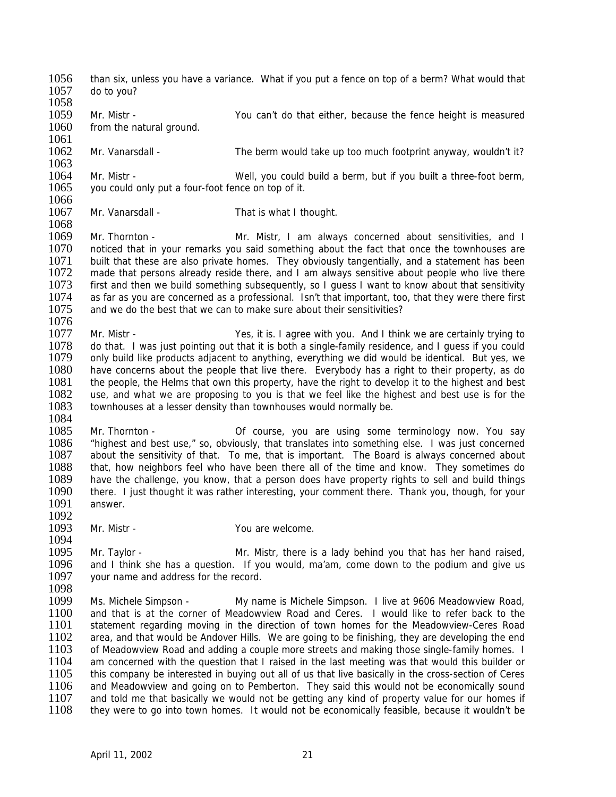- 1056 than six, unless you have a variance. What if you put a fence on top of a berm? What would that 1057 do to you? do to you? 1058
- 1059 Mr. Mistr You can't do that either, because the fence height is measured 1060 from the natural ground. from the natural ground.
- 1061<br>1062 Mr. Vanarsdall - The berm would take up too much footprint anyway, wouldn't it?
- 1063 1064 Mr. Mistr - Well, you could build a berm, but if you built a three-foot berm, 1065 vou could only put a four-foot fence on top of it. you could only put a four-foot fence on top of it.
- 1066<br>1067 Mr. Vanarsdall - That is what I thought.
- 1069 Mr. Thornton Mr. Mistr, I am always concerned about sensitivities, and I<br>1070 noticed that in your remarks you said something about the fact that once the townhouses are noticed that in your remarks you said something about the fact that once the townhouses are 1071 built that these are also private homes. They obviously tangentially, and a statement has been<br>1072 made that persons already reside there, and I am always sensitive about people who live there made that persons already reside there, and I am always sensitive about people who live there 1073 first and then we build something subsequently, so I guess I want to know about that sensitivity<br>1074 as far as you are concerned as a professional. Isn't that important, too, that they were there first 1074 as far as you are concerned as a professional. Isn't that important, too, that they were there first 1075 and we do the best that we can to make sure about their sensitivities? and we do the best that we can to make sure about their sensitivities?
- 1076<br>1077 1077 Mr. Mistr - Yes, it is. I agree with you. And I think we are certainly trying to<br>1078 do that I was just pointing out that it is both a single-family residence and I quess if you could 1078 do that. I was just pointing out that it is both a single-family residence, and I guess if you could 1079 only build like products adiacent to anything everything we did would be identical. But yes, we 1079 only build like products adjacent to anything, everything we did would be identical. But yes, we 1080 have concerns about the people that live there. Everybody has a right to their property, as do 1081 the people, the Helms that own this property, have the right to develop it to the highest and best 1081 the people, the Helms that own this property, have the right to develop it to the highest and best use is for the 1082 use, and what we are proposing to you is that we feel like the highest and best use is for the 1082 use, and what we are proposing to you is that we feel like the highest and best use is for the 1083 townhouses at a lesser density than townhouses would normally be. townhouses at a lesser density than townhouses would normally be.
- 1084 1085 Mr. Thornton - Corricourse, you are using some terminology now. You say<br>1086 thighest and best use." so, obviously, that translates into something else. I was just concerned 1086 "highest and best use," so, obviously, that translates into something else. I was just concerned 1087 about the sensitivity of that. To me, that is important. The Board is always concerned about 1088 that, how neighbors feel who have been there all of the time and know. They sometimes do 1088 that, how neighbors feel who have been there all of the time and know. They sometimes do 1089 have the challenge, you know, that a person does have property rights to sell and build things 1089 have the challenge, you know, that a person does have property rights to sell and build things<br>1090 there. I just thought it was rather interesting, your comment there. Thank you, though, for your 1090 there. I just thought it was rather interesting, your comment there. Thank you, though, for your 1091 answer. answer.
- 1092<br>1093

- Mr. Mistr The Mathematic School are welcome. 1094
- 1095 Mr. Taylor Mr. Mistr, there is a lady behind you that has her hand raised,<br>1096 and I think she has a question. If you would, ma'am, come down to the podium and give us 1096 and I think she has a question. If you would, ma'am, come down to the podium and give us 1097 vour name and address for the record. your name and address for the record.
- 1098<br>1099
- 1099 Ms. Michele Simpson My name is Michele Simpson. I live at 9606 Meadowview Road,<br>1100 and that is at the corner of Meadowview Road and Ceres. I would like to refer back to the 1100 and that is at the corner of Meadowview Road and Ceres. I would like to refer back to the 1101 statement regarding moving in the direction of town homes for the Meadowview-Ceres Road 1101 statement regarding moving in the direction of town homes for the Meadowview-Ceres Road<br>1102 area, and that would be Andover Hills. We are going to be finishing, they are developing the end area, and that would be Andover Hills. We are going to be finishing, they are developing the end 1103 of Meadowview Road and adding a couple more streets and making those single-family homes. I 1104 am concerned with the question that I raised in the last meeting was that would this builder or 1105 this company be interested in buying out all of us that live basically in the cross-section of Ceres<br>1106 and Meadowyiew and going on to Pemberton. They said this would not be economically sound 1106 and Meadowview and going on to Pemberton. They said this would not be economically sound<br>1107 and told me that basically we would not be getting any kind of property value for our homes if 1107 and told me that basically we would not be getting any kind of property value for our homes if 1108 they were to go into town homes. It would not be economically feasible, because it wouldn't be they were to go into town homes. It would not be economically feasible, because it wouldn't be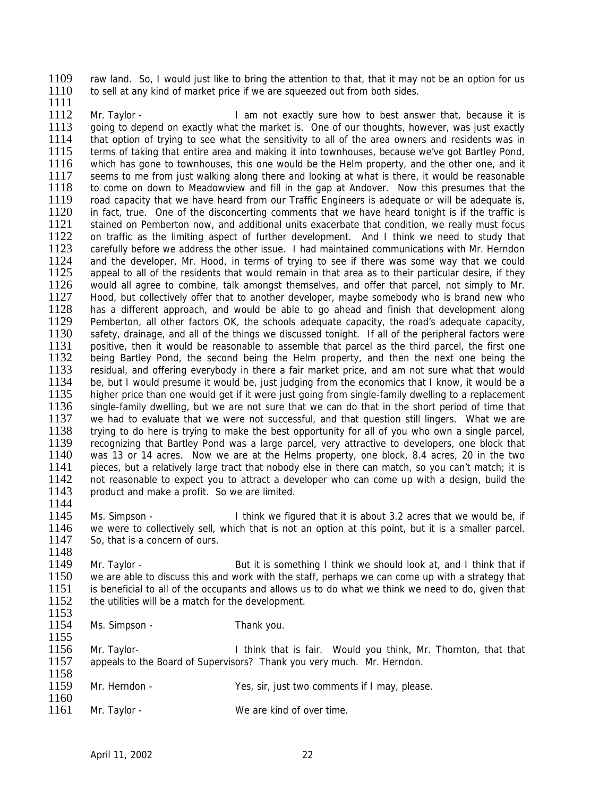1109 raw land. So, I would just like to bring the attention to that, that it may not be an option for us 1110 to sell at any kind of market price if we are squeezed out from both sides to sell at any kind of market price if we are squeezed out from both sides. 1111

1112 Mr. Taylor - I am not exactly sure how to best answer that, because it is 1113 going to depend on exactly what the market is. One of our thoughts, however, was just exactly going to depend on exactly what the market is. One of our thoughts, however, was just exactly 1114 that option of trying to see what the sensitivity to all of the area owners and residents was in 1115 terms of taking that entire area and making it into townhouses, because we've got Bartley Pond,<br>1116 which has gone to townhouses, this one would be the Helm property, and the other one, and it which has gone to townhouses, this one would be the Helm property, and the other one, and it 1117 seems to me from just walking along there and looking at what is there, it would be reasonable 1118 to come on down to Meadowyiew and fill in the gap at Andover. Now this presumes that the 1118 to come on down to Meadowview and fill in the gap at Andover. Now this presumes that the 1119 road capacity that we have heard from our Traffic Engineers is adequate or will be adequate is. 1119 road capacity that we have heard from our Traffic Engineers is adequate or will be adequate is,<br>1120 in fact, true. One of the disconcerting comments that we have heard tonight is if the traffic is 1120 in fact, true. One of the disconcerting comments that we have heard tonight is if the traffic is 1121 stained on Pemberton now and additional units exacerbate that condition we really must focus stained on Pemberton now, and additional units exacerbate that condition, we really must focus 1122 on traffic as the limiting aspect of further development. And I think we need to study that 1123 carefully before we address the other issue. I had maintained communications with Mr. Herndon carefully before we address the other issue. I had maintained communications with Mr. Herndon 1124 and the developer, Mr. Hood, in terms of trying to see if there was some way that we could 1125 appeal to all of the residents that would remain in that area as to their particular desire, if they appeal to all of the residents that would remain in that area as to their particular desire, if they 1126 would all agree to combine, talk amongst themselves, and offer that parcel, not simply to Mr.<br>1127 Hood, but collectively offer that to another developer, maybe somebody who is brand new who 1127 Hood, but collectively offer that to another developer, maybe somebody who is brand new who<br>1128 has a different approach, and would be able to go ahead and finish that development along 1128 has a different approach, and would be able to go ahead and finish that development along<br>1129 Pemberton, all other factors OK, the schools adequate capacity, the road's adequate capacity, 1129 Pemberton, all other factors OK, the schools adequate capacity, the road's adequate capacity, 1130 safety, drainage, and all of the things we discussed tonight. If all of the peripheral factors were 1130 safety, drainage, and all of the things we discussed tonight. If all of the peripheral factors were<br>1131 positive then it would be reasonable to assemble that parcel as the third parcel, the first one 1131 positive, then it would be reasonable to assemble that parcel as the third parcel, the first one<br>1132 being Bartley Pond, the second being the Helm property, and then the next one being the being Bartley Pond, the second being the Helm property, and then the next one being the 1133 residual, and offering everybody in there a fair market price, and am not sure what that would<br>1134 be, but I would presume it would be, just judging from the economics that I know, it would be a 1134 be, but I would presume it would be, just judging from the economics that I know, it would be a<br>1135 higher price than one would get if it were just going from single-family dwelling to a replacement higher price than one would get if it were just going from single-family dwelling to a replacement 1136 single-family dwelling, but we are not sure that we can do that in the short period of time that 1137 we had to evaluate that we were not successful, and that question still lingers. What we are 1138 trying to do here is trying to make the best opportunity for all of you who own a single parcel, 1139 recognizing that Bartley Pond was a large parcel, very attractive to developers, one block that 1139 recognizing that Bartley Pond was a large parcel, very attractive to developers, one block that 1140 was 13 or 14 acres. Now we are at the Helms property, one block 8.4 acres, 20 in the two 1140 was 13 or 14 acres. Now we are at the Helms property, one block, 8.4 acres, 20 in the two<br>1141 pieces, but a relatively large tract that nobody else in there can match, so you can't match; it is 1141 pieces, but a relatively large tract that nobody else in there can match, so you can't match; it is 1142 not reasonable to expect you to attract a developer who can come up with a design build the 1142 not reasonable to expect you to attract a developer who can come up with a design, build the 1143 product and make a profit. So we are limited. product and make a profit. So we are limited. 1144

1145 Ms. Simpson - I think we figured that it is about 3.2 acres that we would be, if 1146 we were to collectively sell, which that is not an option at this point, but it is a smaller parcel. we were to collectively sell, which that is not an option at this point, but it is a smaller parcel. 1147 So, that is a concern of ours.

1148<br>1149 1149 Mr. Taylor - But it is something I think we should look at, and I think that if 1150 we are able to discuss this and work with the staff, perhaps we can come up with a strategy that 1150 we are able to discuss this and work with the staff, perhaps we can come up with a strategy that 1151 is beneficial to all of the occupants and allows us to do what we think we need to do, given that 1151 is beneficial to all of the occupants and allows us to do what we think we need to do, given that 1152 the utilities will be a match for the development the utilities will be a match for the development.

1153<br>1154 Ms. Simpson - Thank you.

1156 Mr. Taylor- **I** think that is fair. Would you think, Mr. Thornton, that that 1157 appeals to the Board of Supervisors? Thank you very much. Mr. Herndon.

- 1158<br>1159 Mr. Herndon - Yes, sir, just two comments if I may, please.
- 1160<br>1161 Mr. Taylor - We are kind of over time.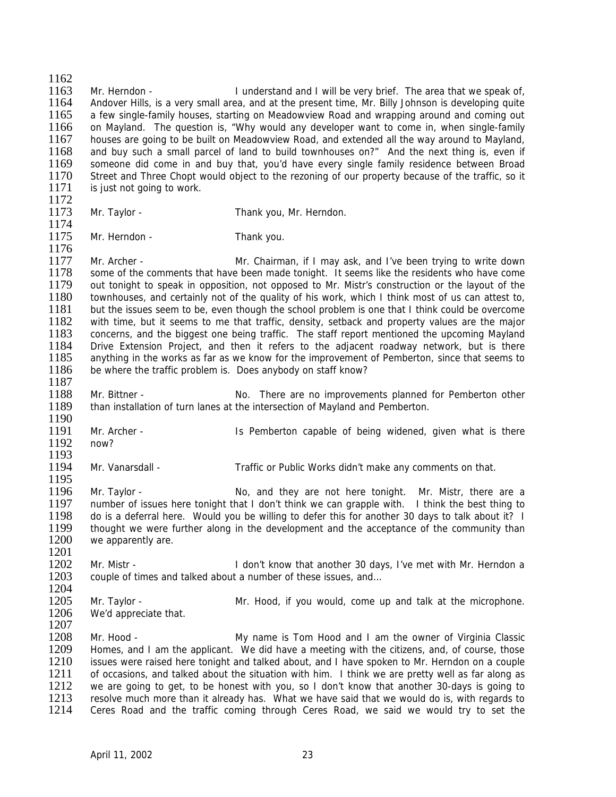$\frac{1162}{1163}$ 1163 Mr. Herndon - I understand and I will be very brief. The area that we speak of,<br>1164 Andover Hills, is a very small area, and at the present time. Mr. Billy Johnson is developing quite Andover Hills, is a very small area, and at the present time, Mr. Billy Johnson is developing quite 1165 a few single-family houses, starting on Meadowview Road and wrapping around and coming out 1166 on Mayland. The question is, "Why would any developer want to come in, when single-family 1167 houses are going to be built on Meadowview Road, and extended all the way around to Mayland, 1168 and buy such a small parcel of land to build townhouses on?" And the next thing is, even if 1169 someone did come in and buy that, you'd have every single family residence between Broad someone did come in and buy that, you'd have every single family residence between Broad 1170 Street and Three Chopt would object to the rezoning of our property because of the traffic, so it 1171 is just not going to work. is just not going to work. 1172<br>1173 Mr. Taylor - Thank you, Mr. Herndon. 1174 1175 Mr. Herndon - Thank you. 1176 1177 Mr. Archer - Mr. Chairman, if I may ask, and I've been trying to write down<br>1178 some of the comments that have been made tonight. It seems like the residents who have come some of the comments that have been made tonight. It seems like the residents who have come 1179 out tonight to speak in opposition, not opposed to Mr. Mistr's construction or the layout of the 1180 townhouses, and certainly not of the quality of his work, which I think most of us can attest to. 1180 townhouses, and certainly not of the quality of his work, which I think most of us can attest to, 1181 but the issues seem to be, even though the school problem is one that I think could be overcome 1181 but the issues seem to be, even though the school problem is one that I think could be overcome<br>1182 with time, but it seems to me that traffic, density, setback and property values are the maior 1182 with time, but it seems to me that traffic, density, setback and property values are the major 1183 concerns, and the biggest one being traffic. The staff report mentioned the upcoming Mayland 1183 concerns, and the biggest one being traffic. The staff report mentioned the upcoming Mayland<br>1184 Drive Extension Project and then it refers to the adjacent roadway network but is there 1184 Drive Extension Project, and then it refers to the adjacent roadway network, but is there 1185 anything in the works as far as we know for the improvement of Pemberton, since that seems to anything in the works as far as we know for the improvement of Pemberton, since that seems to 1186 be where the traffic problem is. Does anybody on staff know? 1187 1188 Mr. Bittner - No. There are no improvements planned for Pemberton other 1189 than installation of turn lanes at the intersection of Mayland and Pemberton. 1190 1191 Mr. Archer - Is Pemberton capable of being widened, given what is there<br>1192 now? 1192 1193<br>1194 Mr. Vanarsdall - Traffic or Public Works didn't make any comments on that. 1195<br>1196 1196 Mr. Taylor - No, and they are not here tonight. Mr. Mistr, there are a<br>1197 number of issues here tonight that I don't think we can grapple with. I think the best thing to number of issues here tonight that I don't think we can grapple with. I think the best thing to 1198 do is a deferral here. Would you be willing to defer this for another 30 days to talk about it? I<br>1199 thought we were further along in the development and the acceptance of the community than thought we were further along in the development and the acceptance of the community than 1200 we apparently are. 1201 1202 Mr. Mistr - I don't know that another 30 days, I've met with Mr. Herndon a 1203 couple of times and talked about a number of these issues, and... couple of times and talked about a number of these issues, and... 1204<br>1205 1205 Mr. Taylor - Mr. Hood, if you would, come up and talk at the microphone.<br>1206 We'd appreciate that. We'd appreciate that. 1207<br>1208 Mr. Hood - The My name is Tom Hood and I am the owner of Virginia Classic 1209 Homes, and I am the applicant. We did have a meeting with the citizens, and, of course, those 1210 issues were raised here tonight and talked about, and I have spoken to Mr. Herndon on a couple 1211 of occasions, and talked about the situation with him. I think we are pretty well as far along as 1212 we are going to get, to be honest with you, so I don't know that another 30-days is going to 1212 we are going to get, to be honest with you, so I don't know that another 30-days is going to 1213 resolve much more than it already has. What we have said that we would do is, with regards to 1213 resolve much more than it already has. What we have said that we would do is, with regards to 1214 Ceres Road and the traffic coming through Ceres Road the traffic to set the Ceres Road and the traffic coming through Ceres Road, we said we would try to set the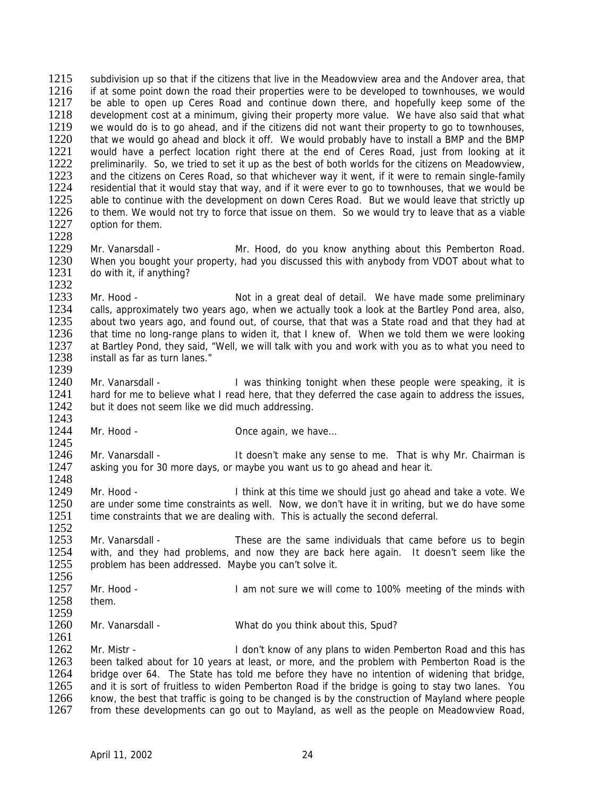1215 subdivision up so that if the citizens that live in the Meadowview area and the Andover area, that 1216 if at some point down the road their properties were to be developed to townhouses we would 1216 if at some point down the road their properties were to be developed to townhouses, we would<br>1217 be able to open up Ceres Road and continue down there and hopefully keep some of the be able to open up Ceres Road and continue down there, and hopefully keep some of the 1218 development cost at a minimum, giving their property more value. We have also said that what 1219 we would do is to go ahead, and if the citizens did not want their property to go to townhouses, 1219 we would do is to go ahead, and if the citizens did not want their property to go to townhouses,<br>1220 that we would go ahead and block it off. We would probably have to install a BMP and the BMP 1220 that we would go ahead and block it off. We would probably have to install a BMP and the BMP 1221 would have a perfect location right there at the end of Ceres Road, just from looking at it 1221 would have a perfect location right there at the end of Ceres Road, just from looking at it 1222 preliminarily. So, we tried to set it up as the best of both worlds for the citizens on Meadowyiew. 1222 preliminarily. So, we tried to set it up as the best of both worlds for the citizens on Meadowview,<br>1223 and the citizens on Ceres Road, so that whichever way it went, if it were to remain single-family 1223 and the citizens on Ceres Road, so that whichever way it went, if it were to remain single-family<br>1224 residential that it would stay that way, and if it were ever to go to townhouses, that we would be 1224 residential that it would stay that way, and if it were ever to go to townhouses, that we would be 1225 able to continue with the development on down Ceres Road. But we would leave that strictly up 1225 able to continue with the development on down Ceres Road. But we would leave that strictly up<br>1226 to them. We would not try to force that issue on them. So we would try to leave that as a viable 1226 to them. We would not try to force that issue on them. So we would try to leave that as a viable 1227 ontion for them option for them.

1228 Mr. Vanarsdall - **Mr. Hood, do you know anything about this Pemberton Road.** 1230 When you bought your property, had you discussed this with anybody from VDOT about what to 1231 do with it, if anything?

1232<br>1233 1233 Mr. Hood - Not in a great deal of detail. We have made some preliminary<br>1234 Calls, approximately two years ago, when we actually took a look at the Bartley Pond area, also, 1234 calls, approximately two years ago, when we actually took a look at the Bartley Pond area, also, 1235 about two vears ago, and found out, of course, that that was a State road and that they had at 1235 about two years ago, and found out, of course, that that was a State road and that they had at 1236 that time no long-range plans to widen it, that I knew of. When we told them we were looking 1236 that time no long-range plans to widen it, that I knew of. When we told them we were looking<br>1237 at Bartley Pond, they said "Well, we will talk with you and work with you as to what you need to 1237 at Bartley Pond, they said, "Well, we will talk with you and work with you as to what you need to 1238 install as far as turn lanes." install as far as turn lanes."

1239<br>1240 Mr. Vanarsdall - **I** was thinking tonight when these people were speaking, it is 1241 hard for me to believe what I read here, that they deferred the case again to address the issues, 1242 but it does not seem like we did much addressing.

1244 Mr. Hood - Christian McCanadin, we have...

1243

1261

1245<br>1246 1246 Mr. Vanarsdall - It doesn't make any sense to me. That is why Mr. Chairman is 1247 asking you for 30 more days or maybe you want us to go ahead and hear it asking you for 30 more days, or maybe you want us to go ahead and hear it.

1248<br>1249 1249 Mr. Hood - I think at this time we should just go ahead and take a vote. We 1250 are under some time constraints as well. Now, we don't have it in writing, but we do have some are under some time constraints as well. Now, we don't have it in writing, but we do have some 1251 time constraints that we are dealing with. This is actually the second deferral. 1252

1253 Mr. Vanarsdall - These are the same individuals that came before us to begin<br>1254 with, and they had problems, and now they are back here again. It doesn't seem like the 1254 with, and they had problems, and now they are back here again. It doesn't seem like the 1255 problem has been addressed. Maybe you can't solve it. problem has been addressed. Maybe you can't solve it.

1256<br>1257 Mr. Hood - The South Come is a lam not sure we will come to 100% meeting of the minds with 1258 them.

1259<br>1260 Mr. Vanarsdall - What do you think about this, Spud?

1262 Mr. Mistr - I don't know of any plans to widen Pemberton Road and this has 1263 been talked about for 10 years at least, or more, and the problem with Pemberton Road is the 1264 bridge over 64. The State has told me before they have no intention of widening that bridge, 1265 and it is sort of fruitless to widen Pemberton Road if the bridge is going to stay two lanes. You 1265 and it is sort of fruitless to widen Pemberton Road if the bridge is going to stay two lanes. You<br>1266 know, the best that traffic is going to be changed is by the construction of Mayland where people 1266 know, the best that traffic is going to be changed is by the construction of Mayland where people 1267 from these developments can go out to Mayland, as well as the people on Meadowview Road. from these developments can go out to Mayland, as well as the people on Meadowview Road,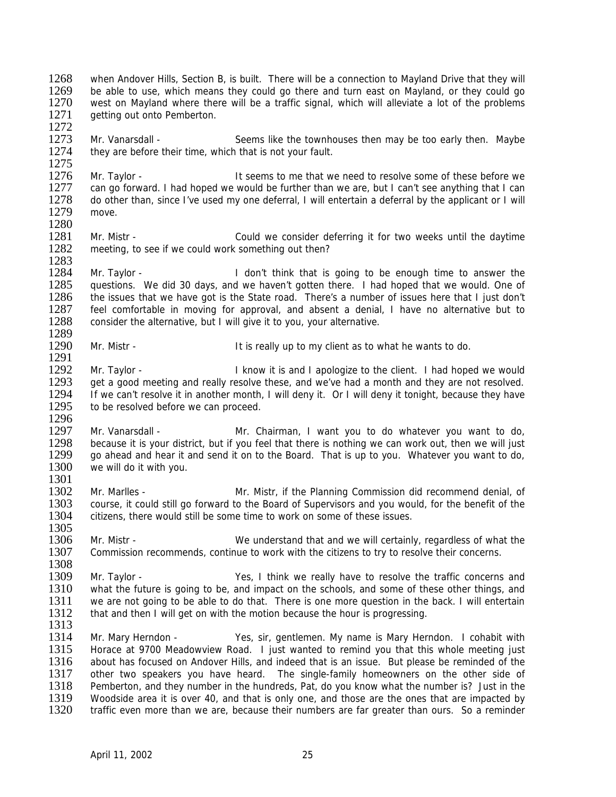1268 when Andover Hills, Section B, is built. There will be a connection to Mayland Drive that they will<br>1269 be able to use which means they could go there and turn east on Mayland, or they could go 1269 be able to use, which means they could go there and turn east on Mayland, or they could go 1270 west on Mayland where there will be a traffic signal, which will alleviate a lot of the problems west on Mayland where there will be a traffic signal, which will alleviate a lot of the problems 1271 getting out onto Pemberton.

1272<br>1273 Mr. Vanarsdall - Seems like the townhouses then may be too early then. Maybe 1274 they are before their time, which that is not your fault.

1275<br>1276 1276 Mr. Taylor - It seems to me that we need to resolve some of these before we<br>1277 Can go forward. I had hoped we would be further than we are, but I can't see anything that I can 1277 can go forward. I had hoped we would be further than we are, but I can't see anything that I can<br>1278 of obther than, since I've used my one deferral. I will entertain a deferral by the applicant or I will do other than, since I've used my one deferral, I will entertain a deferral by the applicant or I will 1279 move. 1280

1281 Mr. Mistr - Could we consider deferring it for two weeks until the daytime 1282 meeting, to see if we could work something out then? meeting, to see if we could work something out then?

1283<br>1284 1284 Mr. Taylor - I don't think that is going to be enough time to answer the 1285 questions. We did 30 days, and we haven't gotten there. I had hoped that we would. One of 1286 the issues that we have got is the State road. There's a number of issues here that I just don't 1286 the issues that we have got is the State road. There's a number of issues here that I just don't 1287 feel comfortable in moving for approval, and absent a denial. I have no alternative but to 1287 feel comfortable in moving for approval, and absent a denial, I have no alternative but to 1288 consider the alternative, but I will give it to you, your alternative. consider the alternative, but I will give it to you, your alternative.

1289<br>1290 Mr. Mistr - The Mistr - It is really up to my client as to what he wants to do.

1292 Mr. Taylor - I know it is and I apologize to the client. I had hoped we would<br>1293 get a good meeting and really resolve these, and we've had a month and they are not resolved. 1293 get a good meeting and really resolve these, and we've had a month and they are not resolved.<br>1294 If we can't resolve it in another month, I will deny it. Or I will deny it tonight, because they have If we can't resolve it in another month, I will deny it. Or I will deny it tonight, because they have 1295 to be resolved before we can proceed. 1296

1297 Mr. Vanarsdall - Mr. Chairman, I want you to do whatever you want to do,<br>1298 because it is vour district, but if you feel that there is nothing we can work out, then we will just 1298 because it is your district, but if you feel that there is nothing we can work out, then we will just 1299 ao ahead and hear it and send it on to the Board. That is up to you. Whatever you want to do. 1299 go ahead and hear it and send it on to the Board. That is up to you. Whatever you want to do, 1300 we will do it with you we will do it with you.

1301<br>1302 1302 Mr. Marlles - Mr. Mistr, if the Planning Commission did recommend denial, of 1303 course, it could still go forward to the Board of Supervisors and you would, for the benefit of the 1303 course, it could still go forward to the Board of Supervisors and you would, for the benefit of the 1304 citizens, there would still be some time to work on some of these issues. citizens, there would still be some time to work on some of these issues. 1305

1306 Mr. Mistr - We understand that and we will certainly, regardless of what the 1307 Commission recommends, continue to work with the citizens to try to resolve their concerns.

1308<br>1309 1309 Mr. Taylor - Yes, I think we really have to resolve the traffic concerns and 1310 what the future is going to be, and impact on the schools, and some of these other things, and 1310 what the future is going to be, and impact on the schools, and some of these other things, and 1311 we are not going to be able to do that There is one more question in the back I will entertain 1311 we are not going to be able to do that. There is one more question in the back. I will entertain 1312 that and then I will get on with the motion because the hour is progressing. that and then I will get on with the motion because the hour is progressing.

1313<br>1314

1291

Mr. Mary Herndon - Yes, sir, gentlemen. My name is Mary Herndon. I cohabit with 1315 Horace at 9700 Meadowview Road. I just wanted to remind you that this whole meeting just 1316 about has focused on Andover Hills, and indeed that is an issue. But please be reminded of the 1317 other two speakers you have heard. The single-family homeowners on the other side of 1318 Pemberton, and they number in the hundreds, Pat, do you know what the number is? Just in the 1318 Pemberton, and they number in the hundreds, Pat, do you know what the number is? Just in the 1319 Woodside area it is over 40, and that is only one, and those are the ones that are impacted by 1319 Woodside area it is over 40, and that is only one, and those are the ones that are impacted by 1320 traffic even more than we are, because their numbers are far greater than ours. So a reminder traffic even more than we are, because their numbers are far greater than ours. So a reminder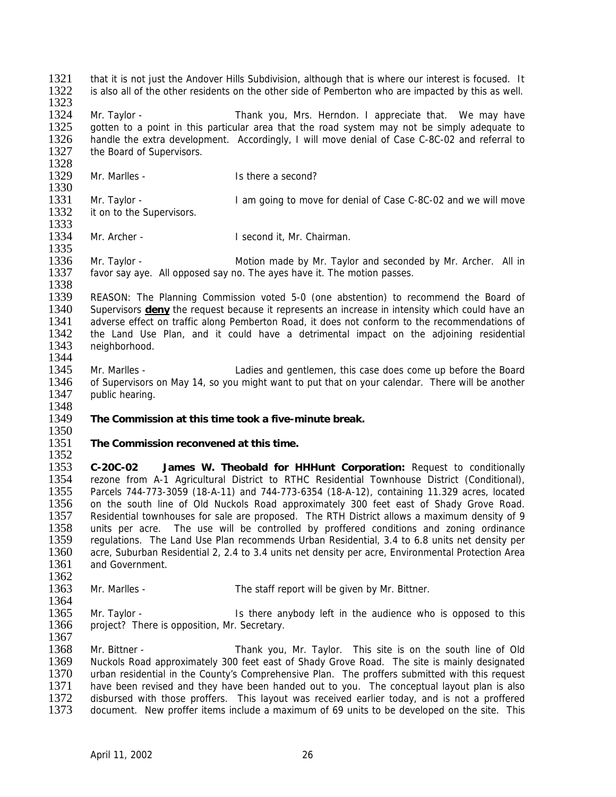1321 that it is not just the Andover Hills Subdivision, although that is where our interest is focused. It<br>1322 is also all of the other residents on the other side of Pemberton who are impacted by this as well is also all of the other residents on the other side of Pemberton who are impacted by this as well. 1323

1324 Mr. Taylor - Thank you, Mrs. Herndon. I appreciate that. We may have 1325 gotten to a point in this particular area that the road system may not be simply adequate to 1325 gotten to a point in this particular area that the road system may not be simply adequate to 1326 handle the extra development. Accordinaly, I will move denial of Case C-8C-02 and referral to handle the extra development. Accordingly, I will move denial of Case C-8C-02 and referral to 1327 the Board of Supervisors.

- 1328<br>1329
	- Mr. Marlles Is there a second?

1330<br>1331 1331 Mr. Taylor - I am going to move for denial of Case C-8C-02 and we will move 1332 it on to the Supervisors. it on to the Supervisors. 1333

1334 Mr. Archer - I second it, Mr. Chairman.

1335

1336 Mr. Taylor - Motion made by Mr. Taylor and seconded by Mr. Archer. All in 1337 favor say aye. All opposed say no. The ayes have it. The motion passes.

1338<br>1339 1339 REASON: The Planning Commission voted 5-0 (one abstention) to recommend the Board of 1340 Supervisors **deny** the request because it represents an increase in intensity which could have an 1340 Supervisors **deny** the request because it represents an increase in intensity which could have an 1341 adverse effect on traffic along Pemberton Road, it does not conform to the recommendations of 1341 adverse effect on traffic along Pemberton Road, it does not conform to the recommendations of 1342 the Land Use Plan, and it could have a detrimental impact on the adioining residential 1342 the Land Use Plan, and it could have a detrimental impact on the adjoining residential 1343 neighborhood neighborhood. 1344

1345 Mr. Marlles - Ladies and gentlemen, this case does come up before the Board<br>1346 of Supervisors on May 14, so you might want to put that on your calendar. There will be another of Supervisors on May 14, so you might want to put that on your calendar. There will be another 1347 public hearing.

## 1349 **The Commission at this time took a five-minute break.**

## 1350<br>1351 The Commission reconvened at this time.

 $\frac{1352}{1353}$ 1353 **C-20C-02 James W. Theobald for HHHunt Corporation:** Request to conditionally 1354 rezone from A-1 Agricultural District to RTHC Residential Townhouse District (Conditional),<br>1355 Parcels 744-773-3059 (18-A-11) and 744-773-6354 (18-A-12), containing 11.329 acres, located 1355 Parcels 744-773-3059 (18-A-11) and 744-773-6354 (18-A-12), containing 11.329 acres, located 1356 on the south line of Old Nuckols Road approximately 300 feet east of Shady Grove Road. on the south line of Old Nuckols Road approximately 300 feet east of Shady Grove Road. 1357 Residential townhouses for sale are proposed. The RTH District allows a maximum density of 9 1358 units per acre. The use will be controlled by proffered conditions and zoning ordinance 1359 regulations. The Land Use Plan recommends Urban Residential, 3.4 to 6.8 units net density per 1360 acre, Suburban Residential 2, 2.4 to 3.4 units net density per acre, Environmental Protection Area<br>1361 and Government. and Government.

- $\frac{1362}{1363}$ Mr. Marlles - The staff report will be given by Mr. Bittner.
- 1365 Mr. Taylor Is there anybody left in the audience who is opposed to this 1366 project? There is opposition. Mr. Secretary. project? There is opposition, Mr. Secretary.
- 1367

1364

1348

1368 Mr. Bittner - Thank you, Mr. Taylor. This site is on the south line of Old 1369 Nuckols Road approximately 300 feet east of Shady Grove Road. The site is mainly designated 1370 urban residential in the County's Comprehensive Plan. The proffers submitted with this request 1371 have been revised and they have been handed out to you. The conceptual layout plan is also 1371 have been revised and they have been handed out to you. The conceptual layout plan is also<br>1372 disbursed with those proffers. This layout was received earlier today, and is not a proffered 1372 disbursed with those proffers. This layout was received earlier today, and is not a proffered<br>1373 document. New proffer items include a maximum of 69 units to be developed on the site. This document. New proffer items include a maximum of 69 units to be developed on the site. This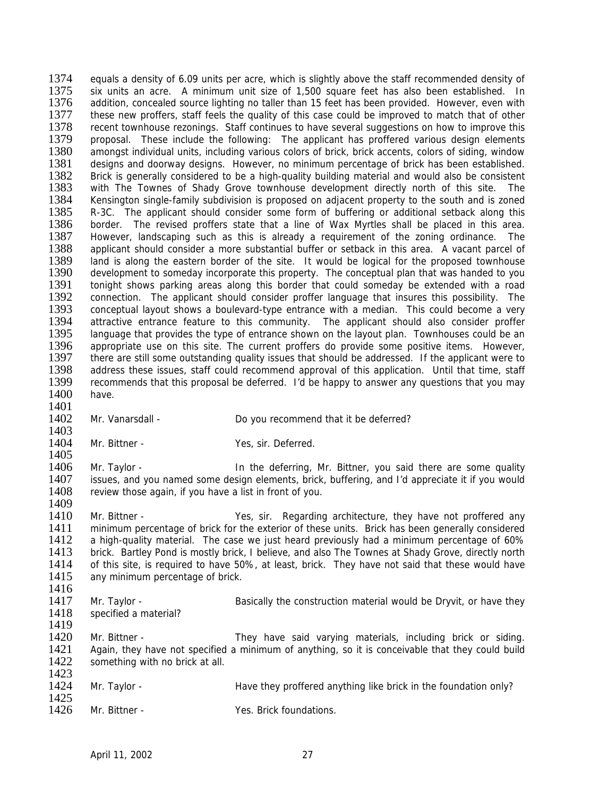1374 equals a density of 6.09 units per acre, which is slightly above the staff recommended density of 1575 six units an acre a minimum unit size of 1.500 square feet has also been established in 1375 six units an acre. A minimum unit size of 1,500 square feet has also been established. In<br>1376 addition, concealed source lighting no taller than 15 feet has been provided. However, even with addition, concealed source lighting no taller than 15 feet has been provided. However, even with 1377 these new proffers, staff feels the quality of this case could be improved to match that of other 1378 recent townhouse rezonings. Staff continues to have several suggestions on how to improve this 1378 recent townhouse rezonings. Staff continues to have several suggestions on how to improve this<br>1379 proposal. These include the following: The applicant has proffered various design elements proposal. These include the following: The applicant has proffered various design elements 1380 amongst individual units, including various colors of brick, brick accents, colors of siding, window<br>1381 designs and doorway designs. However, no minimum percentage of brick has been established. 1381 designs and doorway designs. However, no minimum percentage of brick has been established.<br>1382 Brick is generally considered to be a high-quality building material and would also be consistent 1382 Brick is generally considered to be a high-quality building material and would also be consistent 1383 with The Townes of Shady Grove townhouse development directly north of this site. The 1383 with The Townes of Shady Grove townhouse development directly north of this site. The 1384 Kensington single-family subdivision is proposed on adiacent property to the south and is zoned 1384 Kensington single-family subdivision is proposed on adjacent property to the south and is zoned<br>1385 R-3C. The applicant should consider some form of buffering or additional setback along this 1385 R-3C. The applicant should consider some form of buffering or additional setback along this 1386 border. The revised proffers state that a line of Wax Myrtles shall be placed in this area. border. The revised proffers state that a line of Wax Myrtles shall be placed in this area. 1387 However, landscaping such as this is already a requirement of the zoning ordinance. The 1388 applicant should consider a more substantial buffer or setback in this area. A vacant parcel of applicant should consider a more substantial buffer or setback in this area. A vacant parcel of 1389 land is along the eastern border of the site. It would be logical for the proposed townhouse<br>1390 development to someday incorporate this property. The conceptual plan that was handed to you development to someday incorporate this property. The conceptual plan that was handed to you 1391 tonight shows parking areas along this border that could someday be extended with a road<br>1392 connection. The applicant should consider proffer language that insures this possibility. The 1392 connection. The applicant should consider proffer language that insures this possibility. The 1393 conceptual layout shows a boulevard-type entrance with a median. This could become a very 1393 conceptual layout shows a boulevard-type entrance with a median. This could become a very<br>1394 attractive entrance feature to this community. The applicant should also consider proffer 1394 attractive entrance feature to this community. The applicant should also consider proffer<br>1395 language that provides the type of entrance shown on the lavout plan. Townhouses could be an 1395 language that provides the type of entrance shown on the layout plan. Townhouses could be an 1396 appropriate use on this site. The current proffers do provide some positive items. However 1396 appropriate use on this site. The current proffers do provide some positive items. However, 1397 there are still some outstanding quality issues that should be addressed. If the applicant were to there are still some outstanding quality issues that should be addressed. If the applicant were to 1398 address these issues, staff could recommend approval of this application. Until that time, staff 1399 recommends that this proposal be deferred. I'd be happy to answer any questions that you may recommends that this proposal be deferred. I'd be happy to answer any questions that you may 1400 have. 1401 1402 Mr. Vanarsdall - Do you recommend that it be deferred? 1403<br>1404 Mr. Bittner - Yes, sir. Deferred. 1405<br>1406 1406 Mr. Taylor - In the deferring, Mr. Bittner, you said there are some quality<br>1407 issues, and you named some design elements, brick, buffering, and I'd appreciate it if you would 1407 issues, and you named some design elements, brick, buffering, and I'd appreciate it if you would 1408 review those again. If you have a list in front of you. review those again, if you have a list in front of you. 1409 1410 Mr. Bittner - Yes, sir. Regarding architecture, they have not proffered any 1411 minimum percentage of brick for the exterior of these units. Brick has been generally considered 1412 a high-quality material. The case we just heard previously had a minimum percentage of 60% 1413 brick. Bartley Pond is mostly brick, I believe, and also The Townes at Shady Grove, directly north 1414 of this site, is required to have 50%, at least, brick. They have not said that these would have 1414 of this site, is required to have 50%, at least, brick. They have not said that these would have 1415 any minimum percentage of brick. any minimum percentage of brick. 1416<br>1417 1417 Mr. Taylor - Basically the construction material would be Dryvit, or have they<br>1418 specified a material? specified a material? 1419<br>1420 Mr. Bittner - They have said varying materials, including brick or siding. 1421 Again, they have not specified a minimum of anything, so it is conceivable that they could build 1422 something with no brick at all. 1423<br>1424 Mr. Taylor - **Have they proffered anything like brick in the foundation only?** 

1425<br>1426 Mr. Bittner - The Mass Communications of Yes. Brick foundations.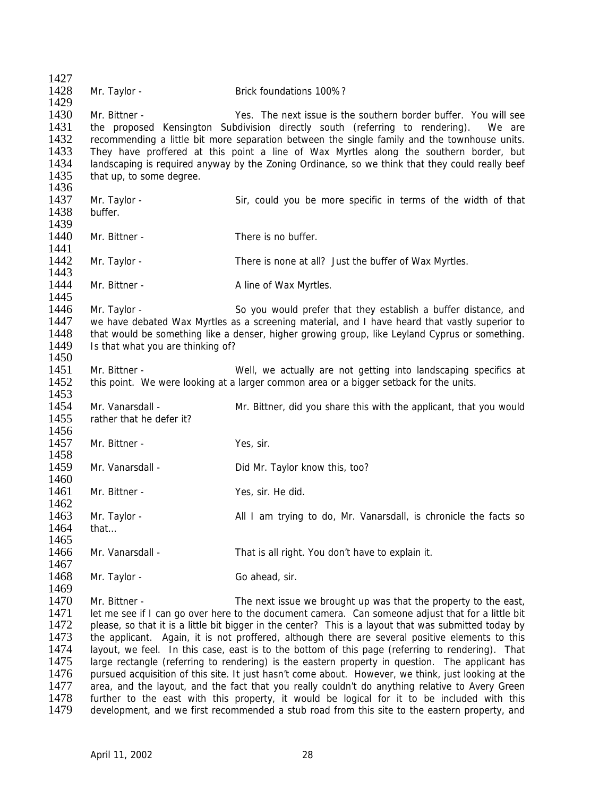1427<br>1428 Mr. Taylor - **Brick foundations 100%?** 1429 1430 Mr. Bittner - Yes. The next issue is the southern border buffer. You will see 1431 the proposed Kensington Subdivision directly south (referring to rendering). We are 1432 recommending a little bit more separation between the single family and the townhouse units. recommending a little bit more separation between the single family and the townhouse units. 1433 They have proffered at this point a line of Wax Myrtles along the southern border, but 1434 Iandscaping is required anyway by the Zoning Ordinance, so we think that they could really beef 1434 landscaping is required anyway by the Zoning Ordinance, so we think that they could really beef 1435 that up to some degree. that up, to some degree. 1436<br>1437 Mr. Taylor - Sir, could you be more specific in terms of the width of that 1438 buffer. 1439 1440 Mr. Bittner - There is no buffer. 1441 1442 Mr. Taylor - There is none at all? Just the buffer of Wax Myrtles. 1443 1444 Mr. Bittner - Aline of Wax Myrtles. 1445<br>1446 1446 Mr. Taylor - So you would prefer that they establish a buffer distance, and<br>1447 we have debated Wax Myrtles as a screening material, and I have heard that vastly superior to 1447 we have debated Wax Myrtles as a screening material, and I have heard that vastly superior to 1448 that would be something like a denser, higher growing group, like Levland Cyprus or something. 1448 that would be something like a denser, higher growing group, like Leyland Cyprus or something.<br>1449 State that what you are thinking of? Is that what you are thinking of? 1450 1451 Mr. Bittner - Well, we actually are not getting into landscaping specifics at 1452 this point. We were looking at a larger common area or a bigger setback for the units. this point. We were looking at a larger common area or a bigger setback for the units. 1453 1454 Mr. Vanarsdall - Mr. Bittner, did you share this with the applicant, that you would 1455 rather that he defer it? 1456<br>1457 Mr. Bittner - Yes, sir. 1458<br>1459 Mr. Vanarsdall - Did Mr. Taylor know this, too? 1460<br>1461 Mr. Bittner - Yes, sir. He did. 1462 1463 Mr. Taylor - All I am trying to do, Mr. Vanarsdall, is chronicle the facts so 1464 that… 1465 1466 Mr. Vanarsdall - That is all right. You don't have to explain it. 1467<br>1468 Mr. Taylor - Go ahead, sir. 1469<br>1470 1470 Mr. Bittner - The next issue we brought up was that the property to the east,<br>1471 Let me see if I can go over here to the document camera. Can someone adjust that for a little bit 1471 let me see if I can go over here to the document camera. Can someone adjust that for a little bit 1472 blease, so that it is a little bit bigger in the center? This is a layout that was submitted today by 1472 please, so that it is a little bit bigger in the center? This is a layout that was submitted today by<br>1473 the applicant. Again, it is not proffered, although there are several positive elements to this the applicant. Again, it is not proffered, although there are several positive elements to this 1474 layout, we feel. In this case, east is to the bottom of this page (referring to rendering). That 1475 large rectangle (referring to rendering) is the eastern property in question. The applicant has 1476 pursued acquisition of this site. It just hasn't come about. However, we think, just looking at the 1477 area, and the lavout, and the fact that you really couldn't do anything relative to Avery Green 1477 area, and the layout, and the fact that you really couldn't do anything relative to Avery Green<br>1478 further to the east with this property, it would be logical for it to be included with this 1478 further to the east with this property, it would be logical for it to be included with this 1479 development, and we first recommended a stub road from this site to the eastern property, and development, and we first recommended a stub road from this site to the eastern property, and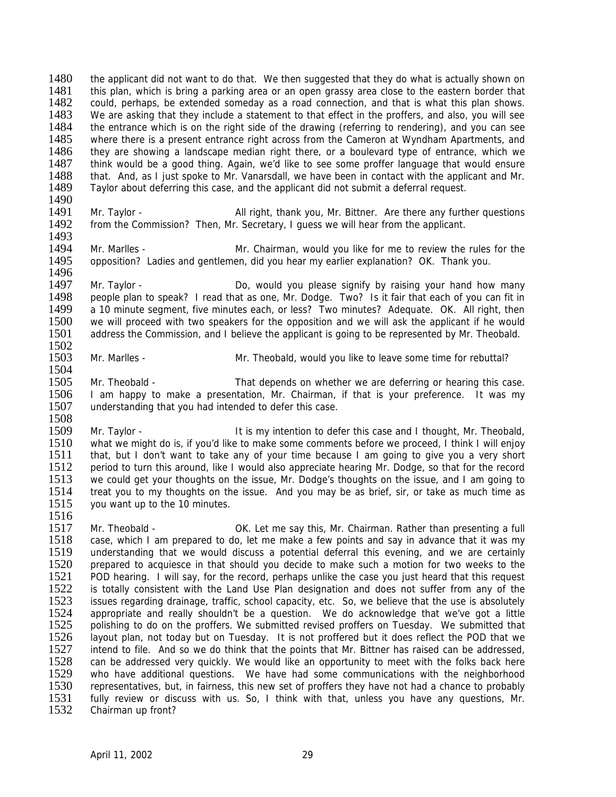1480 the applicant did not want to do that. We then suggested that they do what is actually shown on 1481 this plan, which is bring a parking area or an open grassy area close to the eastern border that 1481 this plan, which is bring a parking area or an open grassy area close to the eastern border that 1482 could, perhaps, be extended someday as a road connection, and that is what this plan shows. could, perhaps, be extended someday as a road connection, and that is what this plan shows. 1483 We are asking that they include a statement to that effect in the proffers, and also, you will see 1484 the entrance which is on the right side of the drawing (referring to rendering), and you can see 1484 the entrance which is on the right side of the drawing (referring to rendering), and you can see<br>1485 where there is a present entrance right across from the Cameron at Wyndham Apartments, and where there is a present entrance right across from the Cameron at Wyndham Apartments, and 1486 they are showing a landscape median right there, or a boulevard type of entrance, which we<br>1487 think would be a good thing. Again, we'd like to see some proffer language that would ensure 1487 think would be a good thing. Again, we'd like to see some proffer language that would ensure<br>1488 that, And, as I just spoke to Mr. Vanarsdall, we have been in contact with the applicant and Mr. 1488 that. And, as I just spoke to Mr. Vanarsdall, we have been in contact with the applicant and Mr.<br>1489 Tavlor about deferring this case, and the applicant did not submit a deferral request. Taylor about deferring this case, and the applicant did not submit a deferral request.

1490<br>1491

- 1491 Mr. Taylor All right, thank you, Mr. Bittner. Are there any further questions 1492 from the Commission? Then. Mr. Secretary. I quess we will hear from the applicant. from the Commission? Then, Mr. Secretary, I guess we will hear from the applicant.
- 1493<br>1494 1494 Mr. Marlles - Mr. Chairman, would you like for me to review the rules for the 1495 opposition? Ladies and gentlemen, did you hear my earlier explanation? OK. Thank you. opposition? Ladies and gentlemen, did you hear my earlier explanation? OK. Thank you. 1496
- 1497 Mr. Taylor Do, would you please signify by raising your hand how many<br>1498 Deeple plan to speak? I read that as one. Mr. Dodge. Two? Is it fair that each of you can fit in 1498 people plan to speak? I read that as one, Mr. Dodge. Two? Is it fair that each of you can fit in 1499 a 10 minute segment, five minutes each, or less? Two minutes? Adequate. OK. All right, then 1499 a 10 minute segment, five minutes each, or less? Two minutes? Adequate. OK. All right, then 1500 we will proceed with two speakers for the opposition and we will ask the applicant if he would 1500 we will proceed with two speakers for the opposition and we will ask the applicant if he would 1501 address the Commission, and I believe the applicant is going to be represented by Mr. Theobald. address the Commission, and I believe the applicant is going to be represented by Mr. Theobald.
- 1502<br>1503 Mr. Marlles - Theobald, would you like to leave some time for rebuttal?
- 1504<br>1505 Mr. Theobald - That depends on whether we are deferring or hearing this case. 1506 I am happy to make a presentation, Mr. Chairman, if that is your preference. It was my 1507 understanding that you had intended to defer this case. 1508
- 1509 Mr. Taylor It is my intention to defer this case and I thought, Mr. Theobald, 1510 what we might do is, if you'd like to make some comments before we proceed. I think I will eniov 1510 what we might do is, if you'd like to make some comments before we proceed, I think I will enjoy<br>1511 that, but I don't want to take any of your time because I am going to give you a very short 1511 that, but I don't want to take any of your time because I am going to give you a very short 1512 period to turn this around. like I would also appreciate hearing Mr. Dodge, so that for the record 1512 period to turn this around, like I would also appreciate hearing Mr. Dodge, so that for the record 1513 we could get your thoughts on the issue. Mr. Dodge's thoughts on the issue, and I am going to we could get your thoughts on the issue, Mr. Dodge's thoughts on the issue, and I am going to 1514 treat you to my thoughts on the issue. And you may be as brief, sir, or take as much time as 1515 vou want up to the 10 minutes. you want up to the 10 minutes.
- 1517 Mr. Theobald OK. Let me say this, Mr. Chairman. Rather than presenting a full 1518 case, which I am prepared to do, let me make a few points and say in advance that it was my<br>1519 understanding that we would discuss a potential deferral this evening, and we are certainly 1519 understanding that we would discuss a potential deferral this evening, and we are certainly 1520 prepared to acquiesce in that should you decide to make such a motion for two weeks to the 1520 prepared to acquiesce in that should you decide to make such a motion for two weeks to the 1521 POD hearing. I will say, for the record, perhaps unlike the case you just heard that this request 1521 POD hearing. I will say, for the record, perhaps unlike the case you just heard that this request 1522 is totally consistent with the Land Use Plan designation and does not suffer from any of the 1522 is totally consistent with the Land Use Plan designation and does not suffer from any of the<br>1523 issues regarding drainage, traffic, school capacity, etc. So, we believe that the use is absolutely 1523 issues regarding drainage, traffic, school capacity, etc. So, we believe that the use is absolutely<br>1524 appropriate and really shouldn't be a question. We do acknowledge that we've got a little 1524 appropriate and really shouldn't be a question. We do acknowledge that we've got a little 1525 polishing to do on the proffers. We submitted revised proffers on Tuesday. We submitted that 1525 polishing to do on the proffers. We submitted revised proffers on Tuesday. We submitted that 1526 layout plan, not today but on Tuesday. It is not proffered but it does reflect the POD that we layout plan, not today but on Tuesday. It is not proffered but it does reflect the POD that we 1527 intend to file. And so we do think that the points that Mr. Bittner has raised can be addressed, 1528 can be addressed very quickly. We would like an opportunity to meet with the folks back here 1529 who have additional questions. We have had some communications with the neighborhood 1530 representatives, but, in fairness, this new set of proffers they have not had a chance to probably 1530 representatives, but, in fairness, this new set of proffers they have not had a chance to probably<br>1531 fully review or discuss with us. So, I think with that, unless you have any questions, Mr. 1531 fully review or discuss with us. So, I think with that, unless you have any questions, Mr.<br>1532 Chairman up front? Chairman up front?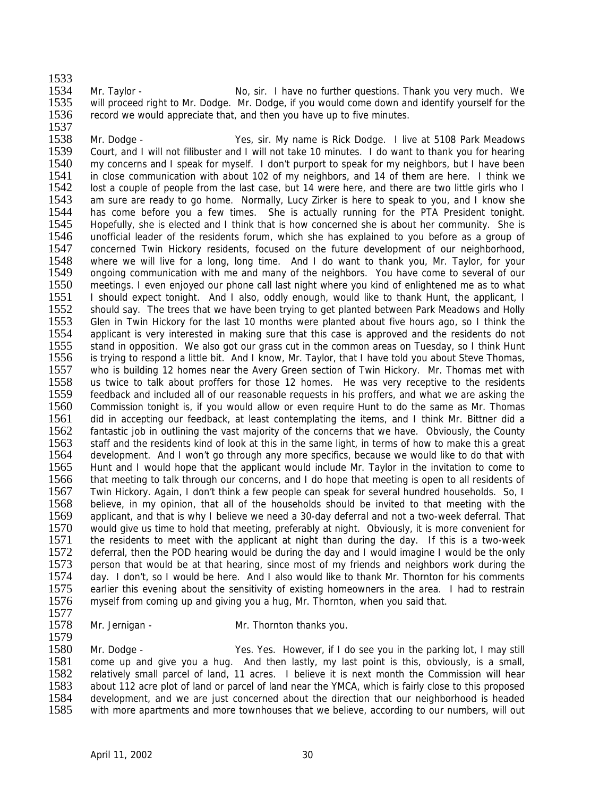1533<br>1534

1534 Mr. Taylor - No, sir. I have no further questions. Thank you very much. We<br>1535 will proceed right to Mr. Dodge. Mr. Dodge. if you would come down and identify yourself for the will proceed right to Mr. Dodge. Mr. Dodge, if you would come down and identify yourself for the 1536 record we would appreciate that, and then you have up to five minutes.

1537<br>1538 Mr. Dodge - Yes, sir. My name is Rick Dodge. I live at 5108 Park Meadows 1539 Court, and I will not filibuster and I will not take 10 minutes. I do want to thank you for hearing 1540 my concerns and I speak for myself. I don't purport to speak for my neighbors, but I have been 1540 my concerns and I speak for myself. I don't purport to speak for my neighbors, but I have been<br>1541 in close communication with about 102 of my neighbors, and 14 of them are here. I think we 1541 in close communication with about 102 of my neighbors, and 14 of them are here. I think we<br>1542 lost a couple of people from the last case, but 14 were here, and there are two little girls who I 1542 lost a couple of people from the last case, but 14 were here, and there are two little girls who I<br>1543 am sure are ready to go home. Normally, Lucy Zirker is here to speak to you, and I know she 1543 am sure are ready to go home. Normally, Lucy Zirker is here to speak to you, and I know she<br>1544 has come before you a few times. She is actually running for the PTA President tonight. 1544 has come before you a few times. She is actually running for the PTA President tonight.<br>1545 Hopefully, she is elected and I think that is how concerned she is about her community. She is Hopefully, she is elected and I think that is how concerned she is about her community. She is 1546 unofficial leader of the residents forum, which she has explained to you before as a group of 1547 concerned Twin Hickory residents, focused on the future development of our neighborhood, concerned Twin Hickory residents, focused on the future development of our neighborhood, 1548 where we will live for a long, long time. And I do want to thank you, Mr. Taylor, for your 1549 ongoing communication with me and many of the neighbors. You have come to several of our 1549 ongoing communication with me and many of the neighbors. You have come to several of our 1550 meetings. I even enjoyed our phone call last night where you kind of enlightened me as to what 1551 I should expect tonight. And I also, oddly enough, would like to thank Hunt, the applicant. I 1551 I should expect tonight. And I also, oddly enough, would like to thank Hunt, the applicant, I<br>1552 should say. The trees that we have been trying to get planted between Park Meadows and Holly 1552 should say. The trees that we have been trying to get planted between Park Meadows and Holly<br>1553 Glen in Twin Hickory for the last 10 months were planted about five hours ago, so I think the 1553 Glen in Twin Hickory for the last 10 months were planted about five hours ago, so I think the 1554 applicant is very interested in making sure that this case is approved and the residents do not 1554 applicant is very interested in making sure that this case is approved and the residents do not 1555 stand in opposition. We also got our grass cut in the common areas on Tuesday, so I think Hunt 1555 stand in opposition. We also got our grass cut in the common areas on Tuesday, so I think Hunt 1556 is trying to respond a little bit. And I know. Mr. Taylor, that I have told you about Steve Thomas. is trying to respond a little bit. And I know, Mr. Taylor, that I have told you about Steve Thomas, 1557 who is building 12 homes near the Avery Green section of Twin Hickory. Mr. Thomas met with 1558 us twice to talk about proffers for those 12 homes. He was very receptive to the residents us twice to talk about proffers for those 12 homes. He was very receptive to the residents 1559 feedback and included all of our reasonable requests in his proffers, and what we are asking the 1560 Commission tonight is, if you would allow or even require Hunt to do the same as Mr. Thomas 1561 did in accepting our feedback, at least contemplating the items, and I think Mr. Bittner did a 1562 fantastic job in outlining the vast majority of the concerns that we have. Obviously, the County<br>1563 staff and the residents kind of look at this in the same light, in terms of how to make this a great 1563 staff and the residents kind of look at this in the same light, in terms of how to make this a great 1564 development. And I won't go through any more specifics, because we would like to do that with 1564 development. And I won't go through any more specifics, because we would like to do that with<br>1565 Hunt and I would hope that the applicant would include Mr. Taylor in the invitation to come to Hunt and I would hope that the applicant would include Mr. Taylor in the invitation to come to 1566 that meeting to talk through our concerns, and I do hope that meeting is open to all residents of 1567 Twin Hickory. Again, I don't think a few people can speak for several hundred households. So, I<br>1568 believe, in my opinion, that all of the households should be invited to that meeting with the believe, in my opinion, that all of the households should be invited to that meeting with the 1569 applicant, and that is why I believe we need a 30-day deferral and not a two-week deferral. That 1570 would give us time to hold that meeting, preferably at night. Obviously, it is more convenient for 1571 the residents to meet with the applicant at night than during the day. If this is a two-week 1572 deferral, then the POD hearing would be during the day and I would imagine I would be the only<br>1573 person that would be at that hearing, since most of my friends and neighbors work during the 1573 person that would be at that hearing, since most of my friends and neighbors work during the 1574 day. I don't so I would be here. And I also would like to thank Mr. Thornton for his comments 1574 day. I don't, so I would be here. And I also would like to thank Mr. Thornton for his comments 1575 earlier this evening about the sensitivity of existing homeowners in the area. I had to restrain 1575 earlier this evening about the sensitivity of existing homeowners in the area. I had to restrain 1576 myself from coming up and giving you a hug. Mr. Thornton, when you said that. myself from coming up and giving you a hug, Mr. Thornton, when you said that.

- 1577<br>1578
- 1579
- Mr. Jernigan Mr. Thornton thanks you.

1580 Mr. Dodge - Yes. Yes. However, if I do see you in the parking lot, I may still 1581 come up and give you a hug. And then lastly, my last point is this, obviously, is a small, 1582 relatively small parcel of land, 11 acres. I believe it is next month the Commission will hear<br>1583 about 112 acre plot of land or parcel of land near the YMCA, which is fairly close to this proposed 1583 about 112 acre plot of land or parcel of land near the YMCA, which is fairly close to this proposed<br>1584 development, and we are just concerned about the direction that our neighborhood is headed 1584 development, and we are just concerned about the direction that our neighborhood is headed<br>1585 with more apartments and more townhouses that we believe, according to our numbers, will out with more apartments and more townhouses that we believe, according to our numbers, will out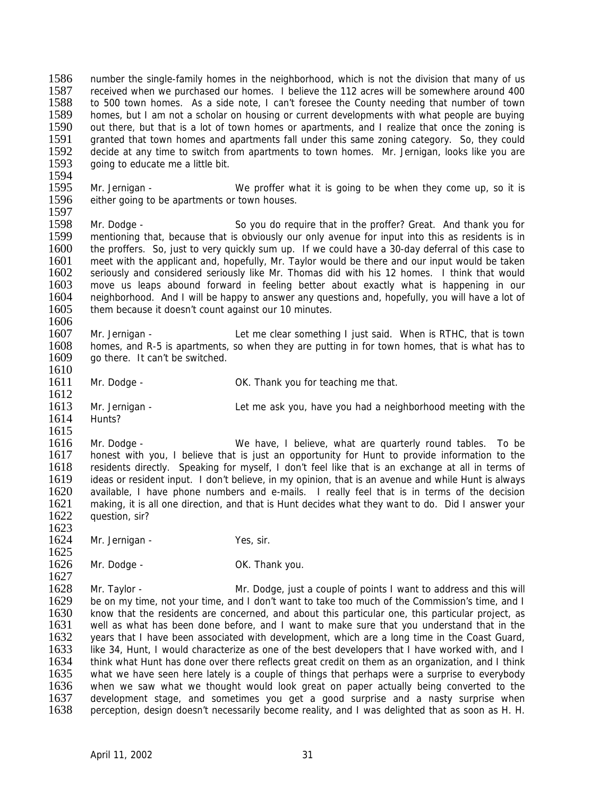1586 number the single-family homes in the neighborhood, which is not the division that many of us<br>1587 received when we purchased our homes I believe the 112 acres will be somewhere around 400 1587 received when we purchased our homes. I believe the 112 acres will be somewhere around 400<br>1588 to 500 town homes. As a side note. I can't foresee the County needing that number of town to 500 town homes. As a side note, I can't foresee the County needing that number of town 1589 homes, but I am not a scholar on housing or current developments with what people are buying<br>1590 out there, but that is a lot of town homes or apartments, and I realize that once the zoning is 1590 out there, but that is a lot of town homes or apartments, and I realize that once the zoning is 1591 aranted that town homes and apartments fall under this same zoning category. So, they could granted that town homes and apartments fall under this same zoning category. So, they could 1592 decide at any time to switch from apartments to town homes. Mr. Jernigan, looks like you are 1593 coing to educate me a little bit. going to educate me a little bit.

1594<br>1595 1595 Mr. Jernigan - We proffer what it is going to be when they come up, so it is 1596 either going to be apartments or town houses. either going to be apartments or town houses.

1597<br>1598 Mr. Dodge - So you do require that in the proffer? Great. And thank you for 1599 mentioning that, because that is obviously our only avenue for input into this as residents is in 1600 the proffers. So, just to very quickly sum up. If we could have a 30-day deferral of this case to 1600 the proffers. So, just to very quickly sum up. If we could have a 30-day deferral of this case to 1601 meet with the applicant and, hopefully, Mr. Taylor would be there and our input would be taken 1601 meet with the applicant and, hopefully, Mr. Taylor would be there and our input would be taken 1602 seriously and considered seriously like Mr. Thomas did with his 12 homes. I think that would seriously and considered seriously like Mr. Thomas did with his 12 homes. I think that would 1603 move us leaps abound forward in feeling better about exactly what is happening in our 1604 neighborhood. And I will be happy to answer any questions and hopefully vou will have a lot of 1604 neighborhood. And I will be happy to answer any questions and, hopefully, you will have a lot of 1605 them because it doesn't count against our 10 minutes. them because it doesn't count against our 10 minutes.

1606<br>1607 1607 Mr. Jernigan - Let me clear something I just said. When is RTHC, that is town<br>1608 homes and R-5 is apartments so when they are putting in for town homes that is what has to 1608 homes, and R-5 is apartments, so when they are putting in for town homes, that is what has to 1609 oo there. It can't be switched. go there. It can't be switched.

1610

1612

1623

- 1611 Mr. Dodge CK. Thank you for teaching me that.
- 1613 Mr. Jernigan Let me ask you, have you had a neighborhood meeting with the 1614 Hunts?

1615<br>1616

1616 Mr. Dodge - We have, I believe, what are quarterly round tables. To be 1617 honest with you. I believe that is just an opportunity for Hunt to provide information to the 1617 honest with you, I believe that is just an opportunity for Hunt to provide information to the 1618 residents directly. Speaking for myself. I don't feel like that is an exchange at all in terms of 1618 residents directly. Speaking for myself, I don't feel like that is an exchange at all in terms of 1619 ideas or resident input. I don't believe, in my opinion, that is an avenue and while Hunt is always ideas or resident input. I don't believe, in my opinion, that is an avenue and while Hunt is always 1620 available, I have phone numbers and e-mails. I really feel that is in terms of the decision<br>1621 making, it is all one direction, and that is Hunt decides what they want to do. Did I answer your making, it is all one direction, and that is Hunt decides what they want to do. Did I answer your 1622 question, sir?

- 1624 Mr. Jernigan Yes, sir.
- 1625<br>1626 Mr. Dodge - Case Communication Communication OK. Thank you.

1627<br>1628 1628 Mr. Taylor - Mr. Dodge, just a couple of points I want to address and this will<br>1629 be on my time, not your time, and I don't want to take too much of the Commission's time, and I 1629 be on my time, not your time, and I don't want to take too much of the Commission's time, and I<br>1630 know that the residents are concerned, and about this particular one, this particular project, as 1630 know that the residents are concerned, and about this particular one, this particular project, as 1631 well as what has been done before, and I want to make sure that you understand that in the 1631 well as what has been done before, and I want to make sure that you understand that in the 1632 vears that I have been associated with development, which are a long time in the Coast Guard, years that I have been associated with development, which are a long time in the Coast Guard, 1633 like 34, Hunt, I would characterize as one of the best developers that I have worked with, and I 1634 think what Hunt has done over there reflects great credit on them as an organization, and I think 1635 what we have seen here lately is a couple of things that perhaps were a surprise to everybody<br>1636 when we saw what we thought would look great on paper actually being converted to the 1636 when we saw what we thought would look great on paper actually being converted to the 1637 development stage, and sometimes vou get a good surprise and a nasty surprise when 1637 development stage, and sometimes you get a good surprise and a nasty surprise when<br>1638 perception, design doesn't necessarily become reality, and I was delighted that as soon as H. H. perception, design doesn't necessarily become reality, and I was delighted that as soon as H. H.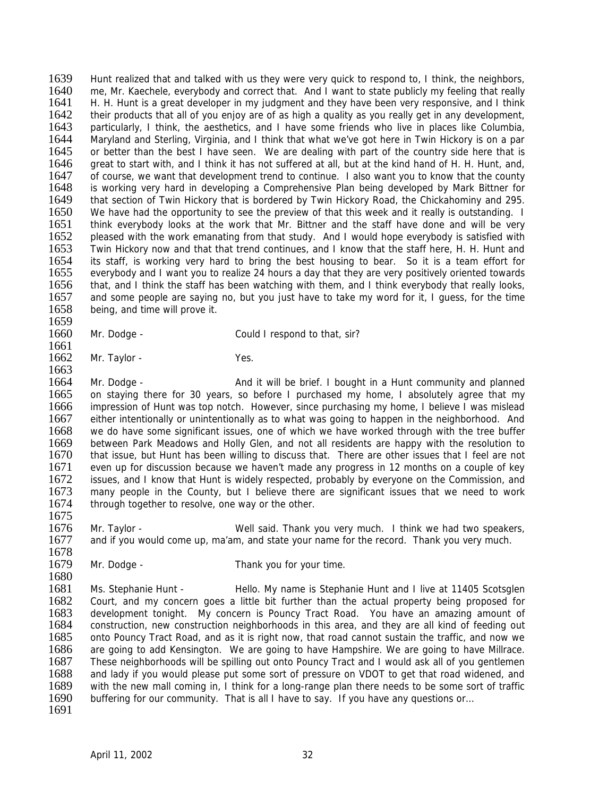1639 Hunt realized that and talked with us they were very quick to respond to, I think, the neighbors, 1640 me Mr Kaechele every body and correct that And Lwant to state publicly my feeling that really 1640 me, Mr. Kaechele, everybody and correct that. And I want to state publicly my feeling that really 1641 H. H. Hunt is a great developer in my judgment and they have been very responsive, and I think H. H. Hunt is a great developer in my judgment and they have been very responsive, and I think 1642 their products that all of you enjoy are of as high a quality as you really get in any development,<br>1643 particularly, I think, the aesthetics, and I have some friends who live in places like Columbia, particularly, I think, the aesthetics, and I have some friends who live in places like Columbia, 1644 Maryland and Sterling, Virginia, and I think that what we've got here in Twin Hickory is on a par 1645 or better than the best I have seen. We are dealing with part of the country side here that is 1646 areat to start with, and I think it has not suffered at all, but at the kind hand of H. H. Hunt, and, 1646 great to start with, and I think it has not suffered at all, but at the kind hand of H. H. Hunt, and, 1647 of course, we want that development trend to continue. I also want you to know that the county 1647 of course, we want that development trend to continue. I also want you to know that the county 1648 is working very hard in developing a Comprehensive Plan being developed by Mark Bittner for 1648 is working very hard in developing a Comprehensive Plan being developed by Mark Bittner for 1649 that section of Twin Hickory that is bordered by Twin Hickory Road, the Chickahominy and 295. 1649 that section of Twin Hickory that is bordered by Twin Hickory Road, the Chickahominy and 295.<br>1650 We have had the opportunity to see the preview of that this week and it really is outstanding. I We have had the opportunity to see the preview of that this week and it really is outstanding. I 1651 think everybody looks at the work that Mr. Bittner and the staff have done and will be very 1652 pleased with the work emanating from that study. And I would hope everybody is satisfied with 1653 Twin Hickory now and that that trend continues, and I know that the staff here, H. H. Hunt and Twin Hickory now and that that trend continues, and I know that the staff here, H. H. Hunt and 1654 its staff, is working very hard to bring the best housing to bear. So it is a team effort for 1655 everybody and I want you to realize 24 hours a day that they are very positively oriented towards 1656 that, and I think the staff has been watching with them, and I think everybody that really looks, 1657 and some people are saving no, but you just have to take my word for it. I quess, for the time 1657 and some people are saying no, but you just have to take my word for it, I guess, for the time 1658 being, and time will prove it. being, and time will prove it.

1659<br>1660 Mr. Dodge - Could I respond to that, sir?

1661<br>1662 Mr. Taylor - Yes.

1663

1675

- 1664 Mr. Dodge And it will be brief. I bought in a Hunt community and planned 1665 on staying there for 30 years, so before I purchased my home, I absolutely agree that my 1666 impression of Hunt was top notch. However, since purchasing my home, I believe I was mislead 1667 either intentionally or unintentionally as to what was going to happen in the neighborhood. And 1668 we do have some significant issues, one of which we have worked through with the tree buffer<br>1669 between Park Meadows and Holly Glen, and not all residents are happy with the resolution to 1669 between Park Meadows and Holly Glen, and not all residents are happy with the resolution to 1670 that issue, but Hunt has been willing to discuss that. There are other issues that I feel are not 1670 that issue, but Hunt has been willing to discuss that. There are other issues that I feel are not 1671 even up for discussion because we haven't made any progress in 12 months on a couple of key 1671 even up for discussion because we haven't made any progress in 12 months on a couple of key<br>1672 issues, and I know that Hunt is widely respected, probably by everyone on the Commission, and issues, and I know that Hunt is widely respected, probably by everyone on the Commission, and 1673 many people in the County, but I believe there are significant issues that we need to work<br>1674 through together to resolve, one way or the other. through together to resolve, one way or the other.
- 1676 Mr. Taylor Well said. Thank you very much. I think we had two speakers, 1677 and if you would come up, ma'am, and state your name for the record. Thank you very much.
- 1678<br>1679 Mr. Dodge - Thank you for your time.

1680<br>1681 1681 Ms. Stephanie Hunt - Hello. My name is Stephanie Hunt and I live at 11405 Scotsglen<br>1682 Court, and my concern goes a little bit further than the actual property being proposed for Court, and my concern goes a little bit further than the actual property being proposed for 1683 development tonight. My concern is Pouncy Tract Road. You have an amazing amount of 1684 construction, new construction neighborhoods in this area, and they are all kind of feeding out construction, new construction neighborhoods in this area, and they are all kind of feeding out 1685 onto Pouncy Tract Road, and as it is right now, that road cannot sustain the traffic, and now we 1686 are going to add Kensington. We are going to have Hampshire. We are going to have Millrace. 1687 These neighborhoods will be spilling out onto Pouncy Tract and I would ask all of you gentlemen 1688 and lady if you would please put some sort of pressure on VDOT to get that road widened, and 1689 with the new mall coming in. I think for a long-range plan there needs to be some sort of traffic 1689 with the new mall coming in, I think for a long-range plan there needs to be some sort of traffic<br>1690 buffering for our community. That is all I have to say. If you have any questions or... buffering for our community. That is all I have to say. If you have any questions or... 1691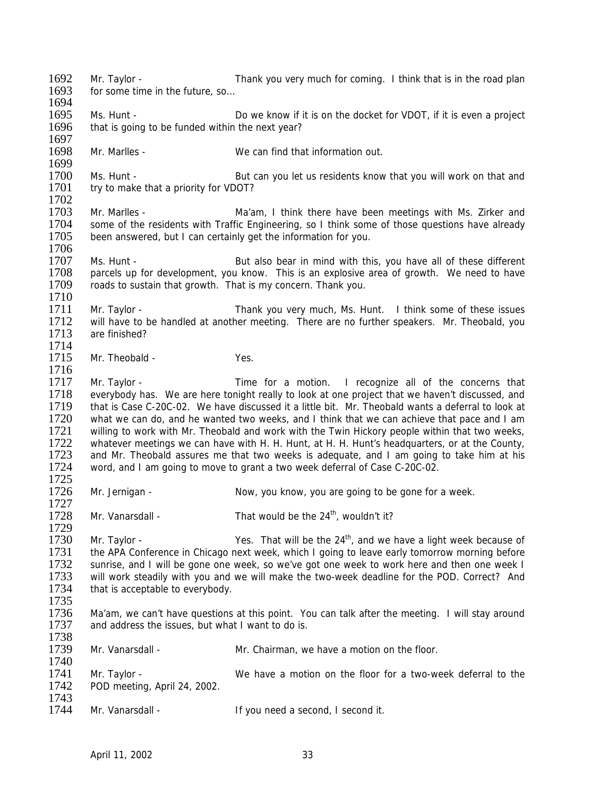1692 Mr. Taylor - Thank you very much for coming. I think that is in the road plan 1693 for some time in the future so for some time in the future, so 1694 1695 Ms. Hunt - Do we know if it is on the docket for VDOT, if it is even a project 1696 that is going to be funded within the next year? that is going to be funded within the next year? 1697<br>1698 Mr. Marlles - We can find that information out. 1699<br>1700 1700 Ms. Hunt - But can you let us residents know that you will work on that and 1701 try to make that a priority for VDOT? try to make that a priority for VDOT? 1702<br>1703 1703 Mr. Marlles - Ma'am, I think there have been meetings with Ms. Zirker and 1704 some of the residents with Traffic Engineering, so I think some of those questions have already some of the residents with Traffic Engineering, so I think some of those questions have already 1705 been answered, but I can certainly get the information for you. 1706<br>1707 1707 Ms. Hunt - But also bear in mind with this, you have all of these different 1708 parcels up for development, you know. This is an explosive area of growth. We need to have parcels up for development, you know. This is an explosive area of growth. We need to have 1709 roads to sustain that growth. That is my concern. Thank you. 1710<br>1711 1711 Mr. Taylor - Thank you very much, Ms. Hunt. I think some of these issues<br>1712 will have to be handled at another meeting. There are no further speakers. Mr. Theobald, you 1712 will have to be handled at another meeting. There are no further speakers. Mr. Theobald, you<br>1713 are finished? are finished? 1714<br>1715 Mr. Theobald - Yes. 1716<br>1717 Mr. Taylor - Time for a motion. I recognize all of the concerns that 1718 everybody has. We are here tonight really to look at one project that we haven't discussed, and 1719 that is Case C-20C-02. We have discussed it a little bit. Mr. Theobald wants a deferral to look at 1720 what we can do, and he wanted two weeks, and I think that we can achieve that pace and I am 1721 willing to work with Mr. Theobald and work with the Twin Hickory people within that two weeks,<br>1722 whatever meetings we can have with H. H. Hunt, at H. H. Hunt's headquarters, or at the County, 1722 whatever meetings we can have with H. H. Hunt, at H. H. Hunt's headquarters, or at the County,<br>1723 and Mr. Theobald assures me that two weeks is adequate, and I am going to take him at his 1723 and Mr. Theobald assures me that two weeks is adequate, and I am going to take him at his 1724 word, and I am going to move to grant a two week deferral of Case C-20C-02. word, and I am going to move to grant a two week deferral of Case C-20C-02. 1725<br>1726 Mr. Jernigan - Now, you know, you are going to be gone for a week. 1727 1728 Mr. Vanarsdall - That would be the  $24<sup>th</sup>$ , wouldn't it? 1729 1730 Mr. Taylor - Yes. That will be the  $24<sup>th</sup>$ , and we have a light week because of 1731 the APA Conference in Chicago next week, which I going to leave early tomorrow morning before<br>1732 sunrise, and I will be gone one week, so we've got one week to work here and then one week I 1732 sunrise, and I will be gone one week, so we've got one week to work here and then one week I<br>1733 will work steadily with you and we will make the two-week deadline for the POD. Correct? And 1733 will work steadily with you and we will make the two-week deadline for the POD. Correct? And 1734 that is acceptable to everybody. that is acceptable to everybody. 1735<br>1736 1736 Ma'am, we can't have questions at this point. You can talk after the meeting. I will stay around 1737 and address the issues, but what I want to do is. and address the issues, but what I want to do is. 1738 1739 Mr. Vanarsdall - Mr. Chairman, we have a motion on the floor. 1740 1741 Mr. Taylor - We have a motion on the floor for a two-week deferral to the 1742 POD meeting. April 24, 2002. POD meeting, April 24, 2002. 1743<br>1744 Mr. Vanarsdall - If you need a second, I second it.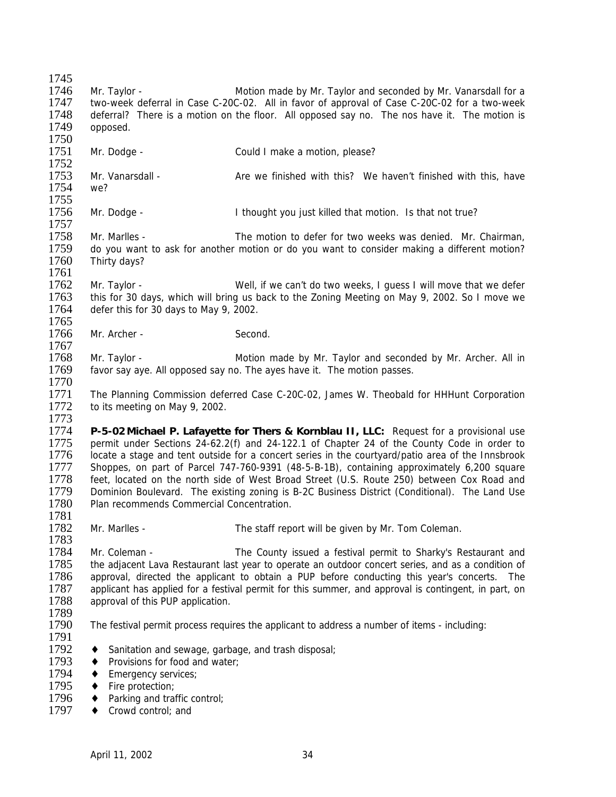| 1745 |                                                                                                      |                                                                                                   |  |
|------|------------------------------------------------------------------------------------------------------|---------------------------------------------------------------------------------------------------|--|
| 1746 | Mr. Taylor -                                                                                         | Motion made by Mr. Taylor and seconded by Mr. Vanarsdall for a                                    |  |
| 1747 | two-week deferral in Case C-20C-02. All in favor of approval of Case C-20C-02 for a two-week         |                                                                                                   |  |
| 1748 |                                                                                                      | deferral? There is a motion on the floor. All opposed say no. The nos have it. The motion is      |  |
| 1749 | opposed.                                                                                             |                                                                                                   |  |
| 1750 |                                                                                                      |                                                                                                   |  |
| 1751 | Mr. Dodge -                                                                                          | Could I make a motion, please?                                                                    |  |
| 1752 |                                                                                                      |                                                                                                   |  |
| 1753 | Mr. Vanarsdall -                                                                                     | Are we finished with this? We haven't finished with this, have                                    |  |
| 1754 | we?                                                                                                  |                                                                                                   |  |
| 1755 |                                                                                                      |                                                                                                   |  |
| 1756 | Mr. Dodge -                                                                                          |                                                                                                   |  |
| 1757 |                                                                                                      | I thought you just killed that motion. Is that not true?                                          |  |
| 1758 |                                                                                                      |                                                                                                   |  |
|      | Mr. Marlles -                                                                                        | The motion to defer for two weeks was denied. Mr. Chairman,                                       |  |
| 1759 |                                                                                                      | do you want to ask for another motion or do you want to consider making a different motion?       |  |
| 1760 | Thirty days?                                                                                         |                                                                                                   |  |
| 1761 |                                                                                                      |                                                                                                   |  |
| 1762 | Mr. Taylor -                                                                                         | Well, if we can't do two weeks, I guess I will move that we defer                                 |  |
| 1763 |                                                                                                      | this for 30 days, which will bring us back to the Zoning Meeting on May 9, 2002. So I move we     |  |
| 1764 | defer this for 30 days to May 9, 2002.                                                               |                                                                                                   |  |
| 1765 |                                                                                                      |                                                                                                   |  |
| 1766 | Mr. Archer -                                                                                         | Second.                                                                                           |  |
| 1767 |                                                                                                      |                                                                                                   |  |
| 1768 | Mr. Taylor -                                                                                         | Motion made by Mr. Taylor and seconded by Mr. Archer. All in                                      |  |
| 1769 |                                                                                                      | favor say aye. All opposed say no. The ayes have it. The motion passes.                           |  |
| 1770 |                                                                                                      |                                                                                                   |  |
| 1771 |                                                                                                      | The Planning Commission deferred Case C-20C-02, James W. Theobald for HHHunt Corporation          |  |
| 1772 | to its meeting on May 9, 2002.                                                                       |                                                                                                   |  |
| 1773 |                                                                                                      |                                                                                                   |  |
| 1774 |                                                                                                      | P-5-02 Michael P. Lafayette for Thers & Kornblau II, LLC: Request for a provisional use           |  |
| 1775 | permit under Sections 24-62.2(f) and 24-122.1 of Chapter 24 of the County Code in order to           |                                                                                                   |  |
| 1776 |                                                                                                      | locate a stage and tent outside for a concert series in the courtyard/patio area of the Innsbrook |  |
| 1777 |                                                                                                      | Shoppes, on part of Parcel 747-760-9391 (48-5-B-1B), containing approximately 6,200 square        |  |
| 1778 |                                                                                                      | feet, located on the north side of West Broad Street (U.S. Route 250) between Cox Road and        |  |
| 1779 |                                                                                                      | Dominion Boulevard. The existing zoning is B-2C Business District (Conditional). The Land Use     |  |
| 1780 | Plan recommends Commercial Concentration.                                                            |                                                                                                   |  |
| 1781 |                                                                                                      |                                                                                                   |  |
| 1782 | Mr. Marlles -                                                                                        | The staff report will be given by Mr. Tom Coleman.                                                |  |
| 1783 |                                                                                                      |                                                                                                   |  |
| 1784 | Mr. Coleman -                                                                                        | The County issued a festival permit to Sharky's Restaurant and                                    |  |
| 1785 |                                                                                                      |                                                                                                   |  |
| 1786 | the adjacent Lava Restaurant last year to operate an outdoor concert series, and as a condition of   |                                                                                                   |  |
| 1787 | approval, directed the applicant to obtain a PUP before conducting this year's concerts. The         |                                                                                                   |  |
|      | applicant has applied for a festival permit for this summer, and approval is contingent, in part, on |                                                                                                   |  |
| 1788 | approval of this PUP application.                                                                    |                                                                                                   |  |
| 1789 |                                                                                                      |                                                                                                   |  |
| 1790 |                                                                                                      | The festival permit process requires the applicant to address a number of items - including:      |  |
| 1791 |                                                                                                      |                                                                                                   |  |
| 1792 | Sanitation and sewage, garbage, and trash disposal;<br>٠                                             |                                                                                                   |  |
| 1793 | Provisions for food and water;<br>٠                                                                  |                                                                                                   |  |
| 1794 | Emergency services;<br>٠                                                                             |                                                                                                   |  |
| 1795 | Fire protection;<br>٠                                                                                |                                                                                                   |  |
| 1796 | Parking and traffic control;<br>٠                                                                    |                                                                                                   |  |
| 1797 | Crowd control; and                                                                                   |                                                                                                   |  |
|      |                                                                                                      |                                                                                                   |  |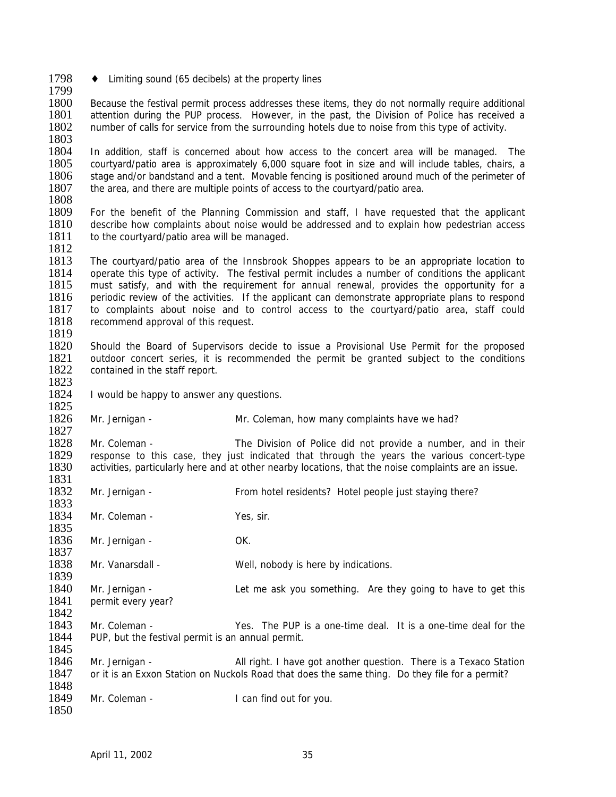1798  $\leftrightarrow$  Limiting sound (65 decibels) at the property lines

1799<br>1800 Because the festival permit process addresses these items, they do not normally require additional 1801 attention during the PUP process. However, in the past, the Division of Police has received a<br>1802 number of calls for service from the surrounding hotels due to noise from this type of activity. number of calls for service from the surrounding hotels due to noise from this type of activity. 1803

1804 In addition, staff is concerned about how access to the concert area will be managed. The 1805 courtvard/patio area is approximately 6,000 square foot in size and will include tables, chairs, a courtyard/patio area is approximately 6,000 square foot in size and will include tables, chairs, a 1806 stage and/or bandstand and a tent. Movable fencing is positioned around much of the perimeter of 1807 the area, and there are multiple points of access to the courtvard/patio area. the area, and there are multiple points of access to the courtyard/patio area.

1808<br>1809 1809 For the benefit of the Planning Commission and staff, I have requested that the applicant 1810 describe how complaints about noise would be addressed and to explain how pedestrian access 1811 to the courtyard/patio area will be managed.

1812

1825

1850

1813 The courtyard/patio area of the Innsbrook Shoppes appears to be an appropriate location to 1814 operate this type of activity. The festival permit includes a number of conditions the applicant 1815 must satisfy, and with the requirement for annual renewal, provides the opportunity for a must satisfy, and with the requirement for annual renewal, provides the opportunity for a 1816 periodic review of the activities. If the applicant can demonstrate appropriate plans to respond 1817 to complaints about noise and to control access to the courtvard/patio area, staff could 1817 to complaints about noise and to control access to the courtyard/patio area, staff could 1818 recommend approval of this request. recommend approval of this request. 1819

1820 Should the Board of Supervisors decide to issue a Provisional Use Permit for the proposed 1821 outdoor concert series, it is recommended the permit be granted subject to the conditions 1822 contained in the staff report. 1823

1824 I would be happy to answer any questions.

1826 Mr. Jernigan - Mr. Coleman, how many complaints have we had?

1827<br>1828 1828 Mr. Coleman - The Division of Police did not provide a number, and in their<br>1829 Fesponse to this case, they just indicated that through the years the various concert-type 1829 response to this case, they just indicated that through the years the various concert-type 1830 activities particularly here and at other nearby locations, that the noise complaints are an issue. activities, particularly here and at other nearby locations, that the noise complaints are an issue.

1831<br>1832 1832 Mr. Jernigan - From hotel residents? Hotel people just staying there? 1833 1834 Mr. Coleman - Yes, sir. 1835 1836 Mr. Jernigan - OK. 1837<br>1838 Mr. Vanarsdall - Well, nobody is here by indications. 1839<br>1840 Mr. Jernigan - The Let me ask you something. Are they going to have to get this 1841 permit every year? 1842<br>1843

Mr. Coleman - Yes. The PUP is a one-time deal. It is a one-time deal for the 1844 PUP, but the festival permit is an annual permit. 1845

1846 Mr. Jernigan - **All right. I have got another question.** There is a Texaco Station 1847 or it is an Exxon Station on Nuckols Road that does the same thing. Do they file for a permit? or it is an Exxon Station on Nuckols Road that does the same thing. Do they file for a permit?

1848<br>1849 Mr. Coleman - I can find out for you.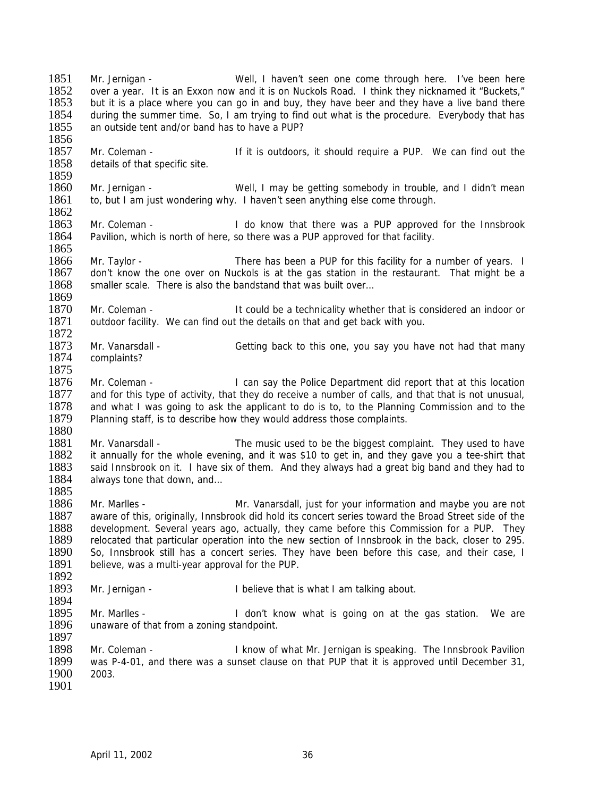1851 Mr. Jernigan - Well, I haven't seen one come through here. I've been here<br>1852 over a vear It is an Exxon now and it is on Nuckols Road. I think they nicknamed it "Buckets." 1852 over a year. It is an Exxon now and it is on Nuckols Road. I think they nicknamed it "Buckets,"<br>1853 but it is a place where you can go in and buy, they have beer and they have a live band there but it is a place where you can go in and buy, they have beer and they have a live band there 1854 during the summer time. So, I am trying to find out what is the procedure. Everybody that has 1855 an outside tent and/or band has to have a PUP? an outside tent and/or band has to have a PUP? 1856 1857 Mr. Coleman - If it is outdoors, it should require a PUP. We can find out the 1858 details of that specific site. details of that specific site. 1859<br>1860 1860 Mr. Jernigan - Well, I may be getting somebody in trouble, and I didn't mean 1861 to, but I am just wondering why. I haven't seen anything else come through. to, but I am just wondering why. I haven't seen anything else come through. 1862<br>1863 Mr. Coleman - The Innsbrook I do know that there was a PUP approved for the Innsbrook 1864 Pavilion, which is north of here, so there was a PUP approved for that facility. 1865 1866 Mr. Taylor - There has been a PUP for this facility for a number of years. I 1867 don't know the one over on Nuckols is at the gas station in the restaurant. That might be a 1868 smaller scale. There is also the bandstand that was built over... 1869<br>1870 1870 Mr. Coleman - It could be a technicality whether that is considered an indoor or 1871 outdoor facility. We can find out the details on that and get back with you. outdoor facility. We can find out the details on that and get back with you. 1872<br>1873 1873 Mr. Vanarsdall - Getting back to this one, you say you have not had that many 1874 complaints? complaints? 1875<br>1876 Mr. Coleman - **I** can say the Police Department did report that at this location 1877 and for this type of activity, that they do receive a number of calls, and that that is not unusual, 1878 and what I was going to ask the applicant to do is to, to the Planning Commission and to the 1879 Planning staff, is to describe how they would address those complaints. Planning staff, is to describe how they would address those complaints. 1880 1881 Mr. Vanarsdall - The music used to be the biggest complaint. They used to have 1882 it annually for the whole evening, and it was \$10 to get in, and they gave you a tee-shirt that 1882 it annually for the whole evening, and it was \$10 to get in, and they gave you a tee-shirt that 1883 said Innsbrook on it. I have six of them. And they always had a great big band and they had to 1883 said Innsbrook on it. I have six of them. And they always had a great big band and they had to 1884 always tone that down, and... always tone that down, and... 1885<br>1886 Mr. Marlles - Mr. Vanarsdall, just for your information and maybe you are not 1887 aware of this, originally, Innsbrook did hold its concert series toward the Broad Street side of the 1888 development. Several years ago, actually, they came before this Commission for a PUP. They 1889 relocated that particular operation into the new section of Innsbrook in the back, closer to 295. 1890 So, Innsbrook still has a concert series. They have been before this case, and their case, I<br>1891 believe, was a multi-year approval for the PUP. believe, was a multi-year approval for the PUP. 1892<br>1893 Mr. Jernigan - I believe that is what I am talking about. 1894<br>1895 1895 Mr. Marlles - I don't know what is going on at the gas station. We are 1896 unaware of that from a zoning standpoint. unaware of that from a zoning standpoint. 1897<br>1898 Mr. Coleman - The Innsbrook Pavilion I know of what Mr. Jernigan is speaking. The Innsbrook Pavilion 1899 was P-4-01, and there was a sunset clause on that PUP that it is approved until December 31, 1900 2003. 1901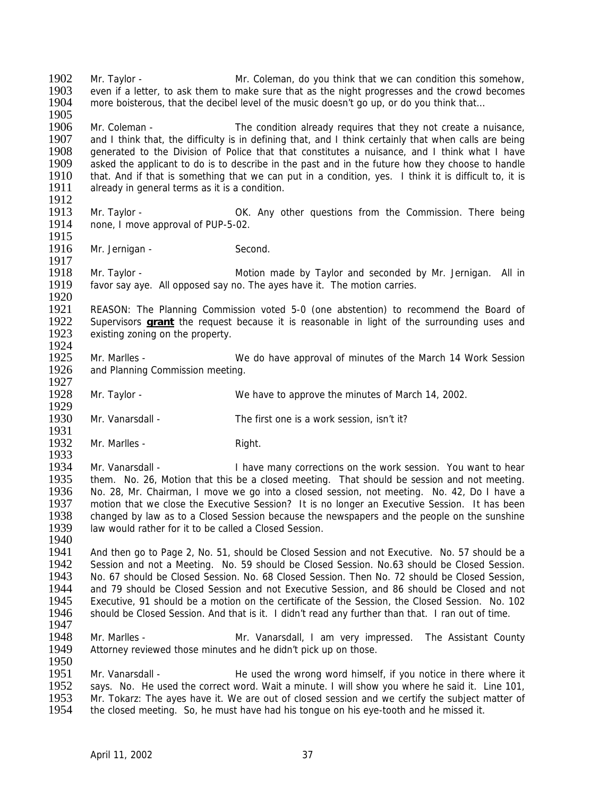1905<br>1906 1906 Mr. Coleman - The condition already requires that they not create a nuisance,<br>1907 and I think that, the difficulty is in defining that, and I think certainly that when calls are being and I think that, the difficulty is in defining that, and I think certainly that when calls are being 1908 generated to the Division of Police that that constitutes a nuisance, and I think what I have 1909 asked the applicant to do is to describe in the past and in the future how they choose to handle 1909 asked the applicant to do is to describe in the past and in the future how they choose to handle<br>1910 that. And if that is something that we can put in a condition, ves. I think it is difficult to, it is 1910 that. And if that is something that we can put in a condition, yes. I think it is difficult to, it is 1911 already in general terms as it is a condition. already in general terms as it is a condition. 1912<br>1913 1913 Mr. Taylor - OK. Any other questions from the Commission. There being<br>1914 none. I move approval of PUP-5-02. none, I move approval of PUP-5-02. 1915<br>1916 Mr. Jernigan - Second. 1917 1918 Mr. Taylor - Motion made by Taylor and seconded by Mr. Jernigan. All in 1919 favor say aye. All opposed say no. The ayes have it. The motion carries. 1920<br>1921 1921 REASON: The Planning Commission voted 5-0 (one abstention) to recommend the Board of 1922 Supervisors **grant** the request because it is reasonable in light of the surrounding uses and 1922 Supervisors **grant** the request because it is reasonable in light of the surrounding uses and 1923 existing zoning on the property. existing zoning on the property. 1924<br>1925 1925 Mr. Marlles - We do have approval of minutes of the March 14 Work Session 1926 and Planning Commission meeting. 1927<br>1928 Mr. Taylor - We have to approve the minutes of March 14, 2002. 1929 1930 Mr. Vanarsdall - The first one is a work session, isn't it? 1931<br>1932 Mr. Marlles - Right. 1933<br>1934 1934 Mr. Vanarsdall - I have many corrections on the work session. You want to hear<br>1935 them. No. 26. Motion that this be a closed meeting. That should be session and not meeting. 1935 them. No. 26, Motion that this be a closed meeting. That should be session and not meeting.<br>1936 No. 28, Mr. Chairman, I move we go into a closed session, not meeting. No. 42, Do I have a 1936 No. 28, Mr. Chairman, I move we go into a closed session, not meeting. No. 42, Do I have a 1937 motion that we close the Executive Session? It is no longer an Executive Session. It has been 1937 motion that we close the Executive Session?It is no longer an Executive Session. It has been 1938 changed by law as to a Closed Session because the newspapers and the people on the sunshine 1939 law would rather for it to be called a Closed Session. 1939 law would rather for it to be called a Closed Session. 1940 1941 And then go to Page 2, No. 51, should be Closed Session and not Executive. No. 57 should be a<br>1942 Session and not a Meeting. No. 59 should be Closed Session. No.63 should be Closed Session. 1942 Session and not a Meeting. No. 59 should be Closed Session. No.63 should be Closed Session.<br>1943 No. 67 should be Closed Session. No. 68 Closed Session. Then No. 72 should be Closed Session. 1943 No. 67 should be Closed Session. No. 68 Closed Session. Then No. 72 should be Closed Session, 1944 and 79 should be Closed Session and not Executive Session and 86 should be Closed and not and 79 should be Closed Session and not Executive Session, and 86 should be Closed and not 1945 Executive, 91 should be a motion on the certificate of the Session, the Closed Session. No. 102<br>1946 Should be Closed Session. And that is it. I didn't read any further than that. I ran out of time. should be Closed Session. And that is it. I didn't read any further than that. I ran out of time. 1947 1948 Mr. Marlles - Mr. Vanarsdall, I am very impressed. The Assistant County 1949 Attorney reviewed those minutes and he didn't pick up on those. 1950 1951 Mr. Vanarsdall - The used the wrong word himself, if you notice in there where it 1952 says. No. He used the correct word. Wait a minute. I will show you where he said it. Line 101. 1952 says. No. He used the correct word. Wait a minute. I will show you where he said it. Line 101, 1953 Mr. Tokarz: The aves have it. We are out of closed session and we certify the subiect matter of 1953 Mr. Tokarz: The ayes have it. We are out of closed session and we certify the subject matter of 1954 the closed meeting. So, he must have had his tongue on his eve-tooth and he missed it. the closed meeting. So, he must have had his tongue on his eye-tooth and he missed it.

1902 Mr. Taylor - Mr. Coleman, do you think that we can condition this somehow,<br>1903 – even if a letter to ask them to make sure that as the night progresses and the crowd becomes 1903 even if a letter, to ask them to make sure that as the night progresses and the crowd becomes 1904 more boisterous, that the decibel level of the music doesn't go up, or do you think that... more boisterous, that the decibel level of the music doesn't go up, or do you think that...